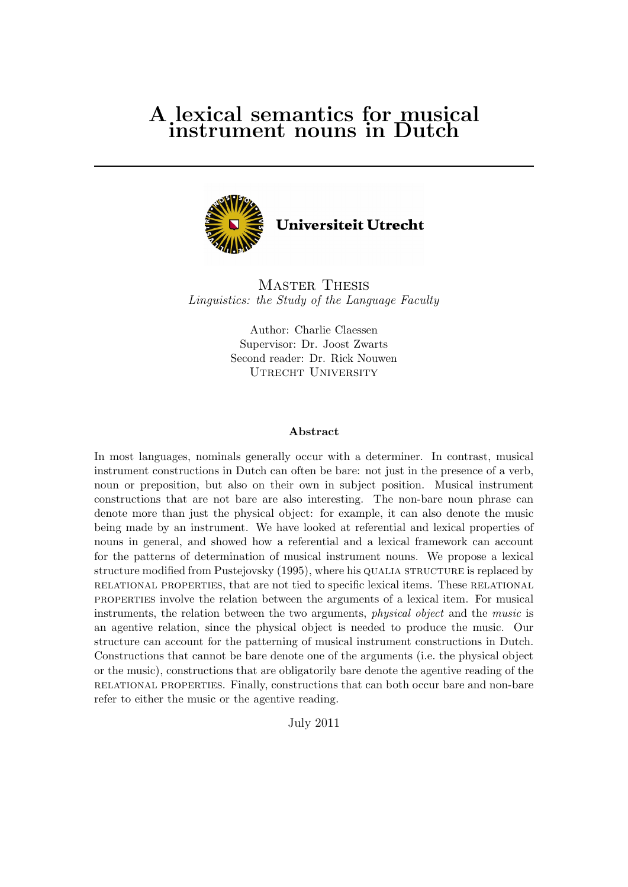# A lexical semantics for musical instrument nouns in Dutch



Master Thesis Linguistics: the Study of the Language Faculty

> Author: Charlie Claessen Supervisor: Dr. Joost Zwarts Second reader: Dr. Rick Nouwen UTRECHT UNIVERSITY

### Abstract

In most languages, nominals generally occur with a determiner. In contrast, musical instrument constructions in Dutch can often be bare: not just in the presence of a verb, noun or preposition, but also on their own in subject position. Musical instrument constructions that are not bare are also interesting. The non-bare noun phrase can denote more than just the physical object: for example, it can also denote the music being made by an instrument. We have looked at referential and lexical properties of nouns in general, and showed how a referential and a lexical framework can account for the patterns of determination of musical instrument nouns. We propose a lexical structure modified from Pustejovsky (1995), where his QUALIA STRUCTURE is replaced by relational properties, that are not tied to specific lexical items. These relational properties involve the relation between the arguments of a lexical item. For musical instruments, the relation between the two arguments, physical object and the music is an agentive relation, since the physical object is needed to produce the music. Our structure can account for the patterning of musical instrument constructions in Dutch. Constructions that cannot be bare denote one of the arguments (i.e. the physical object or the music), constructions that are obligatorily bare denote the agentive reading of the relational properties. Finally, constructions that can both occur bare and non-bare refer to either the music or the agentive reading.

July 2011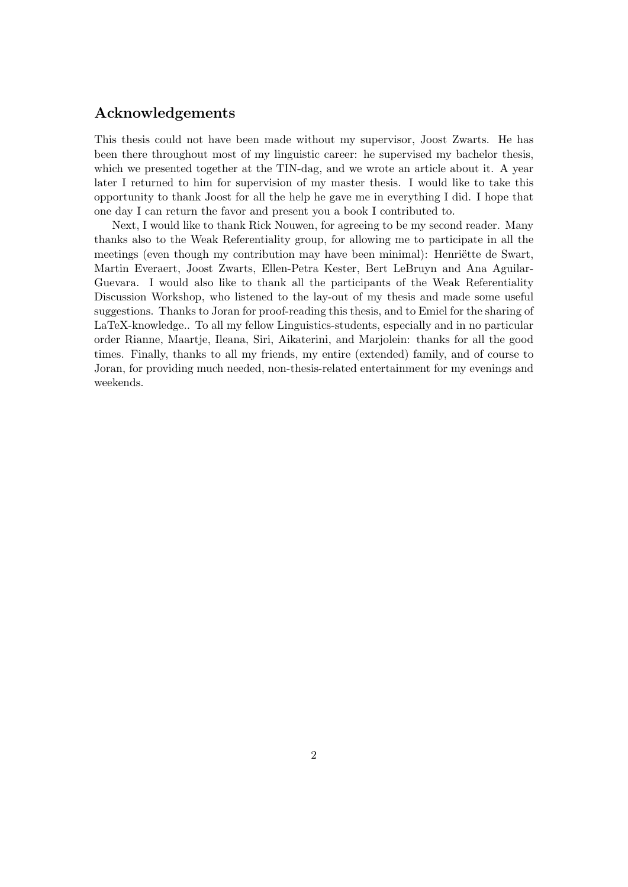# Acknowledgements

This thesis could not have been made without my supervisor, Joost Zwarts. He has been there throughout most of my linguistic career: he supervised my bachelor thesis, which we presented together at the TIN-dag, and we wrote an article about it. A year later I returned to him for supervision of my master thesis. I would like to take this opportunity to thank Joost for all the help he gave me in everything I did. I hope that one day I can return the favor and present you a book I contributed to.

Next, I would like to thank Rick Nouwen, for agreeing to be my second reader. Many thanks also to the Weak Referentiality group, for allowing me to participate in all the meetings (even though my contribution may have been minimal): Henriëtte de Swart, Martin Everaert, Joost Zwarts, Ellen-Petra Kester, Bert LeBruyn and Ana Aguilar-Guevara. I would also like to thank all the participants of the Weak Referentiality Discussion Workshop, who listened to the lay-out of my thesis and made some useful suggestions. Thanks to Joran for proof-reading this thesis, and to Emiel for the sharing of LaTeX-knowledge.. To all my fellow Linguistics-students, especially and in no particular order Rianne, Maartje, Ileana, Siri, Aikaterini, and Marjolein: thanks for all the good times. Finally, thanks to all my friends, my entire (extended) family, and of course to Joran, for providing much needed, non-thesis-related entertainment for my evenings and weekends.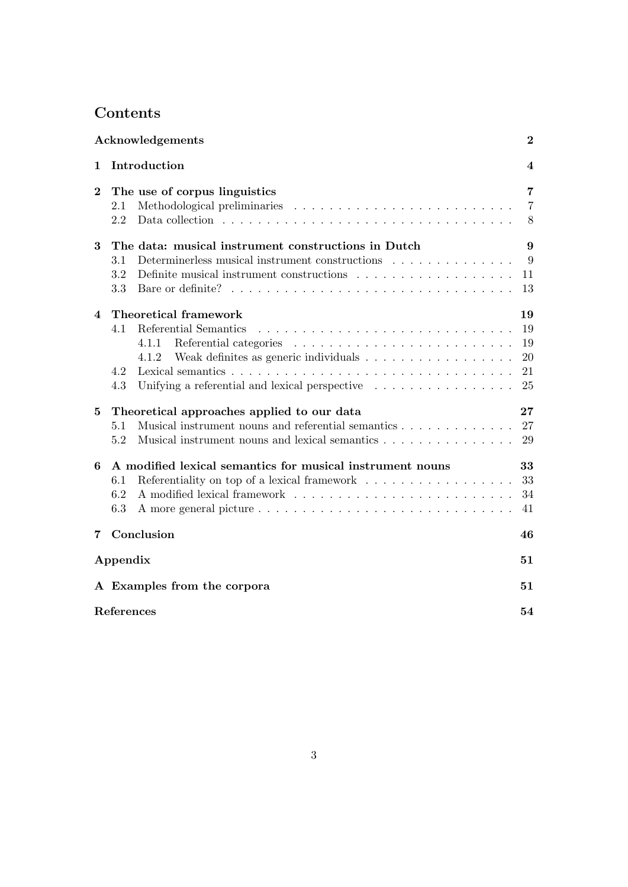# Contents

|                | Acknowledgements<br>$\bf{2}$                                                                                                                                                                                         |                                  |  |  |  |  |  |  |
|----------------|----------------------------------------------------------------------------------------------------------------------------------------------------------------------------------------------------------------------|----------------------------------|--|--|--|--|--|--|
| 1              | Introduction<br>4                                                                                                                                                                                                    |                                  |  |  |  |  |  |  |
| $\overline{2}$ | The use of corpus linguistics<br>2.1<br>2.2                                                                                                                                                                          | 7<br>7<br>8                      |  |  |  |  |  |  |
| 3              | The data: musical instrument constructions in Dutch<br>3.1<br>Determinerless musical instrument constructions<br>3.2<br>Definite musical instrument constructions $\ldots \ldots \ldots \ldots \ldots \ldots$<br>3.3 | 9<br>9<br>11<br>13               |  |  |  |  |  |  |
| $\overline{4}$ | <b>Theoretical framework</b><br>4.1<br>Referential Semantics<br>4.1.1<br>4.1.2<br>4.2<br>Unifying a referential and lexical perspective $\dots \dots \dots \dots \dots$<br>4.3                                       | 19<br>19<br>19<br>20<br>21<br>25 |  |  |  |  |  |  |
| $\bf{5}$       | Theoretical approaches applied to our data<br>Musical instrument nouns and referential semantics<br>5.1<br>Musical instrument nouns and lexical semantics<br>5.2                                                     | 27<br>27<br>29                   |  |  |  |  |  |  |
| 6              | A modified lexical semantics for musical instrument nouns<br>Referentiality on top of a lexical framework<br>6.1<br>6.2<br>6.3                                                                                       | 33<br>33<br>34<br>41             |  |  |  |  |  |  |
|                | 7 Conclusion<br>46                                                                                                                                                                                                   |                                  |  |  |  |  |  |  |
|                | Appendix                                                                                                                                                                                                             | 51                               |  |  |  |  |  |  |
|                | A Examples from the corpora                                                                                                                                                                                          | 51                               |  |  |  |  |  |  |
|                | References<br>54                                                                                                                                                                                                     |                                  |  |  |  |  |  |  |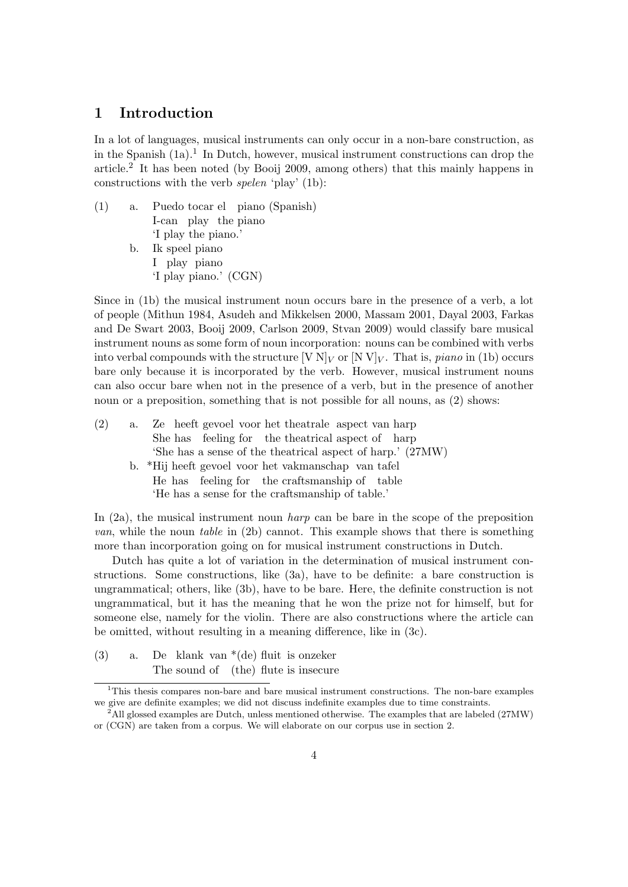# 1 Introduction

In a lot of languages, musical instruments can only occur in a non-bare construction, as in the Spanish  $(1a)$ .<sup>1</sup> In Dutch, however, musical instrument constructions can drop the article.<sup>2</sup> It has been noted (by Booij 2009, among others) that this mainly happens in constructions with the verb spelen 'play' (1b):

(1) a. Puedo tocar el piano (Spanish) I-can play the piano 'I play the piano.' b. Ik speel piano I play piano 'I play piano.' (CGN)

Since in (1b) the musical instrument noun occurs bare in the presence of a verb, a lot of people (Mithun 1984, Asudeh and Mikkelsen 2000, Massam 2001, Dayal 2003, Farkas and De Swart 2003, Booij 2009, Carlson 2009, Stvan 2009) would classify bare musical instrument nouns as some form of noun incorporation: nouns can be combined with verbs into verbal compounds with the structure  $[V N]_V$  or  $[N V]_V$ . That is, *piano* in (1b) occurs bare only because it is incorporated by the verb. However, musical instrument nouns can also occur bare when not in the presence of a verb, but in the presence of another noun or a preposition, something that is not possible for all nouns, as  $(2)$  shows:

| (2) | a. | Ze heeft gevoel voor het theatrale aspect van harp         |
|-----|----|------------------------------------------------------------|
|     |    | She has feeling for the theatrical aspect of harp          |
|     |    | 'She has a sense of the theatrical aspect of harp.' (27MW) |
|     |    | b. *Hij heeft gevoel voor het vakmanschap van tafel        |
|     |    | He has feeling for the craftsmanship of table              |
|     |    | 'He has a sense for the craftsmanship of table.'           |
|     |    |                                                            |

In  $(2a)$ , the musical instrument noun *harp* can be bare in the scope of the preposition van, while the noun table in (2b) cannot. This example shows that there is something more than incorporation going on for musical instrument constructions in Dutch.

Dutch has quite a lot of variation in the determination of musical instrument constructions. Some constructions, like (3a), have to be definite: a bare construction is ungrammatical; others, like (3b), have to be bare. Here, the definite construction is not ungrammatical, but it has the meaning that he won the prize not for himself, but for someone else, namely for the violin. There are also constructions where the article can be omitted, without resulting in a meaning difference, like in (3c).

(3) a. De klank van \*(de) fluit is onzeker The sound of (the) flute is insecure

<sup>&</sup>lt;sup>1</sup>This thesis compares non-bare and bare musical instrument constructions. The non-bare examples we give are definite examples; we did not discuss indefinite examples due to time constraints.

 $^2$ All glossed examples are Dutch, unless mentioned otherwise. The examples that are labeled (27MW) or (CGN) are taken from a corpus. We will elaborate on our corpus use in section 2.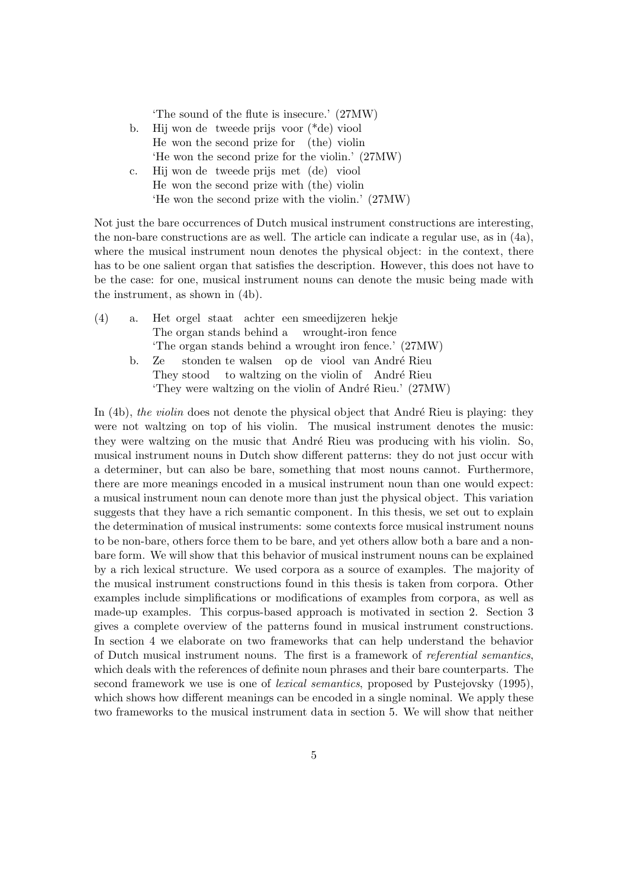'The sound of the flute is insecure.' (27MW)

- b. Hij won de tweede prijs voor (\*de) viool He won the second prize for (the) violin 'He won the second prize for the violin.' (27MW)
- c. Hij won de tweede prijs met (de) viool He won the second prize with (the) violin 'He won the second prize with the violin.' (27MW)

Not just the bare occurrences of Dutch musical instrument constructions are interesting, the non-bare constructions are as well. The article can indicate a regular use, as in (4a), where the musical instrument noun denotes the physical object: in the context, there has to be one salient organ that satisfies the description. However, this does not have to be the case: for one, musical instrument nouns can denote the music being made with the instrument, as shown in (4b).

| (4) | a. Het orgel staat achter een smeedijzeren hekje         |
|-----|----------------------------------------------------------|
|     | The organ stands behind a wrought-iron fence             |
|     | 'The organ stands behind a wrought iron fence.' (27MW)   |
|     | b. Ze stonden te walsen op de viool van André Rieu       |
|     | They stood to waltzing on the violin of André Rieu       |
|     | 'They were waltzing on the violin of André Rieu.' (27MW) |

In  $(4b)$ , the violin does not denote the physical object that André Rieu is playing: they were not waltzing on top of his violin. The musical instrument denotes the music: they were waltzing on the music that André Rieu was producing with his violin. So, musical instrument nouns in Dutch show different patterns: they do not just occur with a determiner, but can also be bare, something that most nouns cannot. Furthermore, there are more meanings encoded in a musical instrument noun than one would expect: a musical instrument noun can denote more than just the physical object. This variation suggests that they have a rich semantic component. In this thesis, we set out to explain the determination of musical instruments: some contexts force musical instrument nouns to be non-bare, others force them to be bare, and yet others allow both a bare and a nonbare form. We will show that this behavior of musical instrument nouns can be explained by a rich lexical structure. We used corpora as a source of examples. The majority of the musical instrument constructions found in this thesis is taken from corpora. Other examples include simplifications or modifications of examples from corpora, as well as made-up examples. This corpus-based approach is motivated in section 2. Section 3 gives a complete overview of the patterns found in musical instrument constructions. In section 4 we elaborate on two frameworks that can help understand the behavior of Dutch musical instrument nouns. The first is a framework of referential semantics, which deals with the references of definite noun phrases and their bare counterparts. The second framework we use is one of *lexical semantics*, proposed by Pustejovsky (1995), which shows how different meanings can be encoded in a single nominal. We apply these two frameworks to the musical instrument data in section 5. We will show that neither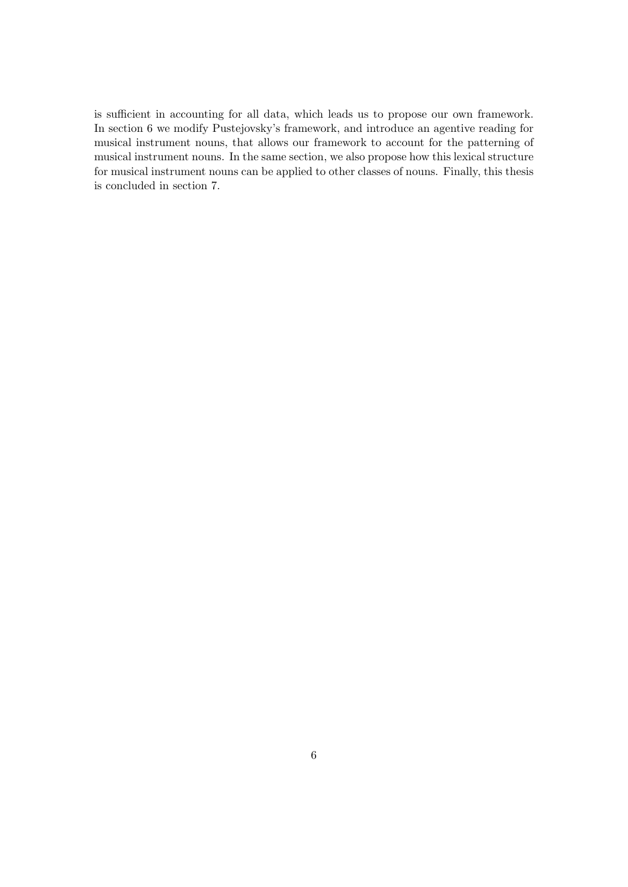is sufficient in accounting for all data, which leads us to propose our own framework. In section 6 we modify Pustejovsky's framework, and introduce an agentive reading for musical instrument nouns, that allows our framework to account for the patterning of musical instrument nouns. In the same section, we also propose how this lexical structure for musical instrument nouns can be applied to other classes of nouns. Finally, this thesis is concluded in section 7.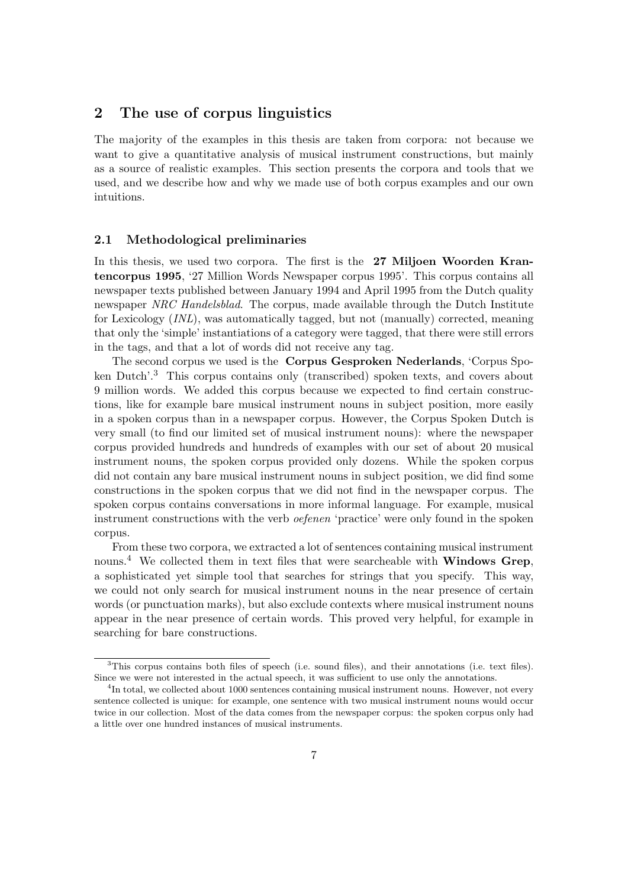# 2 The use of corpus linguistics

The majority of the examples in this thesis are taken from corpora: not because we want to give a quantitative analysis of musical instrument constructions, but mainly as a source of realistic examples. This section presents the corpora and tools that we used, and we describe how and why we made use of both corpus examples and our own intuitions.

## 2.1 Methodological preliminaries

In this thesis, we used two corpora. The first is the 27 Miljoen Woorden Krantencorpus 1995, '27 Million Words Newspaper corpus 1995'. This corpus contains all newspaper texts published between January 1994 and April 1995 from the Dutch quality newspaper NRC Handelsblad. The corpus, made available through the Dutch Institute for Lexicology (INL), was automatically tagged, but not (manually) corrected, meaning that only the 'simple' instantiations of a category were tagged, that there were still errors in the tags, and that a lot of words did not receive any tag.

The second corpus we used is the Corpus Gesproken Nederlands, 'Corpus Spoken Dutch'.<sup>3</sup> This corpus contains only (transcribed) spoken texts, and covers about 9 million words. We added this corpus because we expected to find certain constructions, like for example bare musical instrument nouns in subject position, more easily in a spoken corpus than in a newspaper corpus. However, the Corpus Spoken Dutch is very small (to find our limited set of musical instrument nouns): where the newspaper corpus provided hundreds and hundreds of examples with our set of about 20 musical instrument nouns, the spoken corpus provided only dozens. While the spoken corpus did not contain any bare musical instrument nouns in subject position, we did find some constructions in the spoken corpus that we did not find in the newspaper corpus. The spoken corpus contains conversations in more informal language. For example, musical instrument constructions with the verb *oefenen* 'practice' were only found in the spoken corpus.

From these two corpora, we extracted a lot of sentences containing musical instrument nouns.<sup>4</sup> We collected them in text files that were searcheable with **Windows Grep**, a sophisticated yet simple tool that searches for strings that you specify. This way, we could not only search for musical instrument nouns in the near presence of certain words (or punctuation marks), but also exclude contexts where musical instrument nouns appear in the near presence of certain words. This proved very helpful, for example in searching for bare constructions.

<sup>&</sup>lt;sup>3</sup>This corpus contains both files of speech (i.e. sound files), and their annotations (i.e. text files). Since we were not interested in the actual speech, it was sufficient to use only the annotations.

<sup>&</sup>lt;sup>4</sup>In total, we collected about 1000 sentences containing musical instrument nouns. However, not every sentence collected is unique: for example, one sentence with two musical instrument nouns would occur twice in our collection. Most of the data comes from the newspaper corpus: the spoken corpus only had a little over one hundred instances of musical instruments.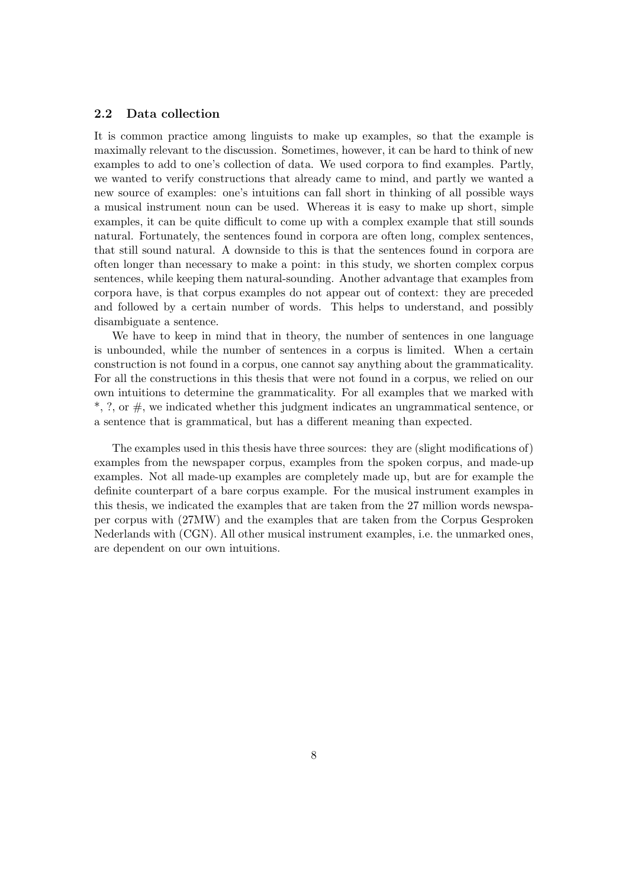# 2.2 Data collection

It is common practice among linguists to make up examples, so that the example is maximally relevant to the discussion. Sometimes, however, it can be hard to think of new examples to add to one's collection of data. We used corpora to find examples. Partly, we wanted to verify constructions that already came to mind, and partly we wanted a new source of examples: one's intuitions can fall short in thinking of all possible ways a musical instrument noun can be used. Whereas it is easy to make up short, simple examples, it can be quite difficult to come up with a complex example that still sounds natural. Fortunately, the sentences found in corpora are often long, complex sentences, that still sound natural. A downside to this is that the sentences found in corpora are often longer than necessary to make a point: in this study, we shorten complex corpus sentences, while keeping them natural-sounding. Another advantage that examples from corpora have, is that corpus examples do not appear out of context: they are preceded and followed by a certain number of words. This helps to understand, and possibly disambiguate a sentence.

We have to keep in mind that in theory, the number of sentences in one language is unbounded, while the number of sentences in a corpus is limited. When a certain construction is not found in a corpus, one cannot say anything about the grammaticality. For all the constructions in this thesis that were not found in a corpus, we relied on our own intuitions to determine the grammaticality. For all examples that we marked with  $*, ?$ , or  $\#$ , we indicated whether this judgment indicates an ungrammatical sentence, or a sentence that is grammatical, but has a different meaning than expected.

The examples used in this thesis have three sources: they are (slight modifications of) examples from the newspaper corpus, examples from the spoken corpus, and made-up examples. Not all made-up examples are completely made up, but are for example the definite counterpart of a bare corpus example. For the musical instrument examples in this thesis, we indicated the examples that are taken from the 27 million words newspaper corpus with (27MW) and the examples that are taken from the Corpus Gesproken Nederlands with (CGN). All other musical instrument examples, i.e. the unmarked ones, are dependent on our own intuitions.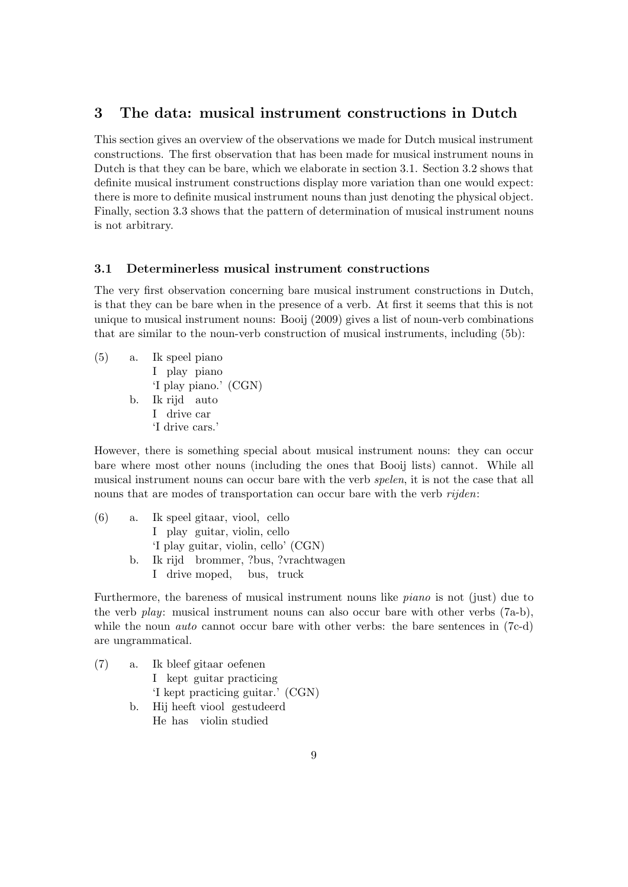# 3 The data: musical instrument constructions in Dutch

This section gives an overview of the observations we made for Dutch musical instrument constructions. The first observation that has been made for musical instrument nouns in Dutch is that they can be bare, which we elaborate in section 3.1. Section 3.2 shows that definite musical instrument constructions display more variation than one would expect: there is more to definite musical instrument nouns than just denoting the physical object. Finally, section 3.3 shows that the pattern of determination of musical instrument nouns is not arbitrary.

### 3.1 Determinerless musical instrument constructions

The very first observation concerning bare musical instrument constructions in Dutch, is that they can be bare when in the presence of a verb. At first it seems that this is not unique to musical instrument nouns: Booij (2009) gives a list of noun-verb combinations that are similar to the noun-verb construction of musical instruments, including (5b):

 $(5)$  a. I play piano speel piano 'I play piano.' (CGN) b. Ik rijd auto I drive car 'I drive cars.'

However, there is something special about musical instrument nouns: they can occur bare where most other nouns (including the ones that Booij lists) cannot. While all musical instrument nouns can occur bare with the verb spelen, it is not the case that all nouns that are modes of transportation can occur bare with the verb *rijden*:

| (6) | a. | Ik speel gitaar, viool, cello          |
|-----|----|----------------------------------------|
|     |    | I play guitar, violin, cello           |
|     |    | 'I play guitar, violin, cello' (CGN)   |
|     |    | b. Ik rijd brommer, ?bus, ?vrachtwagen |
|     |    | I drive moped, bus, truck              |

Furthermore, the bareness of musical instrument nouns like *piano* is not (just) due to the verb play: musical instrument nouns can also occur bare with other verbs (7a-b), while the noun *auto* cannot occur bare with other verbs: the bare sentences in (7c-d) are ungrammatical.

 $(7)$  a. I kept guitar practicing bleef gitaar oefenen 'I kept practicing guitar.' (CGN) b. Hij heeft viool gestudeerd

He has violin studied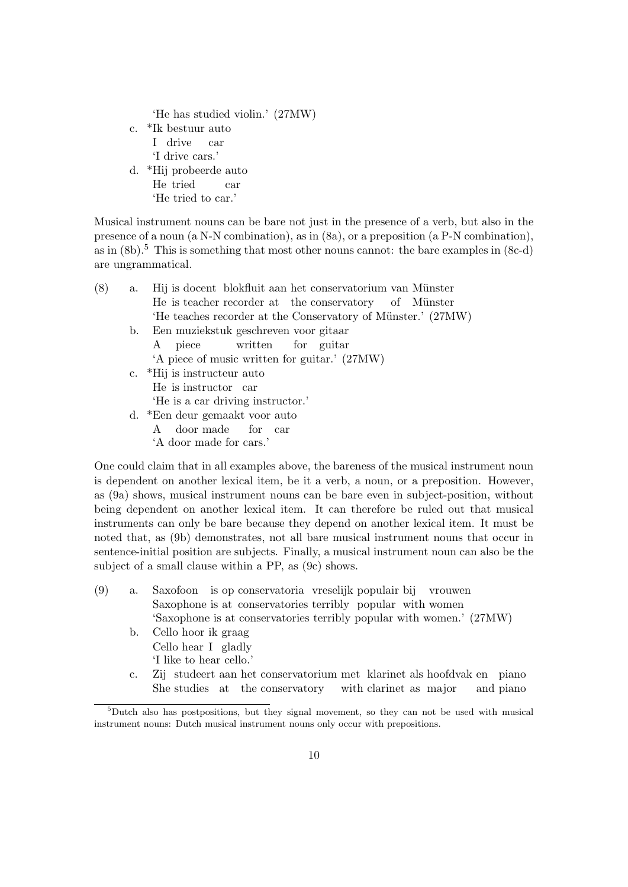'He has studied violin.' (27MW)

- c. \*Ik bestuur auto I drive car 'I drive cars.' d. \*Hij probeerde auto He tried car
- 'He tried to car.'

Musical instrument nouns can be bare not just in the presence of a verb, but also in the presence of a noun (a N-N combination), as in (8a), or a preposition (a P-N combination), as in  $(8b)$ .<sup>5</sup> This is something that most other nouns cannot: the bare examples in  $(8c-d)$ are ungrammatical.

| (8) | a. | Hij is doeent blokfluit aan het conservatorium van Münster   |
|-----|----|--------------------------------------------------------------|
|     |    | He is teacher recorder at the conservatory of Münster        |
|     |    | 'He teaches recorder at the Conservatory of Münster.' (27MW) |
|     |    | b. Een muziekstuk geschreven voor gitaar                     |
|     |    | A piece written for guitar                                   |
|     |    | 'A piece of music written for guitar.' (27MW)                |
|     |    | c. *Hij is instructeur auto                                  |
|     |    | He is instructor car                                         |
|     |    | 'He is a car driving instructor.'                            |
|     |    | d. *Een deur gemaakt voor auto                               |
|     |    | A door made for car                                          |
|     |    | 'A door made for cars.'                                      |
|     |    |                                                              |

One could claim that in all examples above, the bareness of the musical instrument noun is dependent on another lexical item, be it a verb, a noun, or a preposition. However, as (9a) shows, musical instrument nouns can be bare even in subject-position, without being dependent on another lexical item. It can therefore be ruled out that musical instruments can only be bare because they depend on another lexical item. It must be noted that, as (9b) demonstrates, not all bare musical instrument nouns that occur in sentence-initial position are subjects. Finally, a musical instrument noun can also be the subject of a small clause within a PP, as (9c) shows.

- (9) a. Saxofoon is op conservatoria vreselijk populair bij vrouwen Saxophone is at conservatories terribly popular with women 'Saxophone is at conservatories terribly popular with women.' (27MW)
	- b. Cello hoor ik graag Cello hear I gladly 'I like to hear cello.'
	- c. Zij studeert aan het conservatorium met klarinet als hoofdvak en piano She studies at the conservatory with clarinet as major and piano

<sup>5</sup>Dutch also has postpositions, but they signal movement, so they can not be used with musical instrument nouns: Dutch musical instrument nouns only occur with prepositions.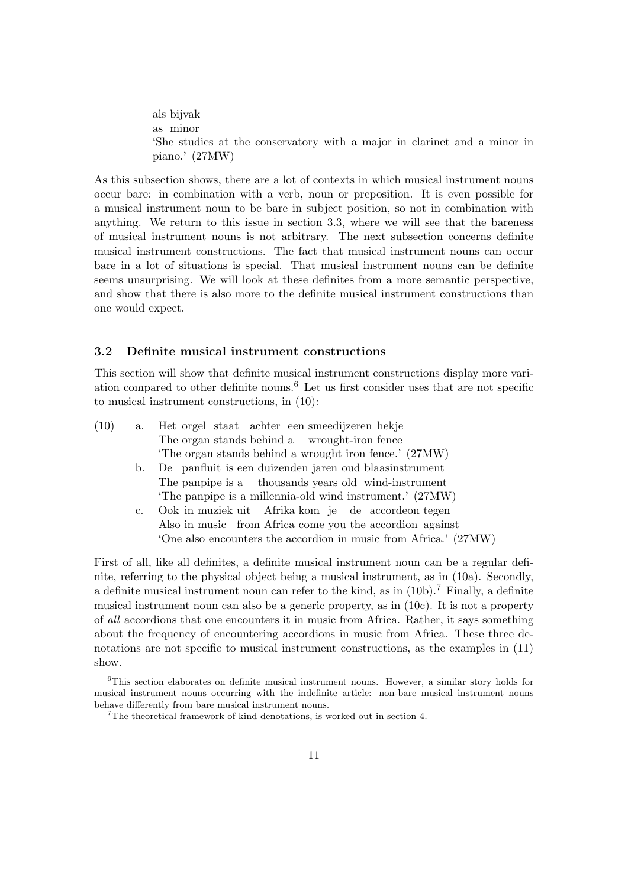als bijvak as minor 'She studies at the conservatory with a major in clarinet and a minor in piano.' (27MW)

As this subsection shows, there are a lot of contexts in which musical instrument nouns occur bare: in combination with a verb, noun or preposition. It is even possible for a musical instrument noun to be bare in subject position, so not in combination with anything. We return to this issue in section 3.3, where we will see that the bareness of musical instrument nouns is not arbitrary. The next subsection concerns definite musical instrument constructions. The fact that musical instrument nouns can occur bare in a lot of situations is special. That musical instrument nouns can be definite seems unsurprising. We will look at these definites from a more semantic perspective, and show that there is also more to the definite musical instrument constructions than one would expect.

## 3.2 Definite musical instrument constructions

This section will show that definite musical instrument constructions display more variation compared to other definite nouns.<sup>6</sup> Let us first consider uses that are not specific to musical instrument constructions, in (10):

| The organ stands behind a wrought-iron fence                     |  |
|------------------------------------------------------------------|--|
|                                                                  |  |
| The organ stands behind a wrought iron fence.' (27MW)            |  |
| De panfluit is een duizenden jaren oud blaasinstrument<br>b.     |  |
| The panpipe is a thousands years old wind-instrument             |  |
| 'The panpipe is a millennia-old wind instrument.' (27MW)         |  |
| Ook in muziek uit Afrika kom je de accordeon tegen<br>c.         |  |
| Also in music from Africa come you the accordion against         |  |
| 'One also encounters the accordion in music from Africa.' (27MW) |  |

First of all, like all definites, a definite musical instrument noun can be a regular definite, referring to the physical object being a musical instrument, as in (10a). Secondly, a definite musical instrument noun can refer to the kind, as in  $(10b)$ .<sup>7</sup> Finally, a definite musical instrument noun can also be a generic property, as in (10c). It is not a property of all accordions that one encounters it in music from Africa. Rather, it says something about the frequency of encountering accordions in music from Africa. These three denotations are not specific to musical instrument constructions, as the examples in (11) show.

<sup>6</sup>This section elaborates on definite musical instrument nouns. However, a similar story holds for musical instrument nouns occurring with the indefinite article: non-bare musical instrument nouns behave differently from bare musical instrument nouns.

<sup>7</sup>The theoretical framework of kind denotations, is worked out in section 4.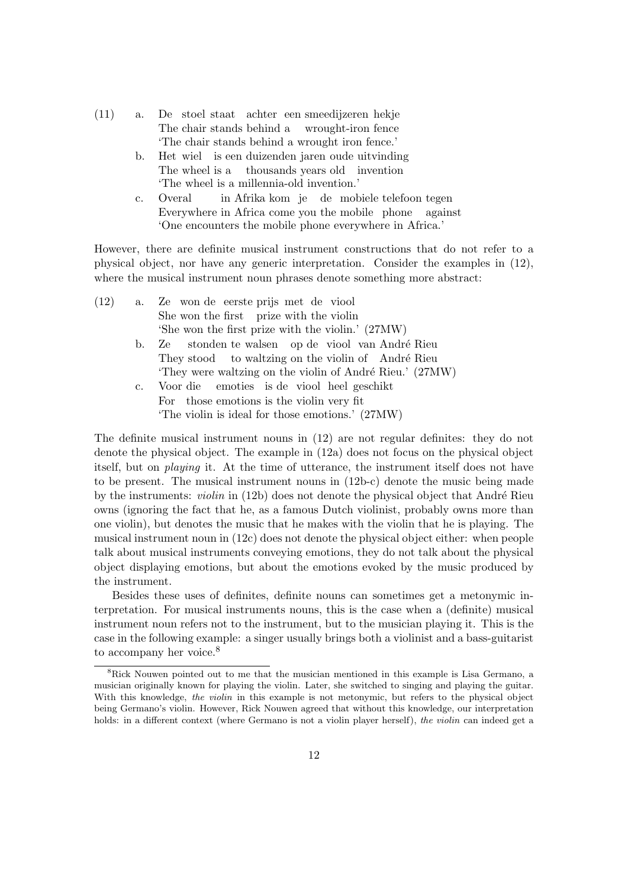| (11) |  |  |  | a. De stoel staat achter een smeedijzeren hekje |
|------|--|--|--|-------------------------------------------------|
|      |  |  |  | The chair stands behind a wrought-iron fence    |
|      |  |  |  | The chair stands behind a wrought iron fence.'  |

- b. Het wiel is een duizenden jaren oude uitvinding The wheel is a thousands years old invention 'The wheel is a millennia-old invention.'
- c. Overal Everywhere in Africa come you the mobile phone in Afrika kom je de mobiele telefoon tegen against 'One encounters the mobile phone everywhere in Africa.'

However, there are definite musical instrument constructions that do not refer to a physical object, nor have any generic interpretation. Consider the examples in (12), where the musical instrument noun phrases denote something more abstract:

| (12) | a. | Ze won de eerste prijs met de viool                      |
|------|----|----------------------------------------------------------|
|      |    | She won the first prize with the violin                  |
|      |    | 'She won the first prize with the violin.' (27MW)        |
|      | b. | Ze stonden te walsen op de viool van André Rieu          |
|      |    | They stood to waltzing on the violin of André Rieu       |
|      |    | 'They were waltzing on the violin of André Rieu.' (27MW) |
|      |    | c. Voor die emoties is de viool heel geschikt            |
|      |    | For those emotions is the violin very fit                |
|      |    | 'The violin is ideal for those emotions.' (27MW)         |
|      |    |                                                          |

The definite musical instrument nouns in (12) are not regular definites: they do not denote the physical object. The example in (12a) does not focus on the physical object itself, but on playing it. At the time of utterance, the instrument itself does not have to be present. The musical instrument nouns in (12b-c) denote the music being made by the instruments: *violin* in  $(12b)$  does not denote the physical object that André Rieu owns (ignoring the fact that he, as a famous Dutch violinist, probably owns more than one violin), but denotes the music that he makes with the violin that he is playing. The musical instrument noun in (12c) does not denote the physical object either: when people talk about musical instruments conveying emotions, they do not talk about the physical object displaying emotions, but about the emotions evoked by the music produced by the instrument.

Besides these uses of definites, definite nouns can sometimes get a metonymic interpretation. For musical instruments nouns, this is the case when a (definite) musical instrument noun refers not to the instrument, but to the musician playing it. This is the case in the following example: a singer usually brings both a violinist and a bass-guitarist to accompany her voice.<sup>8</sup>

<sup>8</sup>Rick Nouwen pointed out to me that the musician mentioned in this example is Lisa Germano, a musician originally known for playing the violin. Later, she switched to singing and playing the guitar. With this knowledge, the violin in this example is not metonymic, but refers to the physical object being Germano's violin. However, Rick Nouwen agreed that without this knowledge, our interpretation holds: in a different context (where Germano is not a violin player herself), the violin can indeed get a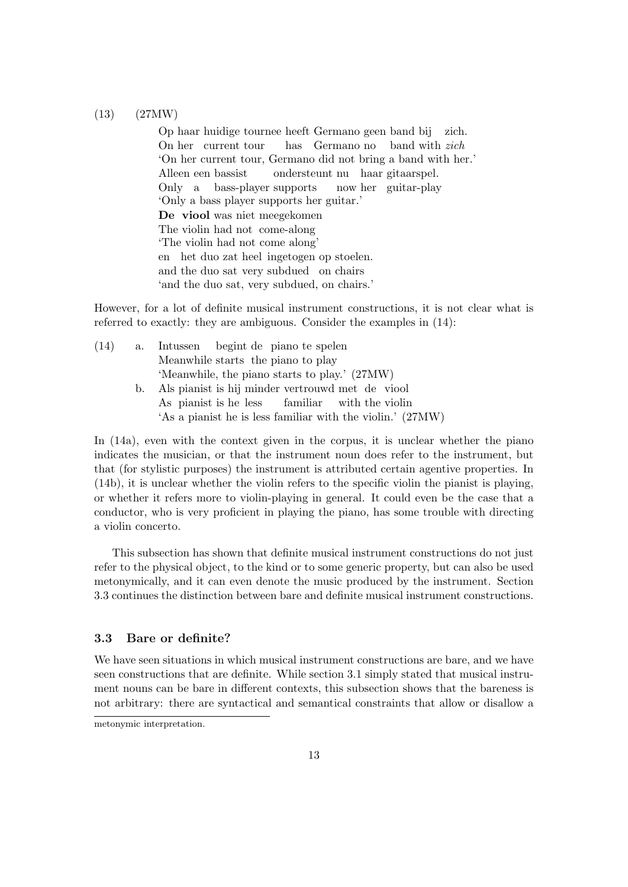### (13) (27MW)

Op haar huidige tournee heeft Germano geen band bij zich. On her current tour has Germano no band with zich 'On her current tour, Germano did not bring a band with her.' Alleen een bassist Only a bass-player supports ondersteunt nu haar gitaarspel. now her guitar-play 'Only a bass player supports her guitar.' De viool was niet meegekomen The violin had not come-along 'The violin had not come along' en het duo zat heel ingetogen op stoelen. and the duo sat very subdued on chairs 'and the duo sat, very subdued, on chairs.'

However, for a lot of definite musical instrument constructions, it is not clear what is referred to exactly: they are ambiguous. Consider the examples in (14):

| (14) | $a_{\cdot}$ | Intussen begint de piano te spelen               |
|------|-------------|--------------------------------------------------|
|      |             | Meanwhile starts the piano to play               |
|      |             | 'Meanwhile, the piano starts to play.' (27MW)    |
|      | b.          | Als pianist is hij minder vertrouwd met de viool |
|      |             | As pianist is he less familiar with the violin   |

'As a pianist he is less familiar with the violin.' (27MW) In (14a), even with the context given in the corpus, it is unclear whether the piano indicates the musician, or that the instrument noun does refer to the instrument, but that (for stylistic purposes) the instrument is attributed certain agentive properties. In (14b), it is unclear whether the violin refers to the specific violin the pianist is playing, or whether it refers more to violin-playing in general. It could even be the case that a

This subsection has shown that definite musical instrument constructions do not just refer to the physical object, to the kind or to some generic property, but can also be used metonymically, and it can even denote the music produced by the instrument. Section 3.3 continues the distinction between bare and definite musical instrument constructions.

conductor, who is very proficient in playing the piano, has some trouble with directing

### 3.3 Bare or definite?

a violin concerto.

We have seen situations in which musical instrument constructions are bare, and we have seen constructions that are definite. While section 3.1 simply stated that musical instrument nouns can be bare in different contexts, this subsection shows that the bareness is not arbitrary: there are syntactical and semantical constraints that allow or disallow a

metonymic interpretation.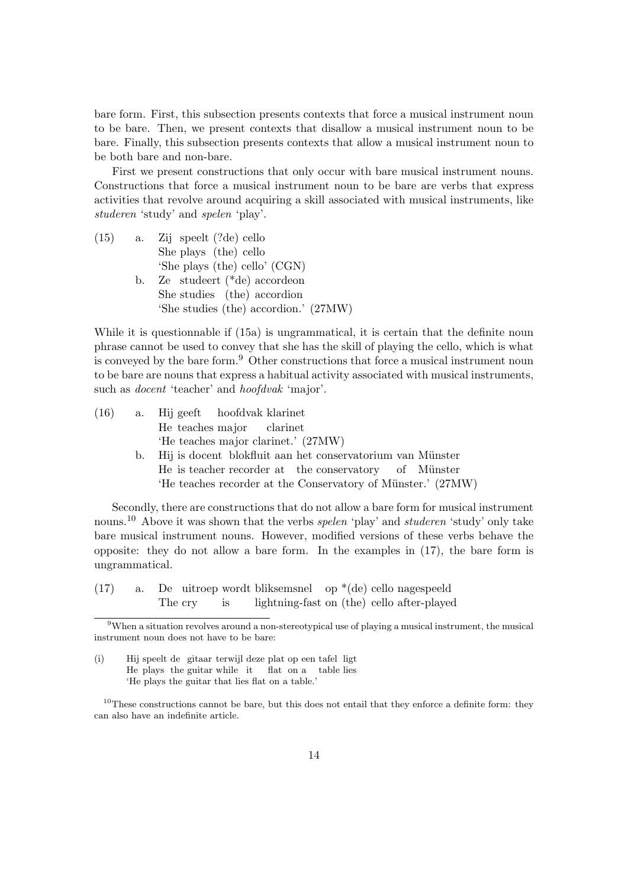bare form. First, this subsection presents contexts that force a musical instrument noun to be bare. Then, we present contexts that disallow a musical instrument noun to be bare. Finally, this subsection presents contexts that allow a musical instrument noun to be both bare and non-bare.

First we present constructions that only occur with bare musical instrument nouns. Constructions that force a musical instrument noun to be bare are verbs that express activities that revolve around acquiring a skill associated with musical instruments, like studeren 'study' and spelen 'play'.

 $(15)$  a. She plays (the) cello speelt (?de) cello 'She plays (the) cello' (CGN) b. Ze studeert (\*de) accordeon She studies (the) accordion 'She studies (the) accordion.' (27MW)

While it is questionnable if (15a) is ungrammatical, it is certain that the definite noun phrase cannot be used to convey that she has the skill of playing the cello, which is what is conveyed by the bare form.<sup>9</sup> Other constructions that force a musical instrument noun to be bare are nouns that express a habitual activity associated with musical instruments, such as *docent* 'teacher' and *hoofdvak* 'major'.

| (16) | a. Hij geeft hoofdvak klarinet                                |
|------|---------------------------------------------------------------|
|      | He teaches major clarinet                                     |
|      | 'He teaches major clarinet.' (27MW)                           |
|      | b. Hij is doeent blokfluit aan het conservatorium van Münster |
|      | He is teacher recorder at the conservatory of Münster         |
|      | 'He teaches recorder at the Conservatory of Münster.' (27MW)  |
|      |                                                               |

Secondly, there are constructions that do not allow a bare form for musical instrument nouns.<sup>10</sup> Above it was shown that the verbs *spelen* 'play' and *studeren* 'study' only take bare musical instrument nouns. However, modified versions of these verbs behave the opposite: they do not allow a bare form. In the examples in (17), the bare form is ungrammatical.

(i) Hij speelt de gitaar terwijl deze plat op een tafel ligt He plays the guitar while it flat on a table lies 'He plays the guitar that lies flat on a table.'

 $(17)$  a. The cry uitroep wordt bliksemsnel op \*(de) cello nagespeeld is lightning-fast on (the) cello after-played

<sup>9</sup>When a situation revolves around a non-stereotypical use of playing a musical instrument, the musical instrument noun does not have to be bare:

 $10$ These constructions cannot be bare, but this does not entail that they enforce a definite form: they can also have an indefinite article.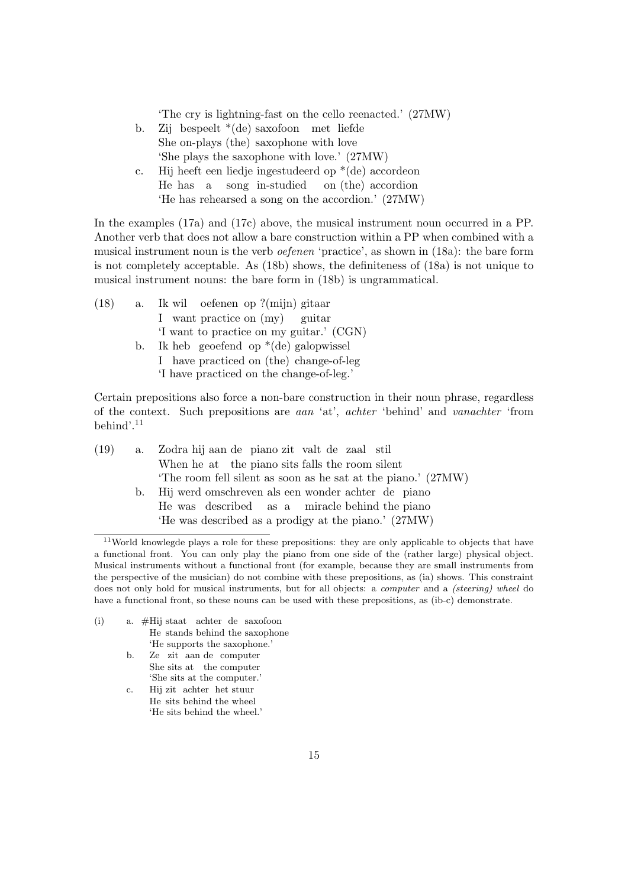'The cry is lightning-fast on the cello reenacted.' (27MW)

- b. Zij bespeelt \*(de) saxofoon met liefde She on-plays (the) saxophone with love 'She plays the saxophone with love.' (27MW)
- c. Hij heeft een liedje ingestudeerd op \*(de) accordeon He has a song in-studied on (the) accordion 'He has rehearsed a song on the accordion.' (27MW)

In the examples (17a) and (17c) above, the musical instrument noun occurred in a PP. Another verb that does not allow a bare construction within a PP when combined with a musical instrument noun is the verb oefenen 'practice', as shown in (18a): the bare form is not completely acceptable. As (18b) shows, the definiteness of (18a) is not unique to musical instrument nouns: the bare form in (18b) is ungrammatical.

- $(18)$  a. I want practice on (my) wil oefenen op ?(mijn) gitaar guitar 'I want to practice on my guitar.' (CGN) b. Ik heb geoefend op \*(de) galopwissel I have practiced on (the) change-of-leg
	- 'I have practiced on the change-of-leg.'

Certain prepositions also force a non-bare construction in their noun phrase, regardless of the context. Such prepositions are aan 'at', achter 'behind' and vanachter 'from behind'.<sup>11</sup>

| (19) | a. Zodra hij aan de piano zit valt de zaal stil               |
|------|---------------------------------------------------------------|
|      | When he at the piano sits falls the room silent               |
|      | 'The room fell silent as soon as he sat at the piano.' (27MW) |
|      | b. Hij werd omschreven als een wonder achter de piano         |
|      | He was described as a miracle behind the piano                |
|      | 'He was described as a prodigy at the piano.' (27MW)          |

- (i) a. #Hij staat achter de saxofoon He stands behind the saxophone 'He supports the saxophone.'
	- b. Ze zit aan de computer She sits at the computer 'She sits at the computer.'
	- c. Hij zit achter het stuur He sits behind the wheel 'He sits behind the wheel.'

<sup>&</sup>lt;sup>11</sup>World knowlegde plays a role for these prepositions: they are only applicable to objects that have a functional front. You can only play the piano from one side of the (rather large) physical object. Musical instruments without a functional front (for example, because they are small instruments from the perspective of the musician) do not combine with these prepositions, as (ia) shows. This constraint does not only hold for musical instruments, but for all objects: a *computer* and a *(steering) wheel* do have a functional front, so these nouns can be used with these prepositions, as (ib-c) demonstrate.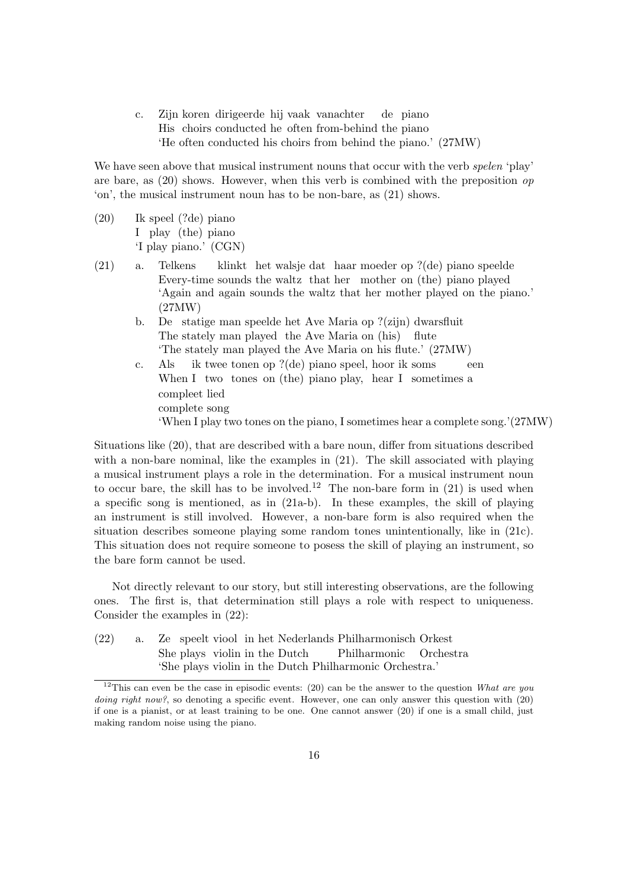c. Zijn koren dirigeerde hij vaak vanachter His choirs conducted he often from-behind the piano de piano 'He often conducted his choirs from behind the piano.' (27MW)

We have seen above that musical instrument nouns that occur with the verb spelen 'play' are bare, as  $(20)$  shows. However, when this verb is combined with the preposition op 'on', the musical instrument noun has to be non-bare, as (21) shows.

- $(20)$ I play (the) piano speel (?de) piano 'I play piano.' (CGN)
- (21) a. Telkens Every-time sounds the waltz that her mother on (the) piano played klinkt het walsje dat haar moeder op ?(de) piano speelde 'Again and again sounds the waltz that her mother played on the piano.' (27MW)
	- b. De statige man speelde het Ave Maria op ?(zijn) dwarsfluit The stately man played the Ave Maria on (his) flute 'The stately man played the Ave Maria on his flute.' (27MW)
	- c. Als When I two tones on (the) piano play, hear I sometimes a ik twee tonen op ?(de) piano speel, hoor ik soms een compleet lied complete song 'When I play two tones on the piano, I sometimes hear a complete song.'(27MW)

Situations like (20), that are described with a bare noun, differ from situations described with a non-bare nominal, like the examples in  $(21)$ . The skill associated with playing a musical instrument plays a role in the determination. For a musical instrument noun to occur bare, the skill has to be involved.<sup>12</sup> The non-bare form in  $(21)$  is used when a specific song is mentioned, as in (21a-b). In these examples, the skill of playing an instrument is still involved. However, a non-bare form is also required when the situation describes someone playing some random tones unintentionally, like in (21c). This situation does not require someone to posess the skill of playing an instrument, so the bare form cannot be used.

Not directly relevant to our story, but still interesting observations, are the following ones. The first is, that determination still plays a role with respect to uniqueness. Consider the examples in (22):

 $(22)$  a. She plays violin in the Dutch speelt viool in het Nederlands Philharmonisch Orkest Philharmonic Orchestra 'She plays violin in the Dutch Philharmonic Orchestra.'

<sup>&</sup>lt;sup>12</sup>This can even be the case in episodic events: (20) can be the answer to the question What are you doing right now?, so denoting a specific event. However, one can only answer this question with  $(20)$ if one is a pianist, or at least training to be one. One cannot answer (20) if one is a small child, just making random noise using the piano.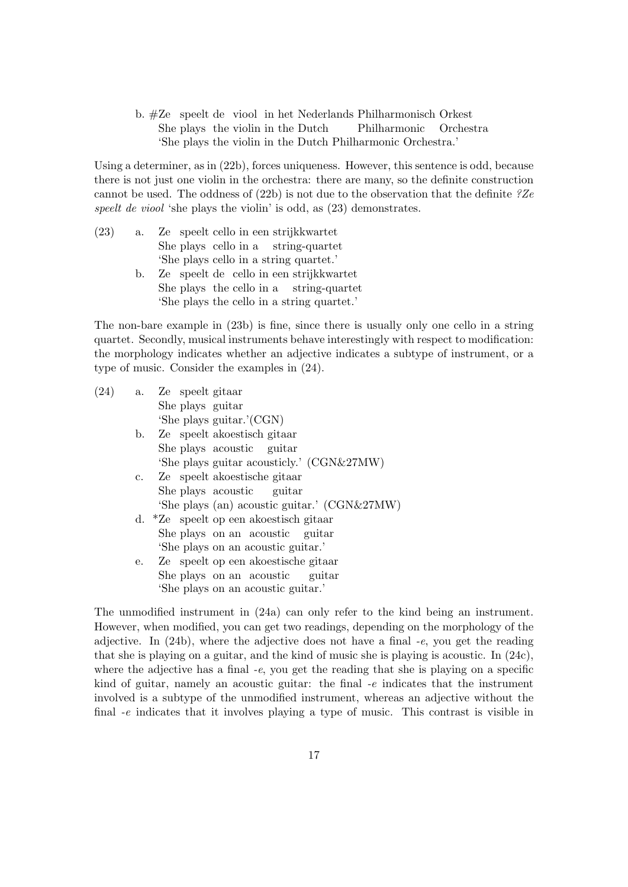b. #Ze speelt de viool in het Nederlands Philharmonisch Orkest She plays the violin in the Dutch Philharmonic Orchestra 'She plays the violin in the Dutch Philharmonic Orchestra.'

Using a determiner, as in (22b), forces uniqueness. However, this sentence is odd, because there is not just one violin in the orchestra: there are many, so the definite construction cannot be used. The oddness of  $(22b)$  is not due to the observation that the definite  $?Ze$ speelt de viool 'she plays the violin' is odd, as  $(23)$  demonstrates.

- $(23)$  a. She plays cello in a string-quartet speelt cello in een strijkkwartet 'She plays cello in a string quartet.'
	- b. Ze speelt de cello in een strijkkwartet She plays the cello in a string-quartet 'She plays the cello in a string quartet.'

The non-bare example in (23b) is fine, since there is usually only one cello in a string quartet. Secondly, musical instruments behave interestingly with respect to modification: the morphology indicates whether an adjective indicates a subtype of instrument, or a type of music. Consider the examples in (24).

| (24) |    | a. Ze speelt gitaar                                |
|------|----|----------------------------------------------------|
|      |    | She plays guitar                                   |
|      |    | 'She plays guitar.'(CGN)                           |
|      |    | b. Ze speelt akoestisch gitaar                     |
|      |    | She plays acoustic guitar                          |
|      |    | 'She plays guitar acousticly.' (CGN&27MW)          |
|      |    | c. Ze speelt akoestische gitaar                    |
|      |    | She plays acoustic guitar                          |
|      |    | 'She plays (an) acoustic guitar.' (CGN&27MW)       |
|      |    | d. <sup>*</sup> Ze speelt op een akoestisch gitaar |
|      |    | She plays on an acoustic guitar                    |
|      |    | 'She plays on an acoustic guitar.'                 |
|      | e. | Ze speelt op een akoestische gitaar                |
|      |    | She plays on an acoustic guitar                    |
|      |    | 'She plays on an acoustic guitar.'                 |

The unmodified instrument in (24a) can only refer to the kind being an instrument. However, when modified, you can get two readings, depending on the morphology of the adjective. In (24b), where the adjective does not have a final -e, you get the reading that she is playing on a guitar, and the kind of music she is playing is acoustic. In (24c), where the adjective has a final  $-e$ , you get the reading that she is playing on a specific kind of guitar, namely an acoustic guitar: the final -e indicates that the instrument involved is a subtype of the unmodified instrument, whereas an adjective without the final -e indicates that it involves playing a type of music. This contrast is visible in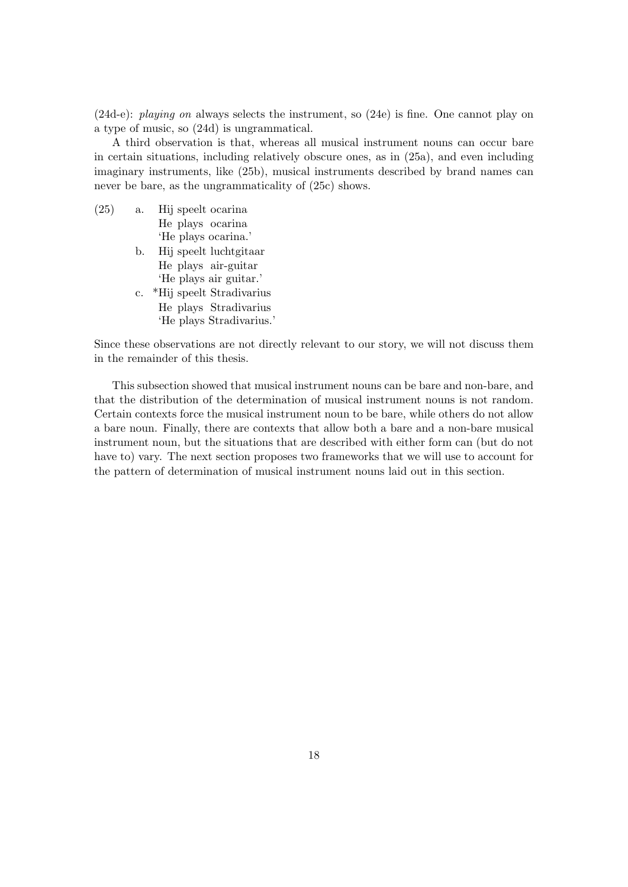(24d-e): playing on always selects the instrument, so (24e) is fine. One cannot play on a type of music, so (24d) is ungrammatical.

A third observation is that, whereas all musical instrument nouns can occur bare in certain situations, including relatively obscure ones, as in (25a), and even including imaginary instruments, like (25b), musical instruments described by brand names can never be bare, as the ungrammaticality of (25c) shows.

- $(25)$  a. He plays ocarina speelt ocarina 'He plays ocarina.'
	- b. Hij speelt luchtgitaar He plays air-guitar 'He plays air guitar.'
	- c. \*Hij speelt Stradivarius He plays Stradivarius 'He plays Stradivarius.'

Since these observations are not directly relevant to our story, we will not discuss them in the remainder of this thesis.

This subsection showed that musical instrument nouns can be bare and non-bare, and that the distribution of the determination of musical instrument nouns is not random. Certain contexts force the musical instrument noun to be bare, while others do not allow a bare noun. Finally, there are contexts that allow both a bare and a non-bare musical instrument noun, but the situations that are described with either form can (but do not have to) vary. The next section proposes two frameworks that we will use to account for the pattern of determination of musical instrument nouns laid out in this section.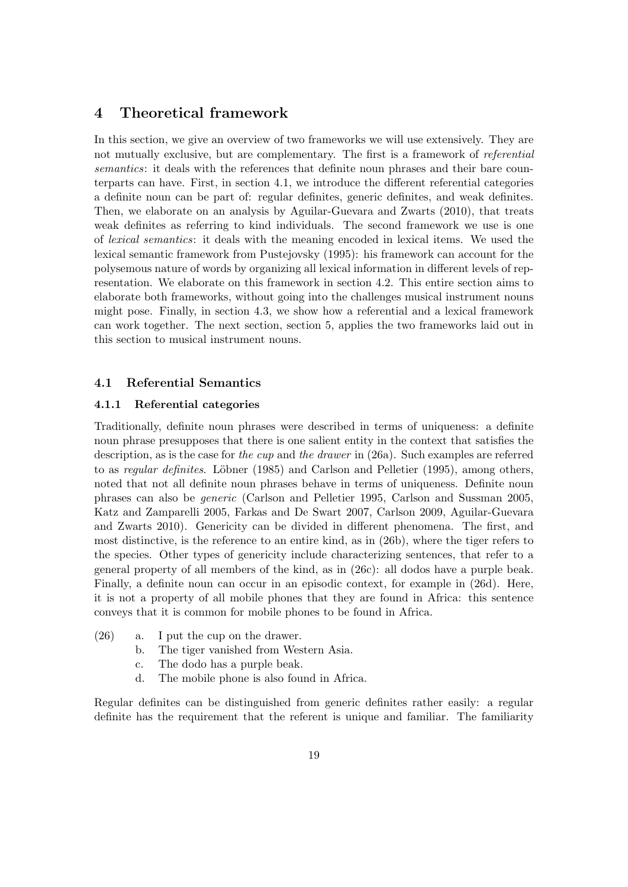# 4 Theoretical framework

In this section, we give an overview of two frameworks we will use extensively. They are not mutually exclusive, but are complementary. The first is a framework of referential semantics: it deals with the references that definite noun phrases and their bare counterparts can have. First, in section 4.1, we introduce the different referential categories a definite noun can be part of: regular definites, generic definites, and weak definites. Then, we elaborate on an analysis by Aguilar-Guevara and Zwarts (2010), that treats weak definites as referring to kind individuals. The second framework we use is one of lexical semantics: it deals with the meaning encoded in lexical items. We used the lexical semantic framework from Pustejovsky (1995): his framework can account for the polysemous nature of words by organizing all lexical information in different levels of representation. We elaborate on this framework in section 4.2. This entire section aims to elaborate both frameworks, without going into the challenges musical instrument nouns might pose. Finally, in section 4.3, we show how a referential and a lexical framework can work together. The next section, section 5, applies the two frameworks laid out in this section to musical instrument nouns.

### 4.1 Referential Semantics

#### 4.1.1 Referential categories

Traditionally, definite noun phrases were described in terms of uniqueness: a definite noun phrase presupposes that there is one salient entity in the context that satisfies the description, as is the case for the cup and the drawer in (26a). Such examples are referred to as *regular definites.* Löbner (1985) and Carlson and Pelletier (1995), among others, noted that not all definite noun phrases behave in terms of uniqueness. Definite noun phrases can also be generic (Carlson and Pelletier 1995, Carlson and Sussman 2005, Katz and Zamparelli 2005, Farkas and De Swart 2007, Carlson 2009, Aguilar-Guevara and Zwarts 2010). Genericity can be divided in different phenomena. The first, and most distinctive, is the reference to an entire kind, as in (26b), where the tiger refers to the species. Other types of genericity include characterizing sentences, that refer to a general property of all members of the kind, as in (26c): all dodos have a purple beak. Finally, a definite noun can occur in an episodic context, for example in (26d). Here, it is not a property of all mobile phones that they are found in Africa: this sentence conveys that it is common for mobile phones to be found in Africa.

- (26) a. I put the cup on the drawer.
	- b. The tiger vanished from Western Asia.
	- c. The dodo has a purple beak.
	- d. The mobile phone is also found in Africa.

Regular definites can be distinguished from generic definites rather easily: a regular definite has the requirement that the referent is unique and familiar. The familiarity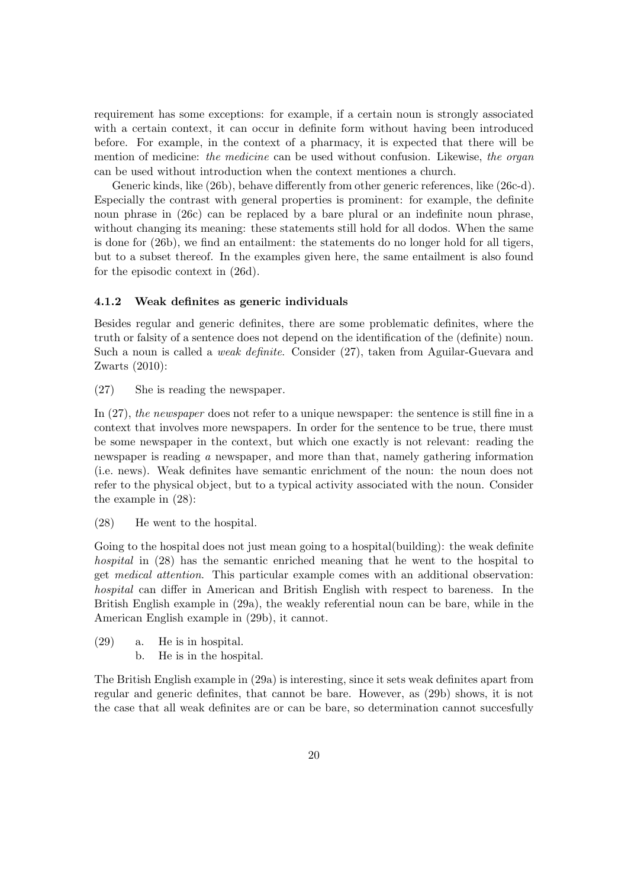requirement has some exceptions: for example, if a certain noun is strongly associated with a certain context, it can occur in definite form without having been introduced before. For example, in the context of a pharmacy, it is expected that there will be mention of medicine: the medicine can be used without confusion. Likewise, the organ can be used without introduction when the context mentiones a church.

Generic kinds, like (26b), behave differently from other generic references, like (26c-d). Especially the contrast with general properties is prominent: for example, the definite noun phrase in (26c) can be replaced by a bare plural or an indefinite noun phrase, without changing its meaning: these statements still hold for all dodos. When the same is done for (26b), we find an entailment: the statements do no longer hold for all tigers, but to a subset thereof. In the examples given here, the same entailment is also found for the episodic context in (26d).

#### 4.1.2 Weak definites as generic individuals

Besides regular and generic definites, there are some problematic definites, where the truth or falsity of a sentence does not depend on the identification of the (definite) noun. Such a noun is called a weak definite. Consider (27), taken from Aguilar-Guevara and Zwarts (2010):

(27) She is reading the newspaper.

In (27), the newspaper does not refer to a unique newspaper: the sentence is still fine in a context that involves more newspapers. In order for the sentence to be true, there must be some newspaper in the context, but which one exactly is not relevant: reading the newspaper is reading a newspaper, and more than that, namely gathering information (i.e. news). Weak definites have semantic enrichment of the noun: the noun does not refer to the physical object, but to a typical activity associated with the noun. Consider the example in (28):

(28) He went to the hospital.

Going to the hospital does not just mean going to a hospital (building): the weak definite hospital in (28) has the semantic enriched meaning that he went to the hospital to get medical attention. This particular example comes with an additional observation: hospital can differ in American and British English with respect to bareness. In the British English example in (29a), the weakly referential noun can be bare, while in the American English example in (29b), it cannot.

- (29) a. He is in hospital.
	- b. He is in the hospital.

The British English example in (29a) is interesting, since it sets weak definites apart from regular and generic definites, that cannot be bare. However, as (29b) shows, it is not the case that all weak definites are or can be bare, so determination cannot succesfully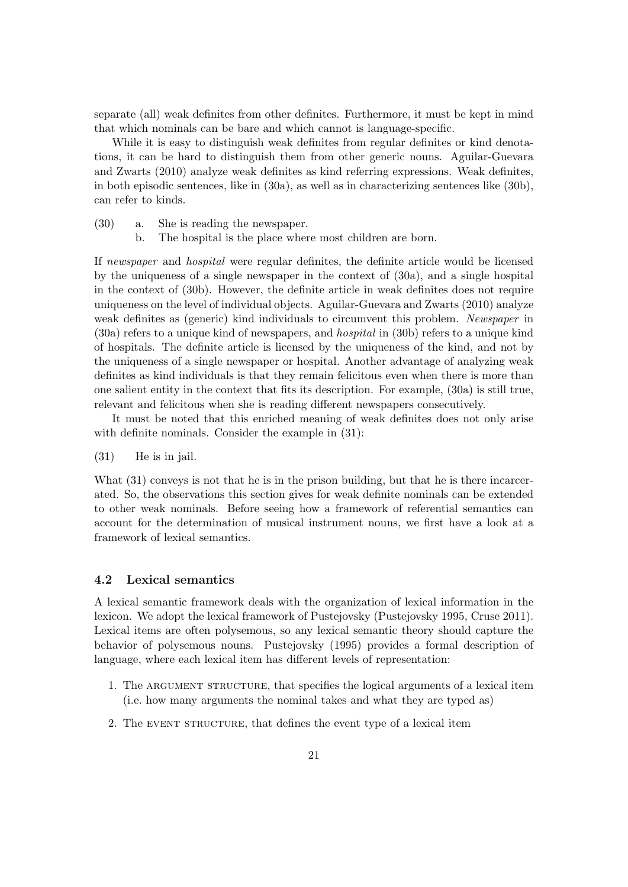separate (all) weak definites from other definites. Furthermore, it must be kept in mind that which nominals can be bare and which cannot is language-specific.

While it is easy to distinguish weak definites from regular definites or kind denotations, it can be hard to distinguish them from other generic nouns. Aguilar-Guevara and Zwarts (2010) analyze weak definites as kind referring expressions. Weak definites, in both episodic sentences, like in (30a), as well as in characterizing sentences like (30b), can refer to kinds.

- (30) a. She is reading the newspaper.
	- b. The hospital is the place where most children are born.

If newspaper and hospital were regular definites, the definite article would be licensed by the uniqueness of a single newspaper in the context of (30a), and a single hospital in the context of (30b). However, the definite article in weak definites does not require uniqueness on the level of individual objects. Aguilar-Guevara and Zwarts (2010) analyze weak definites as (generic) kind individuals to circumvent this problem. Newspaper in (30a) refers to a unique kind of newspapers, and hospital in (30b) refers to a unique kind of hospitals. The definite article is licensed by the uniqueness of the kind, and not by the uniqueness of a single newspaper or hospital. Another advantage of analyzing weak definites as kind individuals is that they remain felicitous even when there is more than one salient entity in the context that fits its description. For example, (30a) is still true, relevant and felicitous when she is reading different newspapers consecutively.

It must be noted that this enriched meaning of weak definites does not only arise with definite nominals. Consider the example in  $(31)$ :

(31) He is in jail.

What  $(31)$  conveys is not that he is in the prison building, but that he is there incarcerated. So, the observations this section gives for weak definite nominals can be extended to other weak nominals. Before seeing how a framework of referential semantics can account for the determination of musical instrument nouns, we first have a look at a framework of lexical semantics.

#### 4.2 Lexical semantics

A lexical semantic framework deals with the organization of lexical information in the lexicon. We adopt the lexical framework of Pustejovsky (Pustejovsky 1995, Cruse 2011). Lexical items are often polysemous, so any lexical semantic theory should capture the behavior of polysemous nouns. Pustejovsky (1995) provides a formal description of language, where each lexical item has different levels of representation:

- 1. The ARGUMENT STRUCTURE, that specifies the logical arguments of a lexical item (i.e. how many arguments the nominal takes and what they are typed as)
- 2. The EVENT STRUCTURE, that defines the event type of a lexical item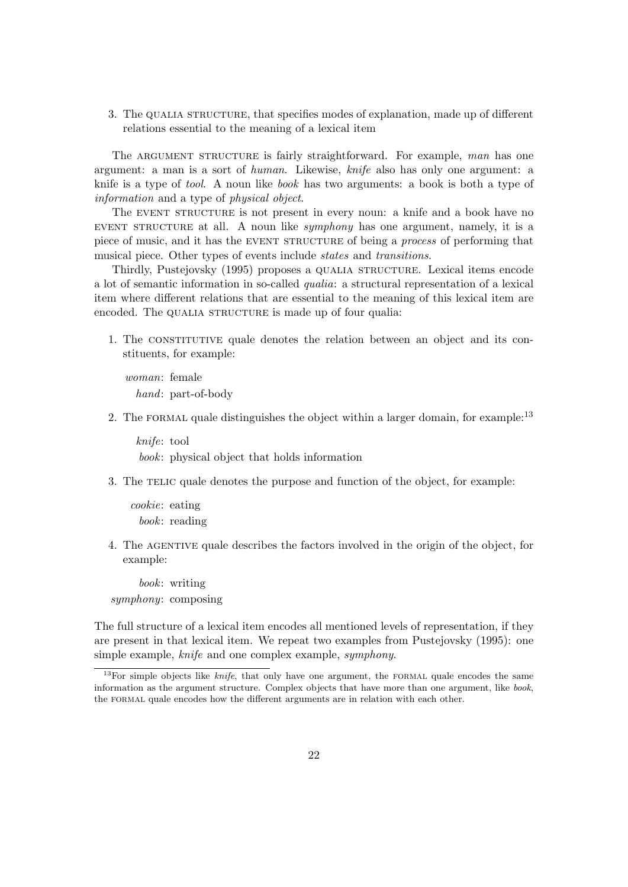3. The QUALIA STRUCTURE, that specifies modes of explanation, made up of different relations essential to the meaning of a lexical item

The ARGUMENT STRUCTURE is fairly straightforward. For example, man has one argument: a man is a sort of human. Likewise, knife also has only one argument: a knife is a type of *tool*. A noun like *book* has two arguments: a book is both a type of information and a type of physical object.

The EVENT STRUCTURE is not present in every noun: a knife and a book have no EVENT STRUCTURE at all. A noun like *symphony* has one argument, namely, it is a piece of music, and it has the event structure of being a process of performing that musical piece. Other types of events include states and transitions.

Thirdly, Pustejovsky (1995) proposes a qualia structure. Lexical items encode a lot of semantic information in so-called qualia: a structural representation of a lexical item where different relations that are essential to the meaning of this lexical item are encoded. The QUALIA STRUCTURE is made up of four qualia:

1. The CONSTITUTIVE quale denotes the relation between an object and its constituents, for example:

woman: female hand: part-of-body

2. The FORMAL quale distinguishes the object within a larger domain, for example:<sup>13</sup>

knife: tool book: physical object that holds information

3. The TELIC quale denotes the purpose and function of the object, for example:

cookie: eating book: reading

4. The agentive quale describes the factors involved in the origin of the object, for example:

book: writing symphony: composing

The full structure of a lexical item encodes all mentioned levels of representation, if they are present in that lexical item. We repeat two examples from Pustejovsky (1995): one simple example, knife and one complex example, symphony.

<sup>&</sup>lt;sup>13</sup>For simple objects like *knife*, that only have one argument, the FORMAL quale encodes the same information as the argument structure. Complex objects that have more than one argument, like book, the formal quale encodes how the different arguments are in relation with each other.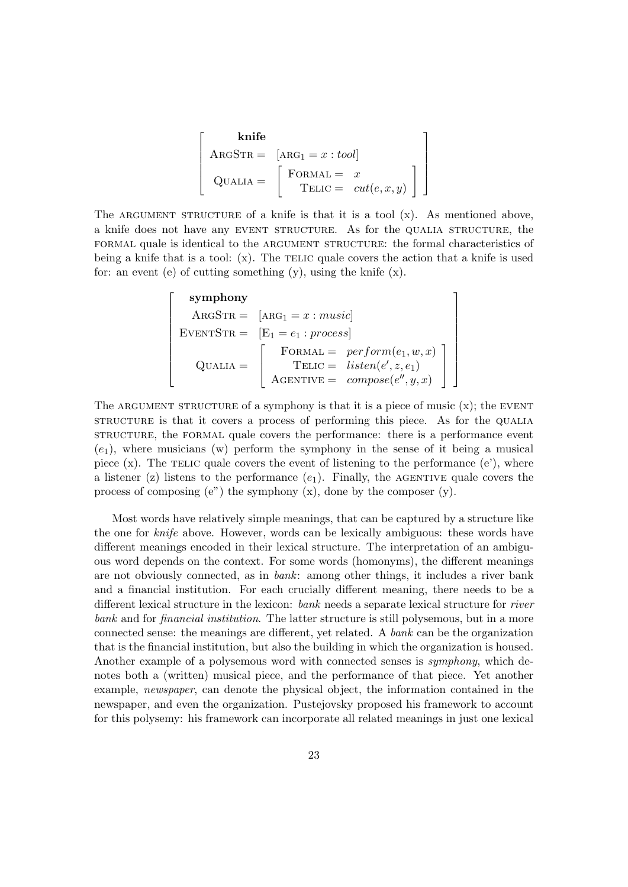$$
\begin{bmatrix}\n\text{knife} \\
\text{ARGSTR} = [\text{ARG}_1 = x : tool] \\
\text{QualIA} = \begin{bmatrix}\n\text{FORMAL} = x \\
\text{TELIC} = cut(e, x, y)\n\end{bmatrix}
$$

The ARGUMENT STRUCTURE of a knife is that it is a tool  $(x)$ . As mentioned above, a knife does not have any event structure. As for the qualia structure, the formal quale is identical to the argument structure: the formal characteristics of being a knife that is a tool:  $(x)$ . The TELIC quale covers the action that a knife is used for: an event (e) of cutting something  $(y)$ , using the knife  $(x)$ .

$$
\begin{bmatrix}\n\text{symphony} \\
\text{ARGSTR} = [\text{ARG}_1 = x : music] \\
\text{EVENTSTR} = [\text{E}_1 = e_1 : process] \\
\text{QUALIA} = \begin{bmatrix}\n\text{FORMAL} = perform(e_1, w, x) \\
\text{TELIC} = listen(e', z, e_1) \\
\text{AGENTIVE} = compose(e'', y, x)\n\end{bmatrix}\n\end{bmatrix}
$$

1  $\overline{\phantom{a}}$  $\overline{1}$  $\overline{1}$  $\overline{1}$  $\overline{1}$  $\overline{1}$  $\overline{1}$  $\overline{1}$  $\overline{1}$  $\overline{1}$ 

The ARGUMENT STRUCTURE of a symphony is that it is a piece of music  $(x)$ ; the EVENT structure is that it covers a process of performing this piece. As for the QUALIA structure, the formal quale covers the performance: there is a performance event  $(e_1)$ , where musicians (w) perform the symphony in the sense of it being a musical piece  $(x)$ . The TELIC quale covers the event of listening to the performance  $(e)$ , where a listener (z) listens to the performance  $(e_1)$ . Finally, the AGENTIVE quale covers the process of composing  $(e^x)$  the symphony  $(x)$ , done by the composer  $(y)$ .

Most words have relatively simple meanings, that can be captured by a structure like the one for knife above. However, words can be lexically ambiguous: these words have different meanings encoded in their lexical structure. The interpretation of an ambiguous word depends on the context. For some words (homonyms), the different meanings are not obviously connected, as in bank: among other things, it includes a river bank and a financial institution. For each crucially different meaning, there needs to be a different lexical structure in the lexicon: bank needs a separate lexical structure for *river* bank and for financial institution. The latter structure is still polysemous, but in a more connected sense: the meanings are different, yet related. A bank can be the organization that is the financial institution, but also the building in which the organization is housed. Another example of a polysemous word with connected senses is symphony, which denotes both a (written) musical piece, and the performance of that piece. Yet another example, newspaper, can denote the physical object, the information contained in the newspaper, and even the organization. Pustejovsky proposed his framework to account for this polysemy: his framework can incorporate all related meanings in just one lexical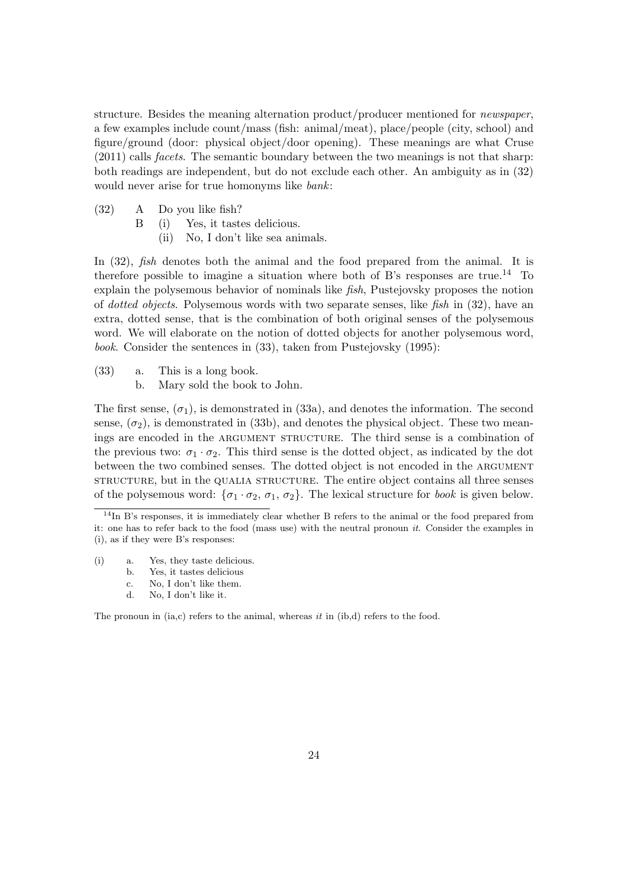structure. Besides the meaning alternation product/producer mentioned for newspaper, a few examples include count/mass (fish: animal/meat), place/people (city, school) and figure/ground (door: physical object/door opening). These meanings are what Cruse (2011) calls facets. The semantic boundary between the two meanings is not that sharp: both readings are independent, but do not exclude each other. An ambiguity as in (32) would never arise for true homonyms like *bank*:

- (32) A Do you like fish?
	- B (i) Yes, it tastes delicious.
		- (ii) No, I don't like sea animals.

In (32), *fish* denotes both the animal and the food prepared from the animal. It is therefore possible to imagine a situation where both of B's responses are true.<sup>14</sup> To explain the polysemous behavior of nominals like fish, Pustejovsky proposes the notion of dotted objects. Polysemous words with two separate senses, like fish in (32), have an extra, dotted sense, that is the combination of both original senses of the polysemous word. We will elaborate on the notion of dotted objects for another polysemous word, book. Consider the sentences in (33), taken from Pustejovsky (1995):

- (33) a. This is a long book.
	- b. Mary sold the book to John.

The first sense,  $(\sigma_1)$ , is demonstrated in (33a), and denotes the information. The second sense,  $(\sigma_2)$ , is demonstrated in (33b), and denotes the physical object. These two meanings are encoded in the ARGUMENT STRUCTURE. The third sense is a combination of the previous two:  $\sigma_1 \cdot \sigma_2$ . This third sense is the dotted object, as indicated by the dot between the two combined senses. The dotted object is not encoded in the ARGUMENT structure, but in the qualia structure. The entire object contains all three senses of the polysemous word:  $\{\sigma_1 \cdot \sigma_2, \sigma_1, \sigma_2\}$ . The lexical structure for *book* is given below.

- (i) a. Yes, they taste delicious.
	- b. Yes, it tastes delicious
	- c. No, I don't like them.
	- d. No, I don't like it.

The pronoun in  $(ia, c)$  refers to the animal, whereas  $it$  in  $(ib,d)$  refers to the food.

<sup>&</sup>lt;sup>14</sup>In B's responses, it is immediately clear whether B refers to the animal or the food prepared from it: one has to refer back to the food (mass use) with the neutral pronoun it. Consider the examples in (i), as if they were B's responses: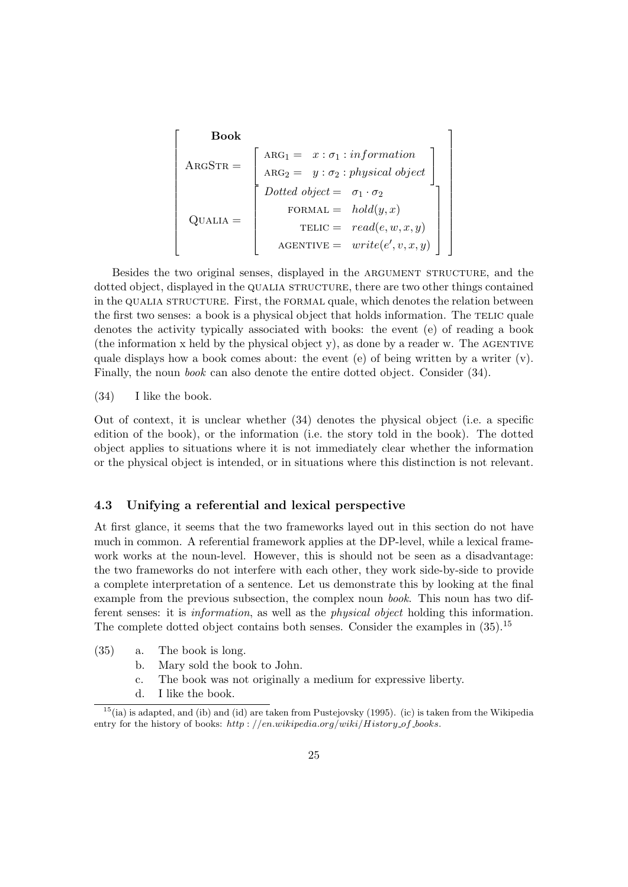| Book                                             |                                                                                                                               |
|--------------------------------------------------|-------------------------------------------------------------------------------------------------------------------------------|
| ARGSTR =                                         | \n $\begin{bmatrix}\n$ \n $ARG_{1} = x : \sigma_{1} : information \\ $ \n $ARG_{2} = y : \sigma_{2} : physical \ object\n$ \n |
| Dotted object = $\sigma_{1} \cdot \sigma_{2}$ \n |                                                                                                                               |
| QUALIA =                                         | \n $FORMAL = hold(y, x)$ \n                                                                                                   |
| TELIC = read(e, w, x, y)                         |                                                                                                                               |
| AGENTIVE = write(e', v, x, y)                    |                                                                                                                               |

Besides the two original senses, displayed in the ARGUMENT STRUCTURE, and the dotted object, displayed in the QUALIA STRUCTURE, there are two other things contained in the qualia structure. First, the formal quale, which denotes the relation between the first two senses: a book is a physical object that holds information. The TELIC quale denotes the activity typically associated with books: the event (e) of reading a book (the information  $x$  held by the physical object  $y$ ), as done by a reader w. The AGENTIVE quale displays how a book comes about: the event  $(e)$  of being written by a writer  $(v)$ . Finally, the noun *book* can also denote the entire dotted object. Consider (34).

(34) I like the book.

Out of context, it is unclear whether (34) denotes the physical object (i.e. a specific edition of the book), or the information (i.e. the story told in the book). The dotted object applies to situations where it is not immediately clear whether the information or the physical object is intended, or in situations where this distinction is not relevant.

### 4.3 Unifying a referential and lexical perspective

At first glance, it seems that the two frameworks layed out in this section do not have much in common. A referential framework applies at the DP-level, while a lexical framework works at the noun-level. However, this is should not be seen as a disadvantage: the two frameworks do not interfere with each other, they work side-by-side to provide a complete interpretation of a sentence. Let us demonstrate this by looking at the final example from the previous subsection, the complex noun book. This noun has two different senses: it is information, as well as the physical object holding this information. The complete dotted object contains both senses. Consider the examples in  $(35)$ .<sup>15</sup>

- (35) a. The book is long.
	- b. Mary sold the book to John.
	- c. The book was not originally a medium for expressive liberty.
	- d. I like the book.

 $15(ia)$  is adapted, and (ib) and (id) are taken from Pustejovsky (1995). (ic) is taken from the Wikipedia entry for the history of books:  $http://en.wikipedia.org/wiki/History_of-books$ .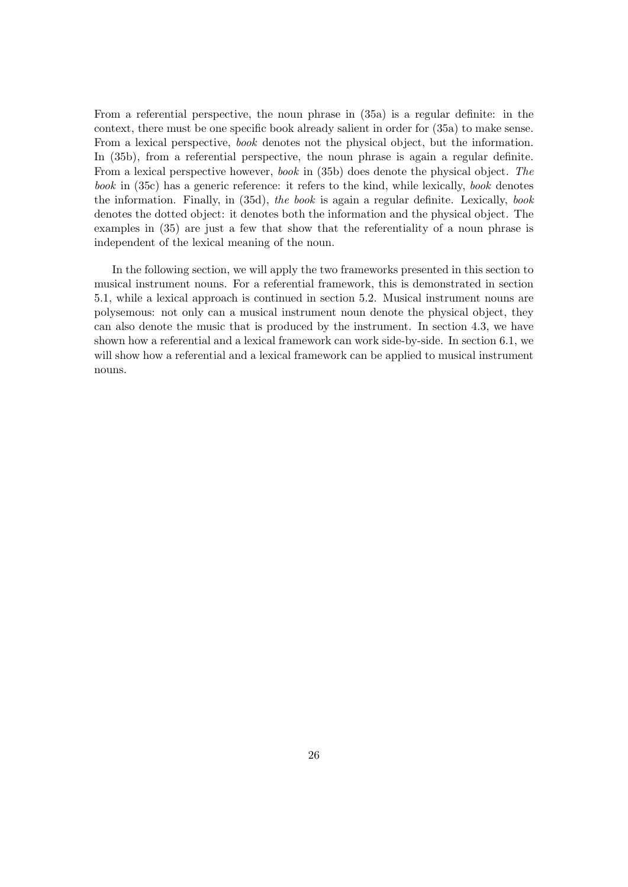From a referential perspective, the noun phrase in (35a) is a regular definite: in the context, there must be one specific book already salient in order for (35a) to make sense. From a lexical perspective, book denotes not the physical object, but the information. In (35b), from a referential perspective, the noun phrase is again a regular definite. From a lexical perspective however, book in (35b) does denote the physical object. The book in (35c) has a generic reference: it refers to the kind, while lexically, book denotes the information. Finally, in (35d), the book is again a regular definite. Lexically, book denotes the dotted object: it denotes both the information and the physical object. The examples in (35) are just a few that show that the referentiality of a noun phrase is independent of the lexical meaning of the noun.

In the following section, we will apply the two frameworks presented in this section to musical instrument nouns. For a referential framework, this is demonstrated in section 5.1, while a lexical approach is continued in section 5.2. Musical instrument nouns are polysemous: not only can a musical instrument noun denote the physical object, they can also denote the music that is produced by the instrument. In section 4.3, we have shown how a referential and a lexical framework can work side-by-side. In section 6.1, we will show how a referential and a lexical framework can be applied to musical instrument nouns.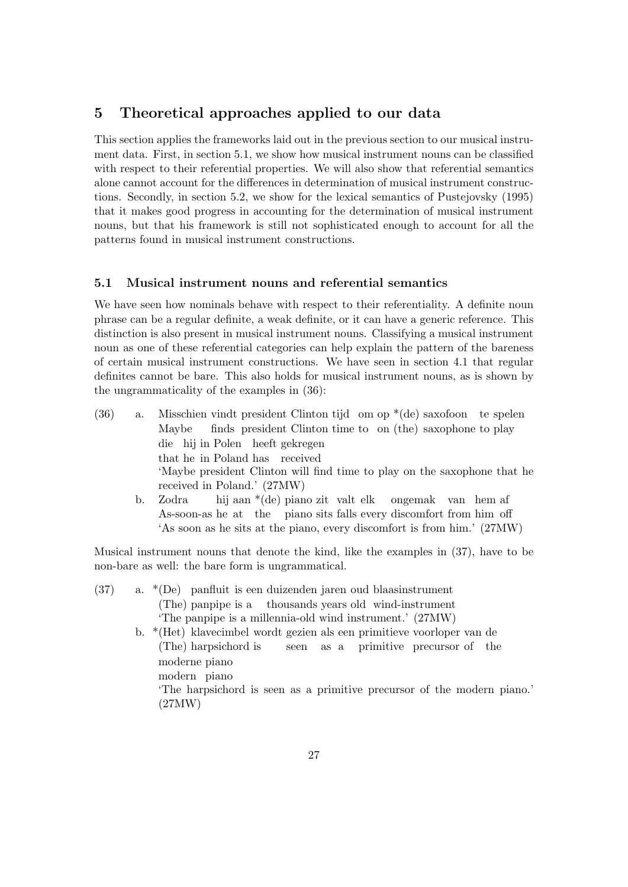# 5 Theoretical approaches applied to our data

This section applies the frameworks laid out in the previous section to our musical instrument data. First, in section 5.1, we show how musical instrument nouns can be classified with respect to their referential properties. We will also show that referential semantics alone cannot account for the differences in determination of musical instrument constructions. Secondly, in section 5.2, we show for the lexical semantics of Pustejovsky (1995) that it makes good progress in accounting for the determination of musical instrument nouns, but that his framework is still not sophisticated enough to account for all the patterns found in musical instrument constructions.

### 5.1 Musical instrument nouns and referential semantics

We have seen how nominals behave with respect to their referentiality. A definite noun phrase can be a regular definite, a weak definite, or it can have a generic reference. This distinction is also present in musical instrument nouns. Classifying a musical instrument noun as one of these referential categories can help explain the pattern of the bareness of certain musical instrument constructions. We have seen in section 4.1 that regular definites cannot be bare. This also holds for musical instrument nouns, as is shown by the ungrammaticality of the examples in (36):

| a. | Misschien vindt president Clinton tijd om op $*(de)$ saxofoon te spelen  |
|----|--------------------------------------------------------------------------|
|    | Maybe finds president Clinton time to on (the) saxophone to play         |
|    | die hij in Polen heeft gekregen                                          |
|    | that he in Poland has received                                           |
|    | 'Maybe president Clinton will find time to play on the saxophone that he |
|    | received in Poland.' (27MW)                                              |
| b. | Zodra hij $\arctan*(de)$ piano zit valt elk ongemak van hem af           |
|    |                                                                          |

As-soon-as he at the piano sits falls every discomfort from him off 'As soon as he sits at the piano, every discomfort is from him.' (27MW)

Musical instrument nouns that denote the kind, like the examples in (37), have to be non-bare as well: the bare form is ungrammatical.

| (37) | a. $*(De)$ panfluit is een duizenden jaren oud blaasinstrument                  |
|------|---------------------------------------------------------------------------------|
|      | (The) panpipe is a thousands years old wind-instrument                          |
|      | 'The panpipe is a millennia-old wind instrument.' (27MW)                        |
|      | b. $*(\text{Het})$ klavecimbel wordt gezien als een primitieve voorloper van de |
|      | (The) harpsichord is seen as a primitive precursor of the                       |
|      | moderne piano                                                                   |
|      | modern piano                                                                    |
|      | The harpsichord is seen as a primitive precursor of the modern piano.           |
|      | (27MW)                                                                          |
|      |                                                                                 |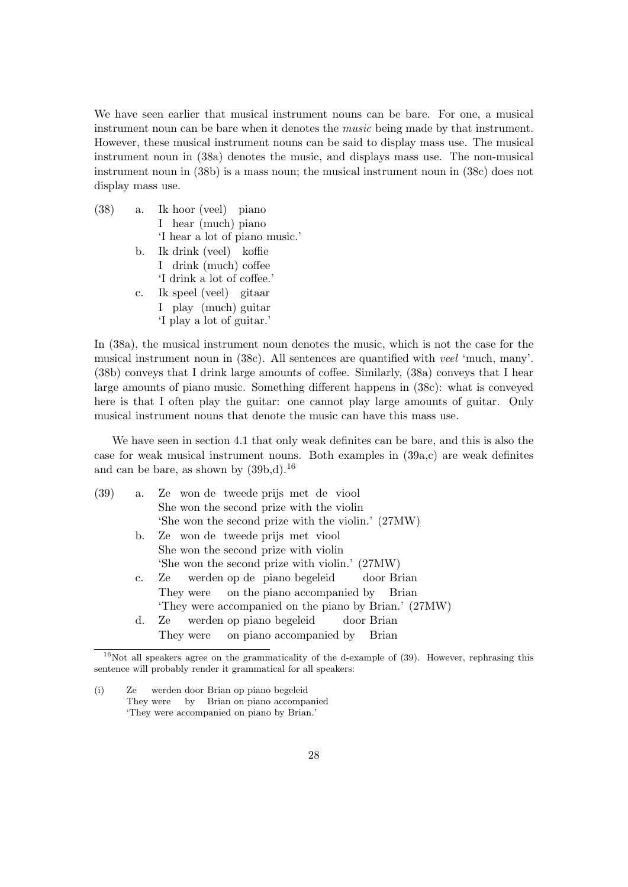We have seen earlier that musical instrument nouns can be bare. For one, a musical instrument noun can be bare when it denotes the music being made by that instrument. However, these musical instrument nouns can be said to display mass use. The musical instrument noun in (38a) denotes the music, and displays mass use. The non-musical instrument noun in (38b) is a mass noun; the musical instrument noun in (38c) does not display mass use.

 $(38)$  a. I hear (much) piano hoor (veel) piano 'I hear a lot of piano music.' b. Ik drink (veel) koffie I drink (much) coffee 'I drink a lot of coffee.' c. Ik speel (veel) gitaar I play (much) guitar 'I play a lot of guitar.'

In (38a), the musical instrument noun denotes the music, which is not the case for the musical instrument noun in (38c). All sentences are quantified with veel 'much, many'. (38b) conveys that I drink large amounts of coffee. Similarly, (38a) conveys that I hear large amounts of piano music. Something different happens in (38c): what is conveyed here is that I often play the guitar: one cannot play large amounts of guitar. Only musical instrument nouns that denote the music can have this mass use.

We have seen in section 4.1 that only weak definites can be bare, and this is also the case for weak musical instrument nouns. Both examples in (39a,c) are weak definites and can be bare, as shown by  $(39b,d).^{16}$ 

| (39) |             | a. Ze won de tweede prijs met de viool                |
|------|-------------|-------------------------------------------------------|
|      |             | She won the second prize with the violin              |
|      |             | 'She won the second prize with the violin.' (27MW)    |
|      | b.          | Ze won de tweede prijs met viool                      |
|      |             | She won the second prize with violin                  |
|      |             | 'She won the second prize with violin.' (27MW)        |
|      | $c_{\cdot}$ | Ze werden op de piano begeleid door Brian             |
|      |             | They were on the piano accompanied by Brian           |
|      |             | 'They were accompanied on the piano by Brian.' (27MW) |
|      | d.          | Ze werden op piano begeleid door Brian                |
|      |             | They were on piano accompanied by Brian               |
|      |             |                                                       |

 $16$ Not all speakers agree on the grammaticality of the d-example of (39). However, rephrasing this sentence will probably render it grammatical for all speakers:

<sup>(</sup>i) Ze They were by Brian on piano accompanied werden door Brian op piano begeleid 'They were accompanied on piano by Brian.'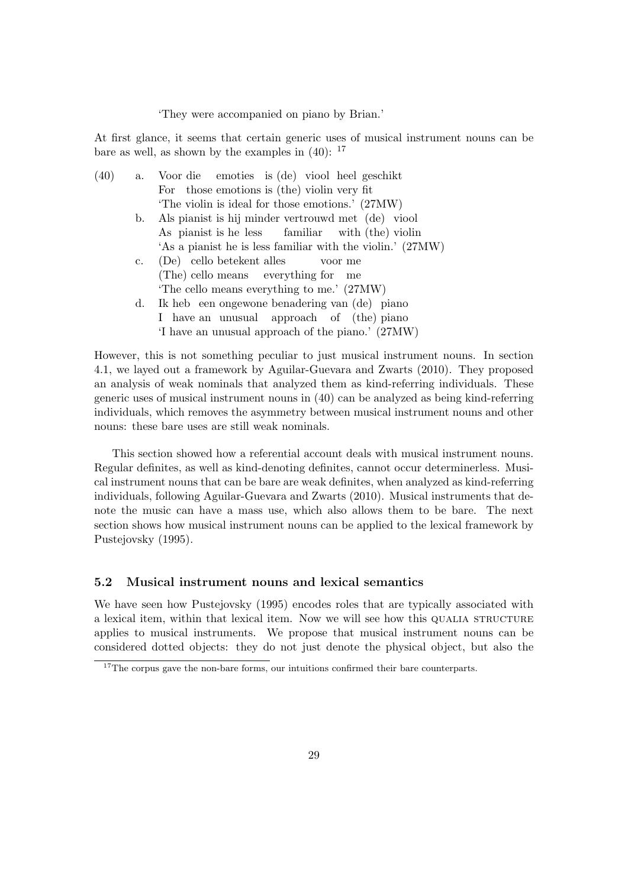#### 'They were accompanied on piano by Brian.'

At first glance, it seems that certain generic uses of musical instrument nouns can be bare as well, as shown by the examples in  $(40)$ :  $^{17}$ 

| (40) |    | a. Voor die emoties is (de) viool heel geschikt            |
|------|----|------------------------------------------------------------|
|      |    | For those emotions is (the) violin very fit                |
|      |    | 'The violin is ideal for those emotions.' (27MW)           |
|      | b. | Als pianist is hij minder vertrouwd met (de) viool         |
|      |    | As pianist is he less familiar with (the) violin           |
|      |    | 'As a pianist he is less familiar with the violin.' (27MW) |
|      | c. | (De) cello betekent alles voor me                          |
|      |    | (The) cello means everything for me                        |
|      |    | The cello means everything to me.' (27MW)                  |
|      | d. | Ik heb een ongewone benadering van (de) piano              |
|      |    | I have an unusual approach of (the) piano                  |
|      |    | 'I have an unusual approach of the piano.' (27MW)          |

However, this is not something peculiar to just musical instrument nouns. In section 4.1, we layed out a framework by Aguilar-Guevara and Zwarts (2010). They proposed an analysis of weak nominals that analyzed them as kind-referring individuals. These generic uses of musical instrument nouns in (40) can be analyzed as being kind-referring individuals, which removes the asymmetry between musical instrument nouns and other nouns: these bare uses are still weak nominals.

This section showed how a referential account deals with musical instrument nouns. Regular definites, as well as kind-denoting definites, cannot occur determinerless. Musical instrument nouns that can be bare are weak definites, when analyzed as kind-referring individuals, following Aguilar-Guevara and Zwarts (2010). Musical instruments that denote the music can have a mass use, which also allows them to be bare. The next section shows how musical instrument nouns can be applied to the lexical framework by Pustejovsky (1995).

#### 5.2 Musical instrument nouns and lexical semantics

We have seen how Pustejovsky (1995) encodes roles that are typically associated with a lexical item, within that lexical item. Now we will see how this QUALIA STRUCTURE applies to musical instruments. We propose that musical instrument nouns can be considered dotted objects: they do not just denote the physical object, but also the

 $17$ The corpus gave the non-bare forms, our intuitions confirmed their bare counterparts.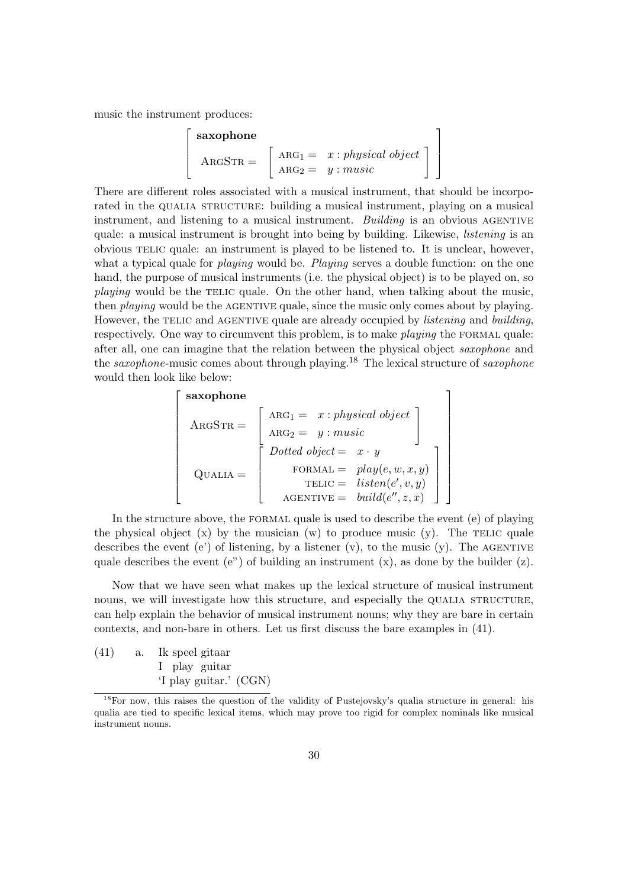music the instrument produces:

$$
\begin{bmatrix}\n\textbf{saxophone} \\
\textbf{A}\text{RGSTR} = \n\end{bmatrix}\n\begin{bmatrix}\n\text{A}\text{R}\text{G}_1 = x : \textit{physical object} \\
\text{A}\text{R}\text{G}_2 = y : \textit{music}\n\end{bmatrix}
$$

There are different roles associated with a musical instrument, that should be incorporated in the QUALIA STRUCTURE: building a musical instrument, playing on a musical instrument, and listening to a musical instrument. Building is an obvious AGENTIVE quale: a musical instrument is brought into being by building. Likewise, *listening* is an obvious telic quale: an instrument is played to be listened to. It is unclear, however, what a typical quale for *playing* would be. Playing serves a double function: on the one hand, the purpose of musical instruments (i.e. the physical object) is to be played on, so playing would be the TELIC quale. On the other hand, when talking about the music, then *playing* would be the AGENTIVE quale, since the music only comes about by playing. However, the TELIC and AGENTIVE quale are already occupied by *listening* and *building*, respectively. One way to circumvent this problem, is to make *playing* the FORMAL quale: after all, one can imagine that the relation between the physical object saxophone and the *saxophone*-music comes about through playing.<sup>18</sup> The lexical structure of *saxophone* would then look like below:

$$
\begin{bmatrix}\n\textbf{saxophone} \\
\text{ARGSTR} = \begin{bmatrix}\n\text{ARG}_1 = x : physical object \\
\text{ARG}_2 = y : music \\
\text{Dotted object} = x \cdot y \\
\text{FORMAL} = play(e, w, x, y) \\
\text{TELIC} = listen(e', v, y) \\
\text{AGENTIVE} = build(e'', z, x)\n\end{bmatrix}
$$

In the structure above, the formal quale is used to describe the event (e) of playing the physical object  $(x)$  by the musician  $(w)$  to produce music  $(y)$ . The TELIC quale describes the event (e') of listening, by a listener (v), to the music (y). The AGENTIVE quale describes the event (e") of building an instrument  $(x)$ , as done by the builder  $(z)$ .

Now that we have seen what makes up the lexical structure of musical instrument nouns, we will investigate how this structure, and especially the QUALIA STRUCTURE. can help explain the behavior of musical instrument nouns; why they are bare in certain contexts, and non-bare in others. Let us first discuss the bare examples in (41).

 $(41)$  a. I play guitar speel gitaar 'I play guitar.' (CGN)

<sup>18</sup>For now, this raises the question of the validity of Pustejovsky's qualia structure in general: his qualia are tied to specific lexical items, which may prove too rigid for complex nominals like musical instrument nouns.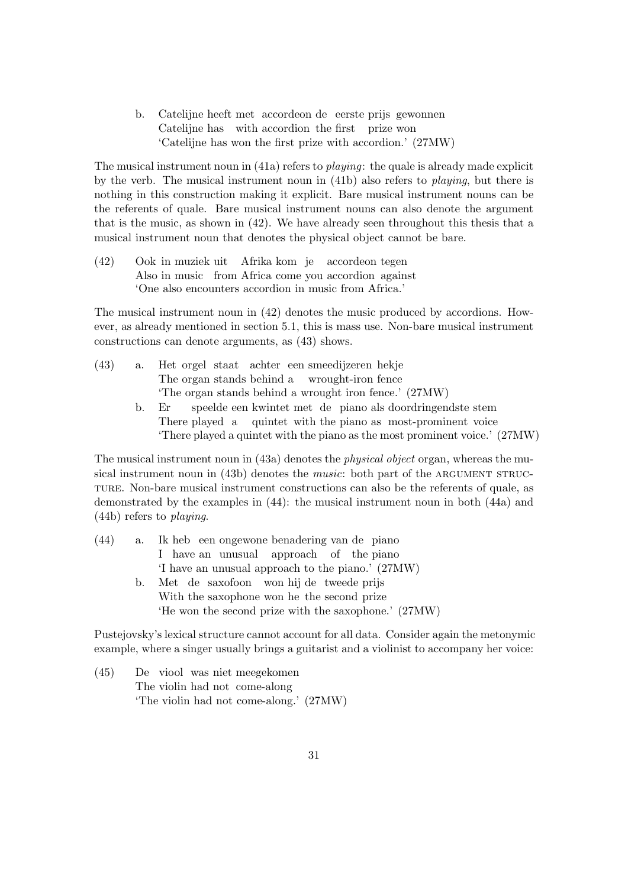b. Catelijne heeft met accordeon de eerste prijs gewonnen Catelijne has with accordion the first prize won 'Catelijne has won the first prize with accordion.' (27MW)

The musical instrument noun in (41a) refers to *playing*: the quale is already made explicit by the verb. The musical instrument noun in (41b) also refers to playing, but there is nothing in this construction making it explicit. Bare musical instrument nouns can be the referents of quale. Bare musical instrument nouns can also denote the argument that is the music, as shown in (42). We have already seen throughout this thesis that a musical instrument noun that denotes the physical object cannot be bare.

 $(42)$ Also in music from Africa come you accordion against in muziek uit Afrika kom je accordeon tegen 'One also encounters accordion in music from Africa.'

The musical instrument noun in (42) denotes the music produced by accordions. However, as already mentioned in section 5.1, this is mass use. Non-bare musical instrument constructions can denote arguments, as (43) shows.

- $(43)$  a. The organ stands behind a orgel staat achter een smeedijzeren hekje wrought-iron fence 'The organ stands behind a wrought iron fence.' (27MW)
	- b. Er There played a quintet with the piano as most-prominent voice speelde een kwintet met de piano als doordringendste stem 'There played a quintet with the piano as the most prominent voice.' (27MW)

The musical instrument noun in (43a) denotes the *physical object* organ, whereas the musical instrument noun in  $(43b)$  denotes the *music*: both part of the ARGUMENT STRUCture. Non-bare musical instrument constructions can also be the referents of quale, as demonstrated by the examples in (44): the musical instrument noun in both (44a) and (44b) refers to playing.

| (44) | a. Ik heb een ongewone benadering van de piano       |
|------|------------------------------------------------------|
|      | I have an unusual approach of the piano              |
|      | 'I have an unusual approach to the piano.' (27MW)    |
|      | b. Met de saxofoon won hij de tweede prijs           |
|      | With the saxophone won he the second prize           |
|      | 'He won the second prize with the saxophone.' (27MW) |
|      |                                                      |

Pustejovsky's lexical structure cannot account for all data. Consider again the metonymic example, where a singer usually brings a guitarist and a violinist to accompany her voice:

 $(45)$ The violin had not come-along viool was niet meegekomen 'The violin had not come-along.' (27MW)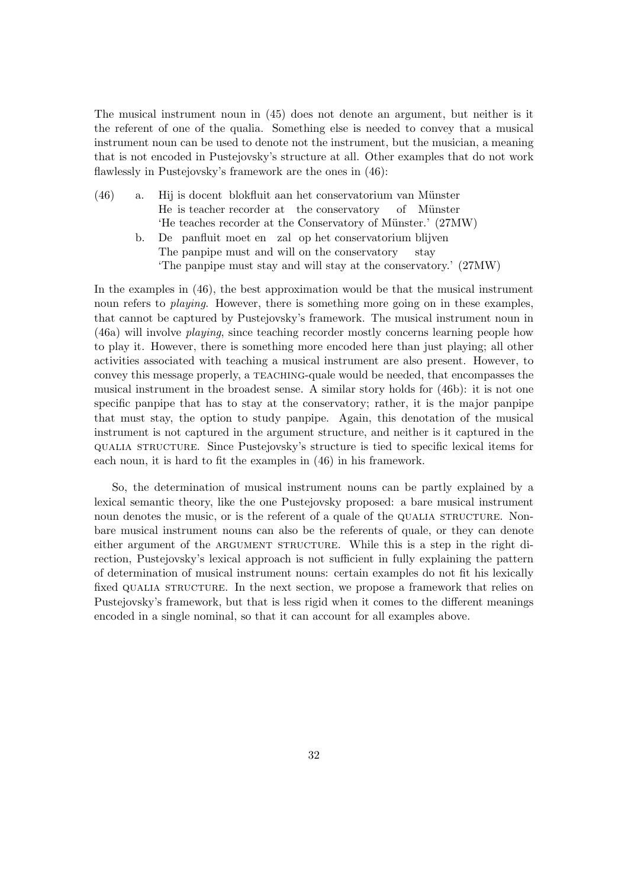The musical instrument noun in (45) does not denote an argument, but neither is it the referent of one of the qualia. Something else is needed to convey that a musical instrument noun can be used to denote not the instrument, but the musician, a meaning that is not encoded in Pustejovsky's structure at all. Other examples that do not work flawlessly in Pustejovsky's framework are the ones in (46):

- $(46)$  a. He is teacher recorder at the conservatory is docent blokfluit aan het conservatorium van Münster of Münster 'He teaches recorder at the Conservatory of Münster.' (27MW)
	- b. De panfluit moet en zal op het conservatorium blijven The panpipe must and will on the conservatory stay 'The panpipe must stay and will stay at the conservatory.' (27MW)

In the examples in (46), the best approximation would be that the musical instrument noun refers to *playing*. However, there is something more going on in these examples, that cannot be captured by Pustejovsky's framework. The musical instrument noun in (46a) will involve playing, since teaching recorder mostly concerns learning people how to play it. However, there is something more encoded here than just playing; all other activities associated with teaching a musical instrument are also present. However, to convey this message properly, a TEACHING-quale would be needed, that encompasses the musical instrument in the broadest sense. A similar story holds for (46b): it is not one specific panpipe that has to stay at the conservatory; rather, it is the major panpipe that must stay, the option to study panpipe. Again, this denotation of the musical instrument is not captured in the argument structure, and neither is it captured in the qualia structure. Since Pustejovsky's structure is tied to specific lexical items for each noun, it is hard to fit the examples in (46) in his framework.

So, the determination of musical instrument nouns can be partly explained by a lexical semantic theory, like the one Pustejovsky proposed: a bare musical instrument noun denotes the music, or is the referent of a quale of the QUALIA STRUCTURE. Nonbare musical instrument nouns can also be the referents of quale, or they can denote either argument of the ARGUMENT STRUCTURE. While this is a step in the right direction, Pustejovsky's lexical approach is not sufficient in fully explaining the pattern of determination of musical instrument nouns: certain examples do not fit his lexically fixed QUALIA STRUCTURE. In the next section, we propose a framework that relies on Pustejovsky's framework, but that is less rigid when it comes to the different meanings encoded in a single nominal, so that it can account for all examples above.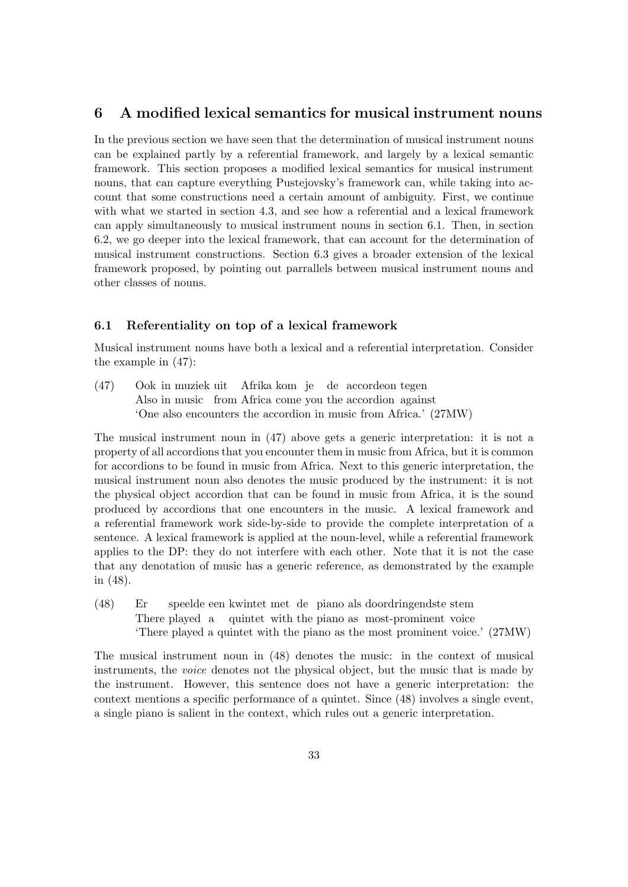# 6 A modified lexical semantics for musical instrument nouns

In the previous section we have seen that the determination of musical instrument nouns can be explained partly by a referential framework, and largely by a lexical semantic framework. This section proposes a modified lexical semantics for musical instrument nouns, that can capture everything Pustejovsky's framework can, while taking into account that some constructions need a certain amount of ambiguity. First, we continue with what we started in section 4.3, and see how a referential and a lexical framework can apply simultaneously to musical instrument nouns in section 6.1. Then, in section 6.2, we go deeper into the lexical framework, that can account for the determination of musical instrument constructions. Section 6.3 gives a broader extension of the lexical framework proposed, by pointing out parrallels between musical instrument nouns and other classes of nouns.

### 6.1 Referentiality on top of a lexical framework

Musical instrument nouns have both a lexical and a referential interpretation. Consider the example in (47):

(47) Ook in muziek uit Afrika kom je de accordeon tegen Also in music from Africa come you the accordion against 'One also encounters the accordion in music from Africa.' (27MW)

The musical instrument noun in (47) above gets a generic interpretation: it is not a property of all accordions that you encounter them in music from Africa, but it is common for accordions to be found in music from Africa. Next to this generic interpretation, the musical instrument noun also denotes the music produced by the instrument: it is not the physical object accordion that can be found in music from Africa, it is the sound produced by accordions that one encounters in the music. A lexical framework and a referential framework work side-by-side to provide the complete interpretation of a sentence. A lexical framework is applied at the noun-level, while a referential framework applies to the DP: they do not interfere with each other. Note that it is not the case that any denotation of music has a generic reference, as demonstrated by the example in (48).

(48) Er There played a quintet with the piano as most-prominent voice speelde een kwintet met de piano als doordringendste stem 'There played a quintet with the piano as the most prominent voice.' (27MW)

The musical instrument noun in (48) denotes the music: in the context of musical instruments, the voice denotes not the physical object, but the music that is made by the instrument. However, this sentence does not have a generic interpretation: the context mentions a specific performance of a quintet. Since (48) involves a single event, a single piano is salient in the context, which rules out a generic interpretation.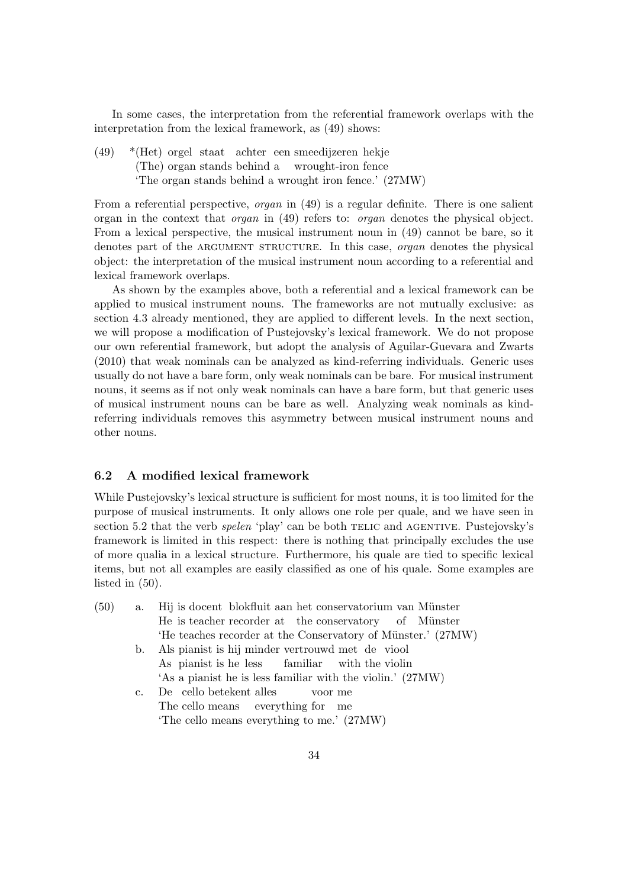In some cases, the interpretation from the referential framework overlaps with the interpretation from the lexical framework, as (49) shows:

(49) \*(Het) orgel staat achter een smeedijzeren hekje (The) organ stands behind a wrought-iron fence 'The organ stands behind a wrought iron fence.' (27MW)

From a referential perspective, *organ* in (49) is a regular definite. There is one salient organ in the context that organ in (49) refers to: organ denotes the physical object. From a lexical perspective, the musical instrument noun in (49) cannot be bare, so it denotes part of the ARGUMENT STRUCTURE. In this case, *organ* denotes the physical object: the interpretation of the musical instrument noun according to a referential and lexical framework overlaps.

As shown by the examples above, both a referential and a lexical framework can be applied to musical instrument nouns. The frameworks are not mutually exclusive: as section 4.3 already mentioned, they are applied to different levels. In the next section, we will propose a modification of Pustejovsky's lexical framework. We do not propose our own referential framework, but adopt the analysis of Aguilar-Guevara and Zwarts (2010) that weak nominals can be analyzed as kind-referring individuals. Generic uses usually do not have a bare form, only weak nominals can be bare. For musical instrument nouns, it seems as if not only weak nominals can have a bare form, but that generic uses of musical instrument nouns can be bare as well. Analyzing weak nominals as kindreferring individuals removes this asymmetry between musical instrument nouns and other nouns.

### 6.2 A modified lexical framework

While Pustejovsky's lexical structure is sufficient for most nouns, it is too limited for the purpose of musical instruments. It only allows one role per quale, and we have seen in section 5.2 that the verb *spelen* 'play' can be both TELIC and AGENTIVE. Pustejovsky's framework is limited in this respect: there is nothing that principally excludes the use of more qualia in a lexical structure. Furthermore, his quale are tied to specific lexical items, but not all examples are easily classified as one of his quale. Some examples are listed in (50).

| (50) |             | a. Hij is doeent blokfluit aan het conservatorium van Münster |
|------|-------------|---------------------------------------------------------------|
|      |             | He is teacher recorder at the conservatory of Münster         |
|      |             | 'He teaches recorder at the Conservatory of Münster.' (27MW)  |
|      |             | b. Als pianist is hij minder vertrouwd met de viool           |
|      |             | As pianist is he less familiar with the violin                |
|      |             | 'As a pianist he is less familiar with the violin.' (27MW)    |
|      | $c_{\cdot}$ | De cello betekent alles voor me                               |
|      |             | The cello means everything for me                             |
|      |             | The cello means everything to me.' (27MW)                     |
|      |             |                                                               |
|      |             |                                                               |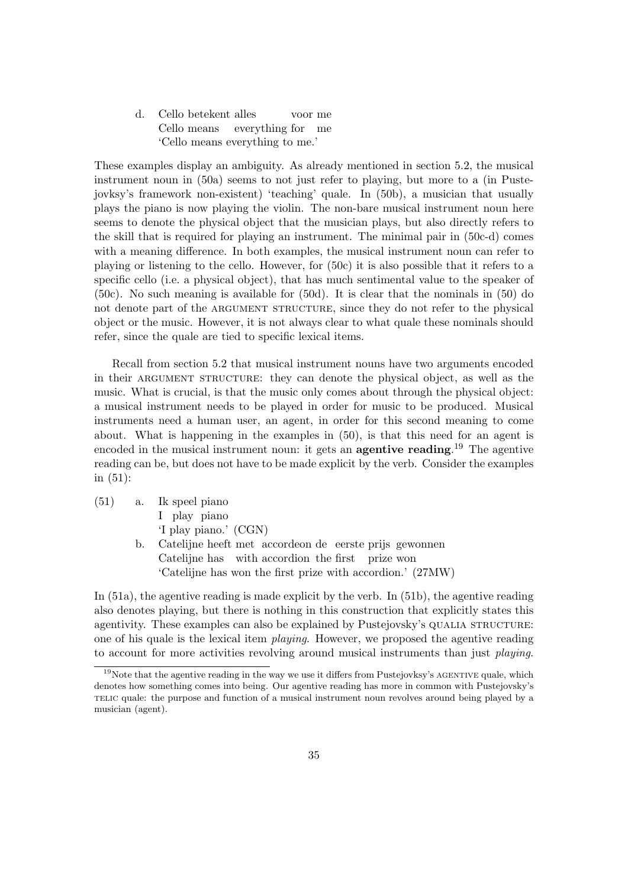d. Cello betekent alles Cello means everything for me voor me 'Cello means everything to me.'

These examples display an ambiguity. As already mentioned in section 5.2, the musical instrument noun in  $(50a)$  seems to not just refer to playing, but more to a (in Pustejovksy's framework non-existent) 'teaching' quale. In (50b), a musician that usually plays the piano is now playing the violin. The non-bare musical instrument noun here seems to denote the physical object that the musician plays, but also directly refers to the skill that is required for playing an instrument. The minimal pair in (50c-d) comes with a meaning difference. In both examples, the musical instrument noun can refer to playing or listening to the cello. However, for (50c) it is also possible that it refers to a specific cello (i.e. a physical object), that has much sentimental value to the speaker of (50c). No such meaning is available for (50d). It is clear that the nominals in (50) do not denote part of the ARGUMENT STRUCTURE, since they do not refer to the physical object or the music. However, it is not always clear to what quale these nominals should refer, since the quale are tied to specific lexical items.

Recall from section 5.2 that musical instrument nouns have two arguments encoded in their ARGUMENT STRUCTURE: they can denote the physical object, as well as the music. What is crucial, is that the music only comes about through the physical object: a musical instrument needs to be played in order for music to be produced. Musical instruments need a human user, an agent, in order for this second meaning to come about. What is happening in the examples in (50), is that this need for an agent is encoded in the musical instrument noun: it gets an **agentive reading**.<sup>19</sup> The agentive reading can be, but does not have to be made explicit by the verb. Consider the examples in (51):

| (51) | a. Ik speel piano                                          |
|------|------------------------------------------------------------|
|      | I play piano                                               |
|      | 'I play piano.' (CGN)                                      |
|      | b. Catelijne heeft met accorde on de eerste prijs gewonnen |
|      | Catelijne has with accordion the first prize won           |
|      | 'Catelijne has won the first prize with accordion.' (27MW) |

In (51a), the agentive reading is made explicit by the verb. In (51b), the agentive reading also denotes playing, but there is nothing in this construction that explicitly states this agentivity. These examples can also be explained by Pustejovsky's QUALIA STRUCTURE: one of his quale is the lexical item playing. However, we proposed the agentive reading to account for more activities revolving around musical instruments than just *playing*.

 $19$ Note that the agentive reading in the way we use it differs from Pustejovksy's AGENTIVE quale, which denotes how something comes into being. Our agentive reading has more in common with Pustejovsky's telic quale: the purpose and function of a musical instrument noun revolves around being played by a musician (agent).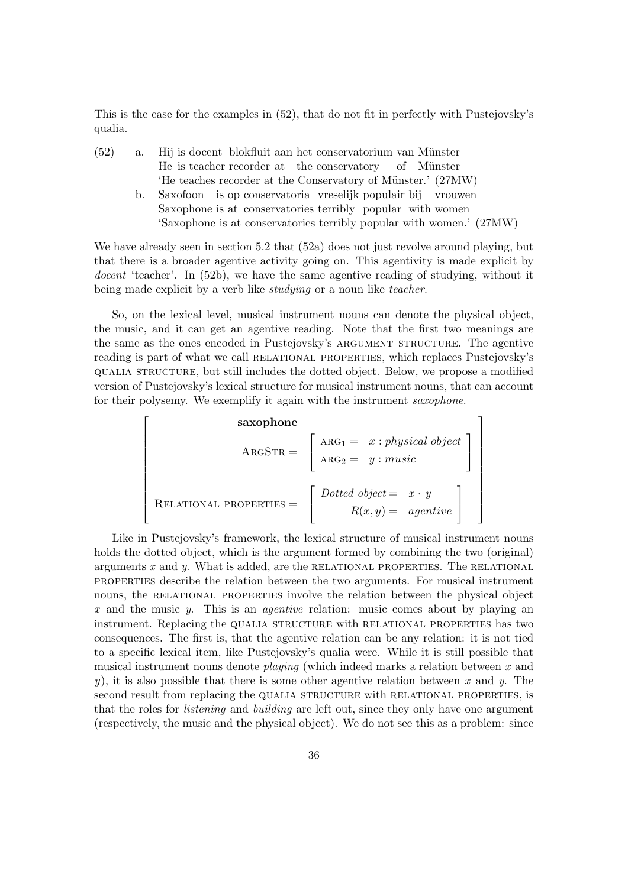This is the case for the examples in (52), that do not fit in perfectly with Pustejovsky's qualia.

| (52) | a. | Hij is doeent blokfluit aan het conservatorium van Münster           |
|------|----|----------------------------------------------------------------------|
|      |    | He is teacher recorder at the conservatory of Münster                |
|      |    | 'He teaches recorder at the Conservatory of Münster.' (27MW)         |
|      | b. | Saxofoon is op conservatoria vreselijk populair bij vrouwen          |
|      |    | Saxophone is at conservatories terribly popular with women           |
|      |    | 'Saxophone is at conservatories terribly popular with women.' (27MW) |

We have already seen in section 5.2 that  $(52a)$  does not just revolve around playing, but that there is a broader agentive activity going on. This agentivity is made explicit by docent 'teacher'. In (52b), we have the same agentive reading of studying, without it being made explicit by a verb like *studying* or a noun like *teacher*.

So, on the lexical level, musical instrument nouns can denote the physical object, the music, and it can get an agentive reading. Note that the first two meanings are the same as the ones encoded in Pustejovsky's ARGUMENT STRUCTURE. The agentive reading is part of what we call RELATIONAL PROPERTIES, which replaces Pustejovsky's qualia structure, but still includes the dotted object. Below, we propose a modified version of Pustejovsky's lexical structure for musical instrument nouns, that can account for their polysemy. We exemplify it again with the instrument saxophone.

**saxophone**  
\n
$$
ARGSTR = \begin{bmatrix} \nARG_1 = x : physical object \\ \nARG_2 = y : music \n\end{bmatrix}
$$
\n
$$
RELATIONAL PROPERTIES = \begin{bmatrix} Dotted \ object = x \cdot y \\ \nR(x, y) = agentive \n\end{bmatrix}
$$

1  $\overline{1}$  $\overline{1}$  $\overline{1}$  $\overline{1}$  $\overline{1}$  $\overline{1}$  $\overline{1}$  $\overline{1}$  $\overline{1}$  $\overline{1}$  $\overline{1}$  $\overline{1}$ 

Like in Pustejovsky's framework, the lexical structure of musical instrument nouns holds the dotted object, which is the argument formed by combining the two (original) arguments  $x$  and  $y$ . What is added, are the RELATIONAL PROPERTIES. The RELATIONAL properties describe the relation between the two arguments. For musical instrument nouns, the RELATIONAL PROPERTIES involve the relation between the physical object x and the music  $y$ . This is an *agentive* relation: music comes about by playing an instrument. Replacing the qualia structure with relational properties has two consequences. The first is, that the agentive relation can be any relation: it is not tied to a specific lexical item, like Pustejovsky's qualia were. While it is still possible that musical instrument nouns denote *playing* (which indeed marks a relation between  $x$  and y), it is also possible that there is some other agentive relation between x and y. The second result from replacing the QUALIA STRUCTURE with RELATIONAL PROPERTIES, is that the roles for listening and building are left out, since they only have one argument (respectively, the music and the physical object). We do not see this as a problem: since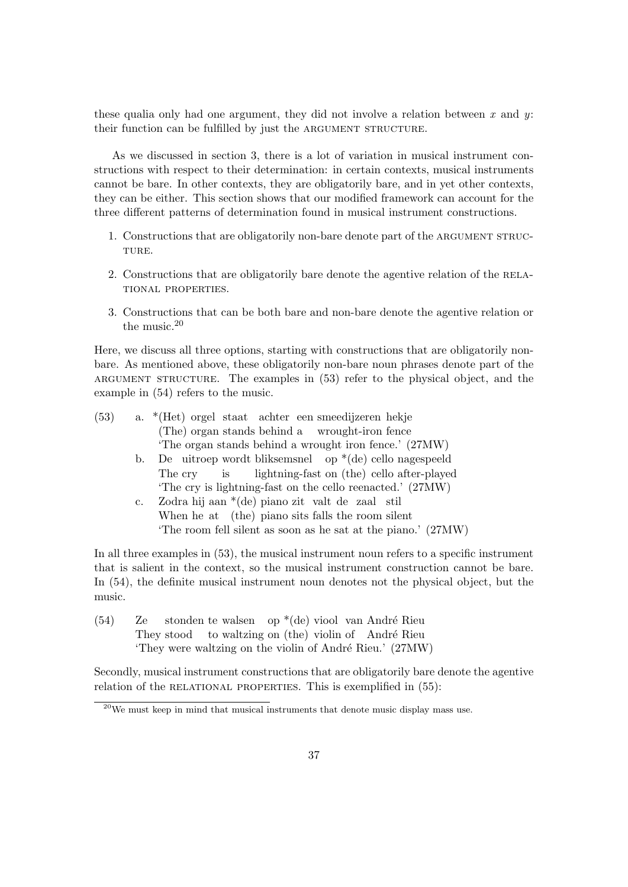these qualia only had one argument, they did not involve a relation between x and  $y$ : their function can be fulfilled by just the ARGUMENT STRUCTURE.

As we discussed in section 3, there is a lot of variation in musical instrument constructions with respect to their determination: in certain contexts, musical instruments cannot be bare. In other contexts, they are obligatorily bare, and in yet other contexts, they can be either. This section shows that our modified framework can account for the three different patterns of determination found in musical instrument constructions.

- 1. Constructions that are obligatorily non-bare denote part of the ARGUMENT STRUC-TURE.
- 2. Constructions that are obligatorily bare denote the agentive relation of the relational properties.
- 3. Constructions that can be both bare and non-bare denote the agentive relation or the music.<sup>20</sup>

Here, we discuss all three options, starting with constructions that are obligatorily nonbare. As mentioned above, these obligatorily non-bare noun phrases denote part of the argument structure. The examples in (53) refer to the physical object, and the example in (54) refers to the music.

| (53) |          | a. *(Het) orgel staat achter een smeedijzeren hekje           |
|------|----------|---------------------------------------------------------------|
|      |          | (The) organ stands behind a wrought-iron fence                |
|      |          | 'The organ stands behind a wrought iron fence.' (27MW)        |
|      |          | b. De uitroep wordt bliksemsnel op $*(de)$ cello nagespeeld   |
|      |          | The cry is lightning-fast on (the) cello after-played         |
|      |          | The cry is lightning-fast on the cello reenacted.' (27MW)     |
|      | $\rm c.$ | Zodra hij aan *(de) piano zit valt de zaal stil               |
|      |          | When he at (the) piano sits falls the room silent             |
|      |          | 'The room fell silent as soon as he sat at the piano.' (27MW) |

In all three examples in (53), the musical instrument noun refers to a specific instrument that is salient in the context, so the musical instrument construction cannot be bare. In (54), the definite musical instrument noun denotes not the physical object, but the music.

(54) Ze They stood stonden te walsen op \*(de) viool van André Rieu to waltzing on (the) violin of André Rieu 'They were waltzing on the violin of André Rieu.' (27MW)

Secondly, musical instrument constructions that are obligatorily bare denote the agentive relation of the RELATIONAL PROPERTIES. This is exemplified in  $(55)$ :

<sup>&</sup>lt;sup>20</sup>We must keep in mind that musical instruments that denote music display mass use.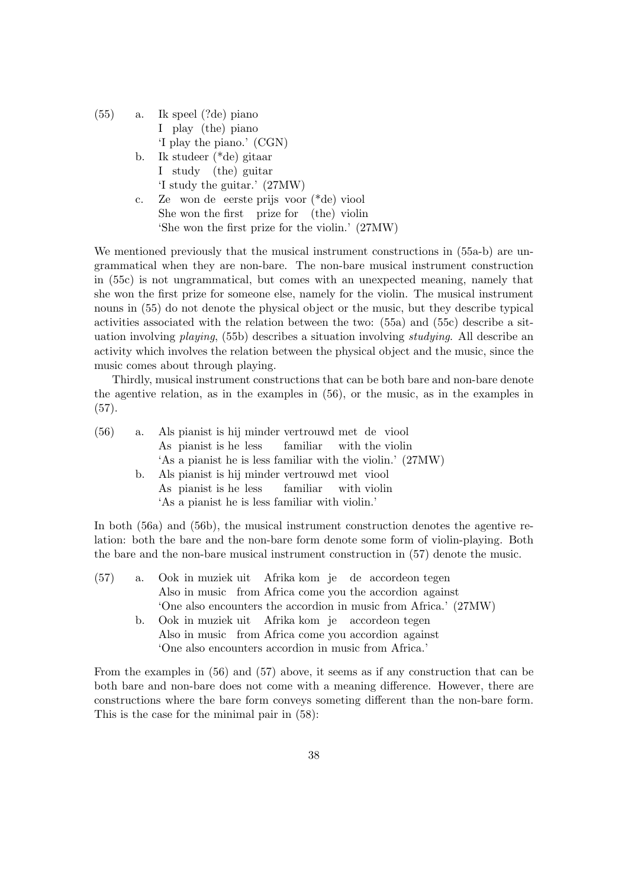| (55) |                | a. Ik speel (?de) piano                          |
|------|----------------|--------------------------------------------------|
|      |                | I play (the) piano                               |
|      |                | 'I play the piano.' (CGN)                        |
|      |                | b. Ik studeer $(*de)$ gitaar                     |
|      |                | I study (the) guitar                             |
|      |                | 'I study the guitar.' (27MW)                     |
|      | $\mathbf{c}$ . | Ze won de eerste prijs voor (*de) viool          |
|      |                | She won the first prize for (the) violin         |
|      |                | 'She won the first prize for the violin.' (27MW) |

We mentioned previously that the musical instrument constructions in (55a-b) are ungrammatical when they are non-bare. The non-bare musical instrument construction in (55c) is not ungrammatical, but comes with an unexpected meaning, namely that she won the first prize for someone else, namely for the violin. The musical instrument nouns in (55) do not denote the physical object or the music, but they describe typical activities associated with the relation between the two: (55a) and (55c) describe a situation involving playing, (55b) describes a situation involving studying. All describe an activity which involves the relation between the physical object and the music, since the music comes about through playing.

Thirdly, musical instrument constructions that can be both bare and non-bare denote the agentive relation, as in the examples in (56), or the music, as in the examples in (57).

| (56) |    | a. Als pianist is hij minder vertrouwd met de viool        |
|------|----|------------------------------------------------------------|
|      |    | As pianist is he less familiar with the violin             |
|      |    | 'As a pianist he is less familiar with the violin.' (27MW) |
|      | b. | Als pianist is hij minder vertrouwd met viool              |
|      |    | As pianist is he less familiar with violin                 |
|      |    | 'As a pianist he is less familiar with violin.'            |

In both (56a) and (56b), the musical instrument construction denotes the agentive relation: both the bare and the non-bare form denote some form of violin-playing. Both the bare and the non-bare musical instrument construction in (57) denote the music.

| (57) |    | a. Ook in muziek uit Afrika kom je de accordeon tegen                                     |
|------|----|-------------------------------------------------------------------------------------------|
|      |    | Also in music from Africa come you the accordion against                                  |
|      |    | 'One also encounters the accordion in music from Africa.' (27MW)                          |
|      | b. | Ook in muziek uit Afrika kom je accordeon tegen                                           |
|      |    | Also in music from Africa come you accordion against                                      |
|      |    | 'One also encounters accordion in music from Africa.'                                     |
|      |    |                                                                                           |
|      |    | From the examples in $(56)$ and $(57)$ above, it seems as if any construction that can be |

both bare and non-bare does not come with a meaning difference. However, there are constructions where the bare form conveys someting different than the non-bare form. This is the case for the minimal pair in (58):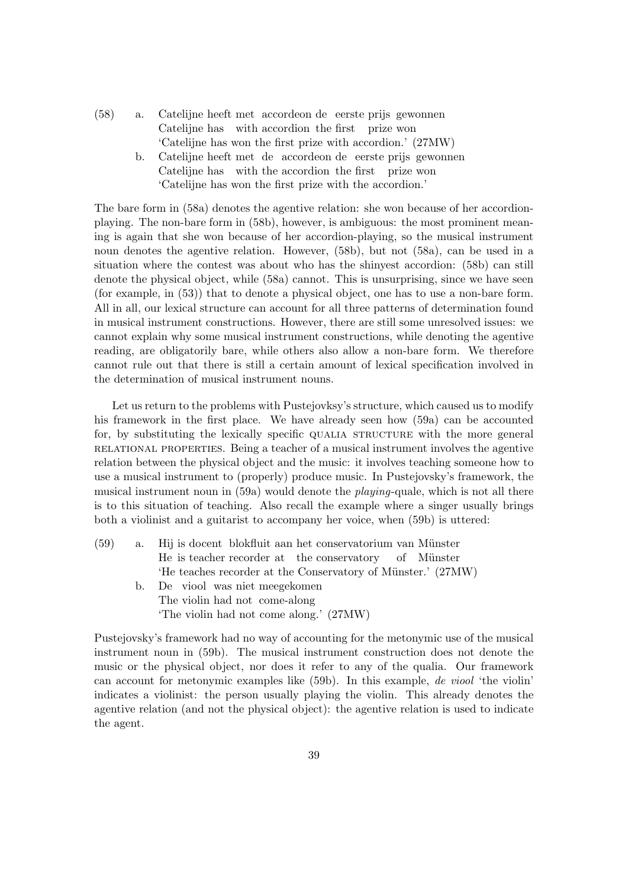(58) a. Catelijne heeft met accordeon de eerste prijs gewonnen Catelijne has with accordion the first prize won 'Catelijne has won the first prize with accordion.' (27MW) b. Catelijne heeft met de accordeon de eerste prijs gewonnen Catelijne has with the accordion the first prize won 'Catelijne has won the first prize with the accordion.'

The bare form in (58a) denotes the agentive relation: she won because of her accordionplaying. The non-bare form in (58b), however, is ambiguous: the most prominent meaning is again that she won because of her accordion-playing, so the musical instrument noun denotes the agentive relation. However, (58b), but not (58a), can be used in a situation where the contest was about who has the shinyest accordion: (58b) can still denote the physical object, while (58a) cannot. This is unsurprising, since we have seen (for example, in (53)) that to denote a physical object, one has to use a non-bare form. All in all, our lexical structure can account for all three patterns of determination found in musical instrument constructions. However, there are still some unresolved issues: we cannot explain why some musical instrument constructions, while denoting the agentive reading, are obligatorily bare, while others also allow a non-bare form. We therefore cannot rule out that there is still a certain amount of lexical specification involved in the determination of musical instrument nouns.

Let us return to the problems with Pustejovksy's structure, which caused us to modify his framework in the first place. We have already seen how (59a) can be accounted for, by substituting the lexically specific qualia structure with the more general relational properties. Being a teacher of a musical instrument involves the agentive relation between the physical object and the music: it involves teaching someone how to use a musical instrument to (properly) produce music. In Pustejovsky's framework, the musical instrument noun in (59a) would denote the *playing*-quale, which is not all there is to this situation of teaching. Also recall the example where a singer usually brings both a violinist and a guitarist to accompany her voice, when (59b) is uttered:

 $(59)$  a. He is teacher recorder at the conservatory is docent blokfluit aan het conservatorium van Münster of M¨unster 'He teaches recorder at the Conservatory of Münster.' (27MW) b. De viool was niet meegekomen The violin had not come-along 'The violin had not come along.' (27MW)

Pustejovsky's framework had no way of accounting for the metonymic use of the musical instrument noun in (59b). The musical instrument construction does not denote the music or the physical object, nor does it refer to any of the qualia. Our framework can account for metonymic examples like (59b). In this example, de viool 'the violin' indicates a violinist: the person usually playing the violin. This already denotes the agentive relation (and not the physical object): the agentive relation is used to indicate the agent.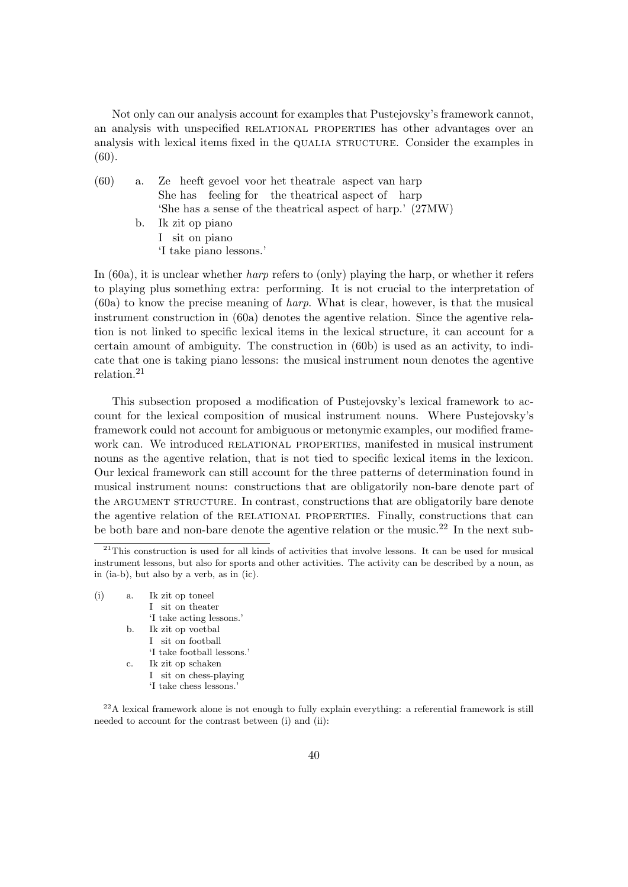Not only can our analysis account for examples that Pustejovsky's framework cannot, an analysis with unspecified RELATIONAL PROPERTIES has other advantages over an analysis with lexical items fixed in the QUALIA STRUCTURE. Consider the examples in (60).

| (60) | a. | Ze heeft gevoel voor het theatrale aspect van harp         |
|------|----|------------------------------------------------------------|
|      |    | She has feeling for the theatrical aspect of harp          |
|      |    | 'She has a sense of the theatrical aspect of harp.' (27MW) |
|      |    | b. Ik zit op piano                                         |
|      |    | I sit on piano                                             |
|      |    | 'I take piano lessons.'                                    |

In  $(60a)$ , it is unclear whether *harp* refers to  $(0)$  playing the harp, or whether it refers to playing plus something extra: performing. It is not crucial to the interpretation of (60a) to know the precise meaning of harp. What is clear, however, is that the musical instrument construction in (60a) denotes the agentive relation. Since the agentive relation is not linked to specific lexical items in the lexical structure, it can account for a certain amount of ambiguity. The construction in (60b) is used as an activity, to indicate that one is taking piano lessons: the musical instrument noun denotes the agentive relation.<sup>21</sup>

This subsection proposed a modification of Pustejovsky's lexical framework to account for the lexical composition of musical instrument nouns. Where Pustejovsky's framework could not account for ambiguous or metonymic examples, our modified framework can. We introduced RELATIONAL PROPERTIES, manifested in musical instrument nouns as the agentive relation, that is not tied to specific lexical items in the lexicon. Our lexical framework can still account for the three patterns of determination found in musical instrument nouns: constructions that are obligatorily non-bare denote part of the ARGUMENT STRUCTURE. In contrast, constructions that are obligatorily bare denote the agentive relation of the relational properties. Finally, constructions that can be both bare and non-bare denote the agentive relation or the music.<sup>22</sup> In the next sub-

 $(i)$  a. I sit on theater zit op toneel 'I take acting lessons.' b. Ik zit op voetbal I sit on football 'I take football lessons.' c. Ik zit op schaken I sit on chess-playing 'I take chess lessons.'

 $^{22}$ A lexical framework alone is not enough to fully explain everything: a referential framework is still needed to account for the contrast between (i) and (ii):

 $21$ This construction is used for all kinds of activities that involve lessons. It can be used for musical instrument lessons, but also for sports and other activities. The activity can be described by a noun, as in (ia-b), but also by a verb, as in (ic).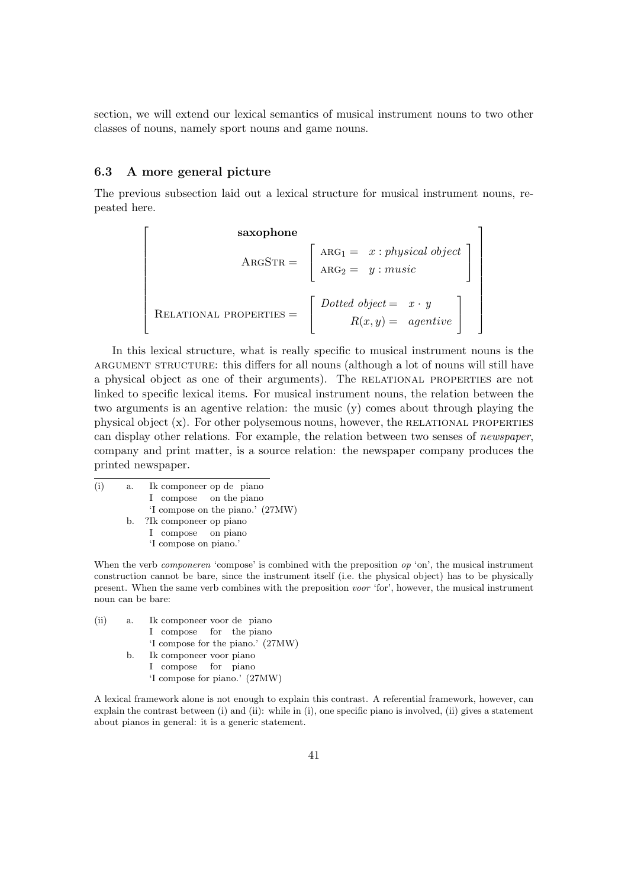section, we will extend our lexical semantics of musical instrument nouns to two other classes of nouns, namely sport nouns and game nouns.

## 6.3 A more general picture

 $\lceil$  $\overline{\phantom{a}}$  $\overline{1}$  $\overline{1}$  $\overline{1}$  $\overline{1}$  $\overline{1}$  $\overline{1}$  $\overline{\phantom{a}}$  $\overline{1}$  $\overline{1}$  $\overline{1}$  $\overline{1}$ 

The previous subsection laid out a lexical structure for musical instrument nouns, repeated here.

> 1  $\overline{1}$  $\overline{1}$  $\overline{1}$  $\overline{1}$  $\overline{1}$  $\overline{1}$  $\overline{1}$  $\overline{1}$  $\overline{1}$  $\overline{1}$  $\overline{1}$  $\overline{1}$

**saxophone**  
\n
$$
ARGSTR = \begin{bmatrix} ARG_1 = x : physical object \\ ARG_2 = y : music \end{bmatrix}
$$
\n
$$
RELATIONAL PROPERTIES = \begin{bmatrix} Dotted object = x \cdot y \\ R(x, y) = agentive \end{bmatrix}
$$

In this lexical structure, what is really specific to musical instrument nouns is the argument structure: this differs for all nouns (although a lot of nouns will still have a physical object as one of their arguments). The relational properties are not linked to specific lexical items. For musical instrument nouns, the relation between the two arguments is an agentive relation: the music (y) comes about through playing the physical object  $(x)$ . For other polysemous nouns, however, the RELATIONAL PROPERTIES can display other relations. For example, the relation between two senses of newspaper, company and print matter, is a source relation: the newspaper company produces the printed newspaper.

 $(i)$  a. I compose on the piano componeer op de piano 'I compose on the piano.' (27MW) b. ?Ik componeer op piano I compose on piano 'I compose on piano.'

When the verb *componeren* 'compose' is combined with the preposition op 'on', the musical instrument construction cannot be bare, since the instrument itself (i.e. the physical object) has to be physically present. When the same verb combines with the preposition voor 'for', however, the musical instrument noun can be bare:

 $(ii)$  a. I compose for the piano componeer voor de piano 'I compose for the piano.' (27MW) b. Ik componeer voor piano I compose for piano 'I compose for piano.' (27MW)

A lexical framework alone is not enough to explain this contrast. A referential framework, however, can explain the contrast between (i) and (ii): while in (i), one specific piano is involved, (ii) gives a statement about pianos in general: it is a generic statement.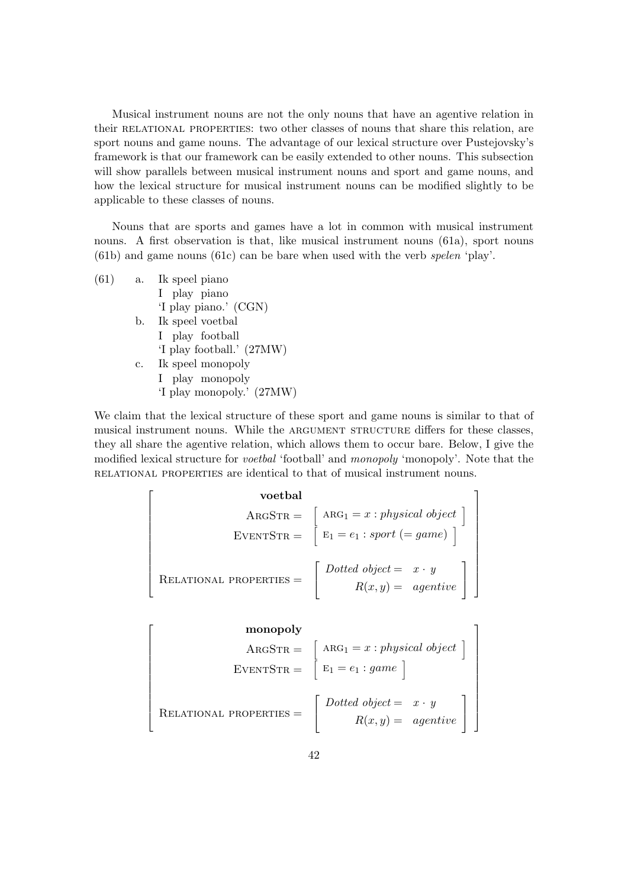Musical instrument nouns are not the only nouns that have an agentive relation in their relational properties: two other classes of nouns that share this relation, are sport nouns and game nouns. The advantage of our lexical structure over Pustejovsky's framework is that our framework can be easily extended to other nouns. This subsection will show parallels between musical instrument nouns and sport and game nouns, and how the lexical structure for musical instrument nouns can be modified slightly to be applicable to these classes of nouns.

Nouns that are sports and games have a lot in common with musical instrument nouns. A first observation is that, like musical instrument nouns (61a), sport nouns (61b) and game nouns (61c) can be bare when used with the verb spelen 'play'.

| (61) | a. | Ik speel piano            |
|------|----|---------------------------|
|      |    | I play piano              |
|      |    | 'I play piano.' (CGN)     |
|      |    | b. Ik speel voetbal       |
|      |    | I play football           |
|      |    | 'I play football.' (27MW) |
|      | c. | Ik speel monopoly         |
|      |    | I play monopoly           |
|      |    | 'I play monopoly.' (27MW) |
|      |    |                           |

We claim that the lexical structure of these sport and game nouns is similar to that of musical instrument nouns. While the ARGUMENT STRUCTURE differs for these classes, they all share the agentive relation, which allows them to occur bare. Below, I give the modified lexical structure for voetbal 'football' and monopoly 'monopoly'. Note that the relational properties are identical to that of musical instrument nouns.

| voetbal                                                    |
|------------------------------------------------------------|
| $ARGSTR = \left[ ARG_1 = x : physical object \right]$      |
| $EVENTSTR = \left[ E_1 = e_1 : sport (= game) \right]$     |
| $RELATIONAL PROPERTIES = \left[ Dotted object = x \cdot y$ |
| $R(x, y) = agentive$                                       |

$$
\begin{bmatrix}\n\text{monopoly} \\
\text{ARGSTR} = \begin{bmatrix}\n\text{ARG}_1 = x : physical object \\
\text{E1} = e_1 : game\n\end{bmatrix}\n\end{bmatrix}
$$
\n
$$
\begin{bmatrix}\n\text{EVENTSTR} = \begin{bmatrix}\n\text{Dotted object} = x \cdot y \\
\text{R(x, y)} = agentive\n\end{bmatrix}\n\end{bmatrix}
$$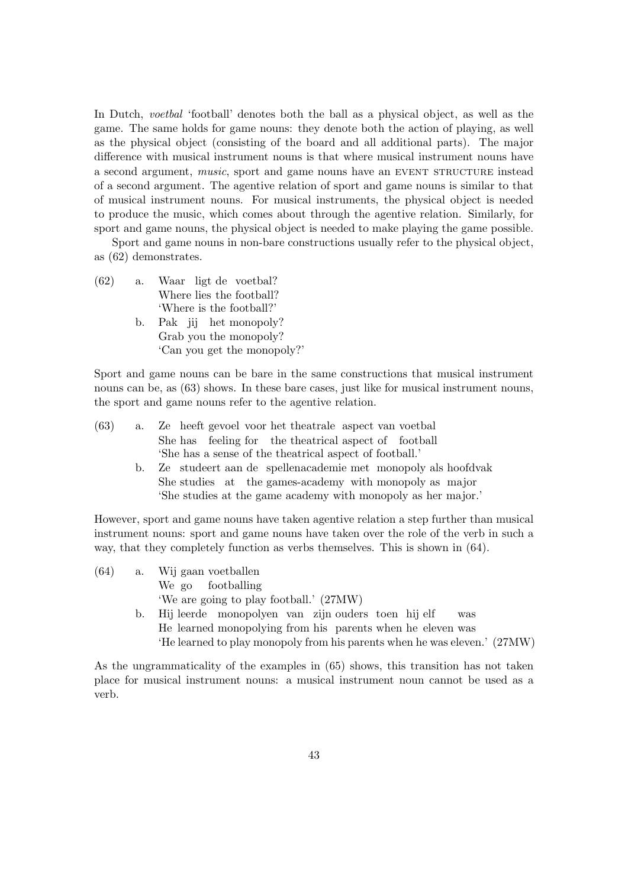In Dutch, *voetbal* 'football' denotes both the ball as a physical object, as well as the game. The same holds for game nouns: they denote both the action of playing, as well as the physical object (consisting of the board and all additional parts). The major difference with musical instrument nouns is that where musical instrument nouns have a second argument, *music*, sport and game nouns have an EVENT STRUCTURE instead of a second argument. The agentive relation of sport and game nouns is similar to that of musical instrument nouns. For musical instruments, the physical object is needed to produce the music, which comes about through the agentive relation. Similarly, for sport and game nouns, the physical object is needed to make playing the game possible.

Sport and game nouns in non-bare constructions usually refer to the physical object, as (62) demonstrates.

- (62) a. Waar ligt de voetbal? Where lies the football? 'Where is the football?'
	- b. Pak jij het monopoly? Grab you the monopoly? 'Can you get the monopoly?'

Sport and game nouns can be bare in the same constructions that musical instrument nouns can be, as  $(63)$  shows. In these bare cases, just like for musical instrument nouns, the sport and game nouns refer to the agentive relation.

| (63) | a. | Ze heeft gevoel voor het theatrale aspect van voetbal                                  |
|------|----|----------------------------------------------------------------------------------------|
|      |    | She has feeling for the theatrical aspect of football                                  |
|      |    | 'She has a sense of the theatrical aspect of football.'                                |
|      | b. | Ze studeert aan de spellenacademie met monopoly als hoofdvak                           |
|      |    | She studies at the games-academy with monopoly as major                                |
|      |    | 'She studies at the game academy with monopoly as her major.'                          |
|      |    | However, sport and game nouns have taken agentive relation a step further than musical |
|      |    | instrument nouns: sport and game nouns have taken over the role of the verb in such a  |
|      |    | way, that they completely function as verbs themselves. This is shown in $(64)$ .      |
| (64) |    | a. Wij gaan voetballen                                                                 |
|      |    |                                                                                        |

| We go footballing                                                         |
|---------------------------------------------------------------------------|
| 'We are going to play football.' (27MW)                                   |
| b. Hij leerde monopolyen van zijn ouders toen hij elf<br>$_{\rm was}$     |
| He learned monopolying from his parents when he eleven was                |
| 'He learned to play monopoly from his parents when he was eleven.' (27MW) |

As the ungrammaticality of the examples in (65) shows, this transition has not taken place for musical instrument nouns: a musical instrument noun cannot be used as a verb.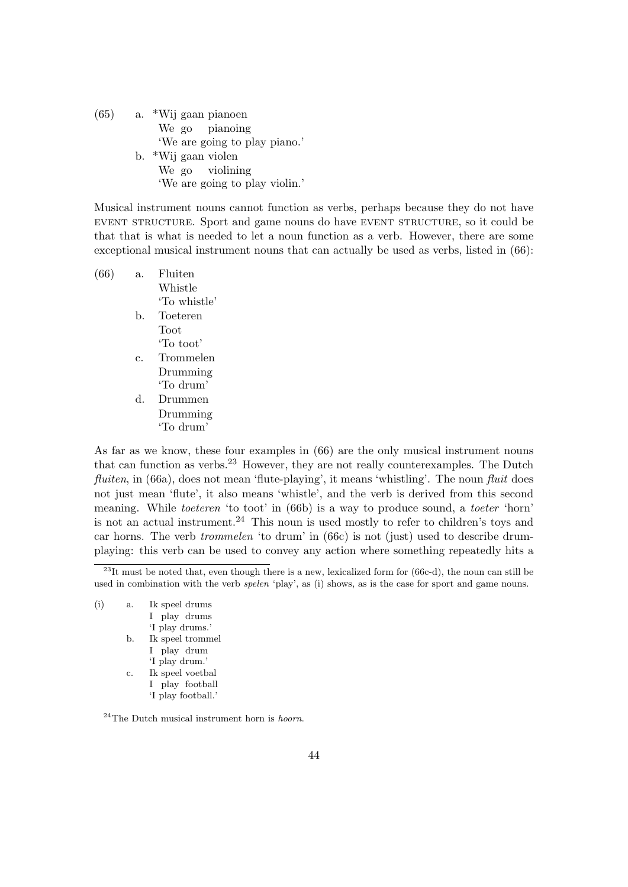(65) a. \*Wij gaan pianoen We go pianoing 'We are going to play piano.' b. \*Wij gaan violen We go violining 'We are going to play violin.'

Musical instrument nouns cannot function as verbs, perhaps because they do not have event structure. Sport and game nouns do have event structure, so it could be that that is what is needed to let a noun function as a verb. However, there are some exceptional musical instrument nouns that can actually be used as verbs, listed in (66):

| (66) | а. | Fluiten      |
|------|----|--------------|
|      |    | Whistle      |
|      |    | 'To whistle' |
|      | b. | Toeteren     |
|      |    | Toot         |
|      |    | 'To toot'    |
|      | c. | Trommelen    |
|      |    | Drumming     |
|      |    | 'To drum'    |
|      | d. | Drummen      |
|      |    | Drumming     |
|      |    | 'To drum'    |
|      |    |              |

As far as we know, these four examples in (66) are the only musical instrument nouns that can function as verbs.<sup>23</sup> However, they are not really counterexamples. The Dutch fluiten, in  $(66a)$ , does not mean 'flute-playing', it means 'whistling'. The noun fluit does not just mean 'flute', it also means 'whistle', and the verb is derived from this second meaning. While *toeteren* 'to toot' in (66b) is a way to produce sound, a *toeter* 'horn' is not an actual instrument.<sup>24</sup> This noun is used mostly to refer to children's toys and car horns. The verb trommelen 'to drum' in (66c) is not (just) used to describe drumplaying: this verb can be used to convey any action where something repeatedly hits a

 $^{23}$ It must be noted that, even though there is a new, lexicalized form for (66c-d), the noun can still be used in combination with the verb *spelen* 'play', as (i) shows, as is the case for sport and game nouns.

| (i) | a. | Ik speel drums     |
|-----|----|--------------------|
|     |    | I play drums       |
|     |    | 'I play drums.'    |
|     | b. | Ik speel trommel   |
|     |    | I play drum        |
|     |    | 'I play drum.'     |
|     | c. | Ik speel voetbal   |
|     |    | I play football    |
|     |    | 'I play football.' |
|     |    |                    |

 $24$ The Dutch musical instrument horn is *hoorn*.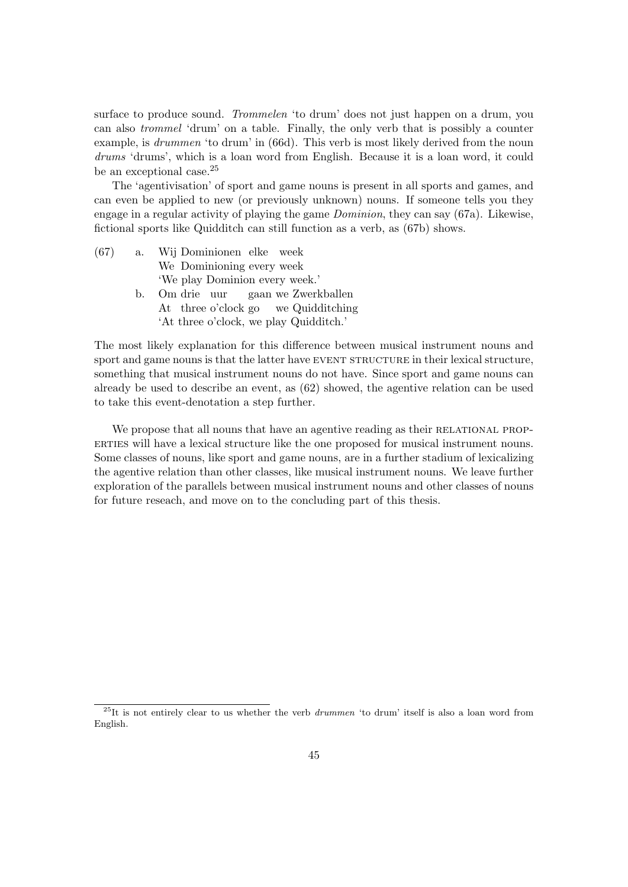surface to produce sound. Trommelen 'to drum' does not just happen on a drum, you can also trommel 'drum' on a table. Finally, the only verb that is possibly a counter example, is *drummen* 'to drum' in (66d). This verb is most likely derived from the noun drums 'drums', which is a loan word from English. Because it is a loan word, it could be an exceptional case.<sup>25</sup>

The 'agentivisation' of sport and game nouns is present in all sports and games, and can even be applied to new (or previously unknown) nouns. If someone tells you they engage in a regular activity of playing the game Dominion, they can say (67a). Likewise, fictional sports like Quidditch can still function as a verb, as (67b) shows.

| (67) | a. Wij Dominionen elke week            |
|------|----------------------------------------|
|      | We Dominioning every week              |
|      | 'We play Dominion every week.'         |
|      | b. Om drie uur gaan we Zwerkballen     |
|      | At three o'clock go we Quidditching    |
|      | 'At three o'clock, we play Quidditch.' |
|      |                                        |

The most likely explanation for this difference between musical instrument nouns and sport and game nouns is that the latter have EVENT STRUCTURE in their lexical structure, something that musical instrument nouns do not have. Since sport and game nouns can already be used to describe an event, as (62) showed, the agentive relation can be used to take this event-denotation a step further.

We propose that all nouns that have an agentive reading as their RELATIONAL PROP-ERTIES will have a lexical structure like the one proposed for musical instrument nouns. Some classes of nouns, like sport and game nouns, are in a further stadium of lexicalizing the agentive relation than other classes, like musical instrument nouns. We leave further exploration of the parallels between musical instrument nouns and other classes of nouns for future reseach, and move on to the concluding part of this thesis.

 $^{25}$ It is not entirely clear to us whether the verb *drummen* 'to drum' itself is also a loan word from English.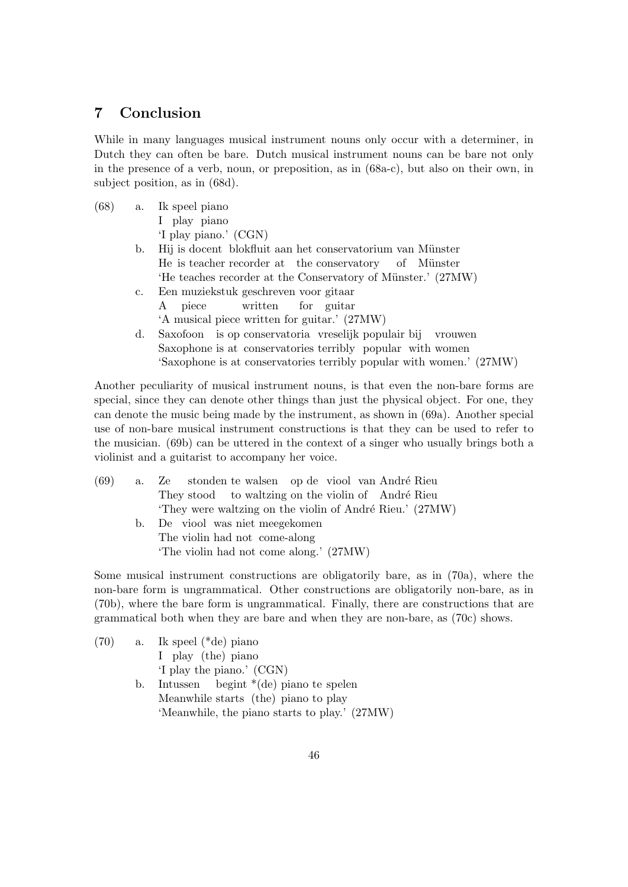# 7 Conclusion

While in many languages musical instrument nouns only occur with a determiner, in Dutch they can often be bare. Dutch musical instrument nouns can be bare not only in the presence of a verb, noun, or preposition, as in (68a-c), but also on their own, in subject position, as in (68d).

| (68) |             | a. Ik speel piano                                                    |
|------|-------------|----------------------------------------------------------------------|
|      |             | I play piano                                                         |
|      |             | 'I play piano.' (CGN)                                                |
|      | b.          | Hij is doeent blokfluit aan het conservatorium van Münster           |
|      |             | He is teacher recorder at the conservatory of Münster                |
|      |             | 'He teaches recorder at the Conservatory of Münster.' (27MW)         |
|      | $c_{\cdot}$ | Een muziekstuk geschreven voor gitaar                                |
|      |             | piece written for guitar<br>A                                        |
|      |             | 'A musical piece written for guitar.' (27MW)                         |
|      | d.          | Saxofoon is op conservatoria vreselijk populair bij vrouwen          |
|      |             | Saxophone is at conservatories terribly popular with women           |
|      |             | 'Saxophone is at conservatories terribly popular with women.' (27MW) |

Another peculiarity of musical instrument nouns, is that even the non-bare forms are special, since they can denote other things than just the physical object. For one, they can denote the music being made by the instrument, as shown in (69a). Another special use of non-bare musical instrument constructions is that they can be used to refer to the musician. (69b) can be uttered in the context of a singer who usually brings both a violinist and a guitarist to accompany her voice.

| (69) | a. Ze stonden te walsen op de viool van André Rieu       |
|------|----------------------------------------------------------|
|      | They stood to waltzing on the violin of André Rieu       |
|      | 'They were waltzing on the violin of André Rieu.' (27MW) |
|      | b. De viool was niet meegekomen                          |
|      | The violin had not come-along                            |
|      | 'The violin had not come along.' (27MW)                  |
|      |                                                          |

Some musical instrument constructions are obligatorily bare, as in (70a), where the non-bare form is ungrammatical. Other constructions are obligatorily non-bare, as in (70b), where the bare form is ungrammatical. Finally, there are constructions that are grammatical both when they are bare and when they are non-bare, as (70c) shows.

| (70) |    | a. Ik speel $(*de)$ piano                     |
|------|----|-----------------------------------------------|
|      |    | I play (the) piano                            |
|      |    | 'I play the piano.' (CGN)                     |
|      | b. | Intussen begint $*(de)$ piano te spelen       |
|      |    | Meanwhile starts (the) piano to play          |
|      |    | 'Meanwhile, the piano starts to play.' (27MW) |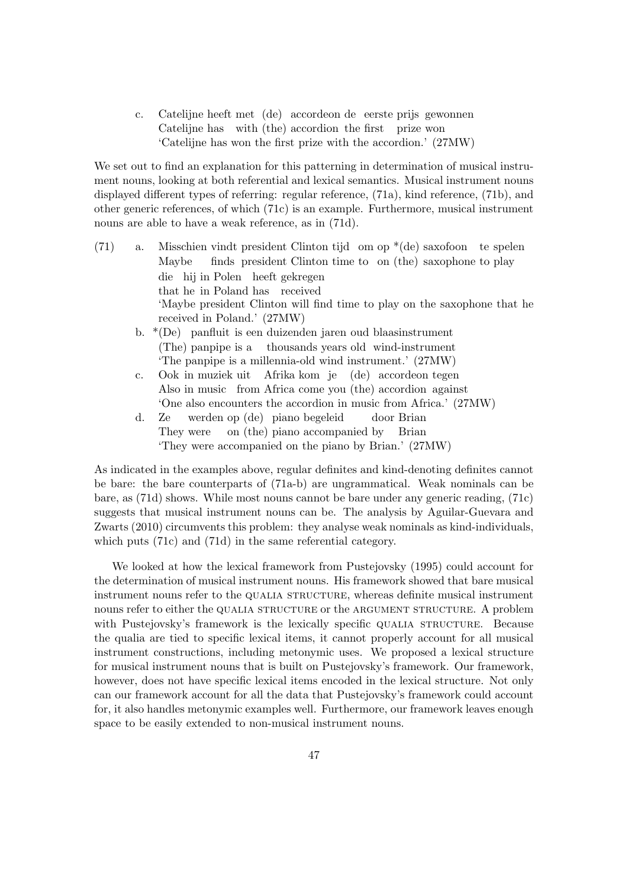c. Catelijne heeft met (de) accordeon de eerste prijs gewonnen Catelijne has with (the) accordion the first prize won 'Catelijne has won the first prize with the accordion.' (27MW)

We set out to find an explanation for this patterning in determination of musical instrument nouns, looking at both referential and lexical semantics. Musical instrument nouns displayed different types of referring: regular reference, (71a), kind reference, (71b), and other generic references, of which (71c) is an example. Furthermore, musical instrument nouns are able to have a weak reference, as in (71d).

- (71) a. Misschien vindt president Clinton tijd om op \*(de) saxofoon te spelen Maybe finds president Clinton time to on (the) saxophone to play die hij in Polen heeft gekregen that he in Poland has received 'Maybe president Clinton will find time to play on the saxophone that he received in Poland.' (27MW)
	- b. \*(De) panfluit is een duizenden jaren oud blaasinstrument (The) panpipe is a thousands years old wind-instrument 'The panpipe is a millennia-old wind instrument.' (27MW)
	- c. Ook in muziek uit Afrika kom je (de) accordeon tegen Also in music from Africa come you (the) accordion against 'One also encounters the accordion in music from Africa.' (27MW)
	- d. Ze They were werden op (de) piano begeleid on (the) piano accompanied by door Brian Brian 'They were accompanied on the piano by Brian.' (27MW)

As indicated in the examples above, regular definites and kind-denoting definites cannot be bare: the bare counterparts of (71a-b) are ungrammatical. Weak nominals can be bare, as (71d) shows. While most nouns cannot be bare under any generic reading, (71c) suggests that musical instrument nouns can be. The analysis by Aguilar-Guevara and Zwarts (2010) circumvents this problem: they analyse weak nominals as kind-individuals, which puts (71c) and (71d) in the same referential category.

We looked at how the lexical framework from Pustejovsky (1995) could account for the determination of musical instrument nouns. His framework showed that bare musical instrument nouns refer to the QUALIA STRUCTURE, whereas definite musical instrument nouns refer to either the QUALIA STRUCTURE or the ARGUMENT STRUCTURE. A problem with Pustejovsky's framework is the lexically specific QUALIA STRUCTURE. Because the qualia are tied to specific lexical items, it cannot properly account for all musical instrument constructions, including metonymic uses. We proposed a lexical structure for musical instrument nouns that is built on Pustejovsky's framework. Our framework, however, does not have specific lexical items encoded in the lexical structure. Not only can our framework account for all the data that Pustejovsky's framework could account for, it also handles metonymic examples well. Furthermore, our framework leaves enough space to be easily extended to non-musical instrument nouns.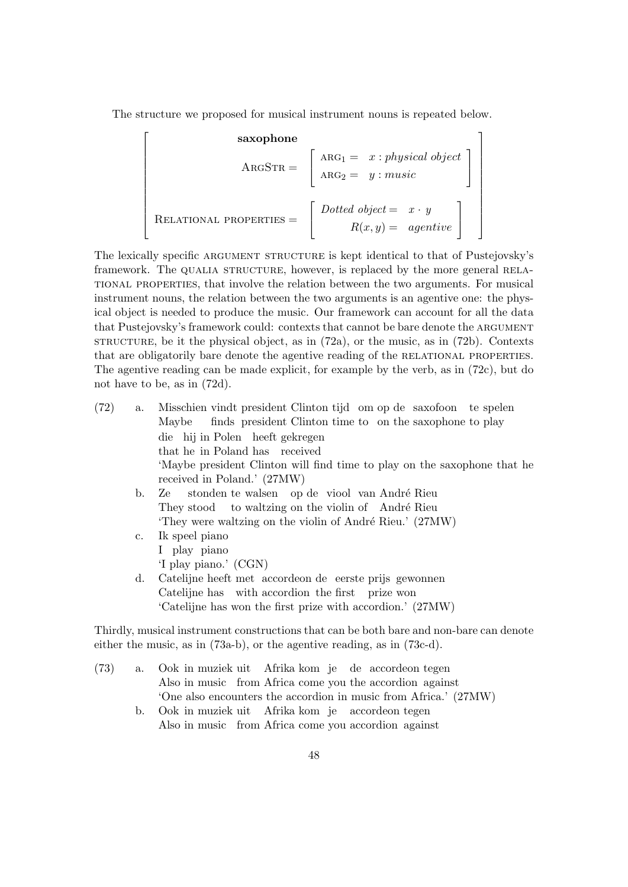The structure we proposed for musical instrument nouns is repeated below.

 $\lceil$  $\overline{\phantom{a}}$  $\overline{1}$  $\overline{1}$  $\overline{1}$  $\overline{1}$  $\overline{1}$  $\overline{1}$  $\overline{1}$  $\overline{1}$  $\overline{1}$  $\overline{1}$  $\overline{1}$ 

**saxophone**  
\n
$$
ARGSTR = \begin{bmatrix} ARG_1 = x : physical object \\ ARG_2 = y : music \end{bmatrix}
$$
\n
$$
RELATIONAL PROPERTIES = \begin{bmatrix} Dotted object = x \cdot y \\ R(x, y) = agentive \end{bmatrix}
$$

The lexically specific ARGUMENT STRUCTURE is kept identical to that of Pustejovsky's framework. The QUALIA STRUCTURE, however, is replaced by the more general RELAtional properties, that involve the relation between the two arguments. For musical instrument nouns, the relation between the two arguments is an agentive one: the physical object is needed to produce the music. Our framework can account for all the data that Pustejovsky's framework could: contexts that cannot be bare denote the argument  $STRUCTURE$ , be it the physical object, as in  $(72a)$ , or the music, as in  $(72b)$ . Contexts that are obligatorily bare denote the agentive reading of the RELATIONAL PROPERTIES. The agentive reading can be made explicit, for example by the verb, as in (72c), but do not have to be, as in (72d).

(72) a. Misschien vindt president Clinton tijd om op de saxofoon te spelen Maybe finds president Clinton time to on the saxophone to play die hij in Polen heeft gekregen that he in Poland has received 'Maybe president Clinton will find time to play on the saxophone that he received in Poland.' (27MW) b. Ze They stood to waltzing on the violin of André Rieu stonden te walsen op de viool van André Rieu 'They were waltzing on the violin of André Rieu.' (27MW) c. Ik speel piano I play piano 'I play piano.' (CGN) d. Catelijne heeft met accordeon de eerste prijs gewonnen Catelijne has with accordion the first prize won 'Catelijne has won the first prize with accordion.' (27MW)

Thirdly, musical instrument constructions that can be both bare and non-bare can denote either the music, as in (73a-b), or the agentive reading, as in (73c-d).

- (73) a. Ook in muziek uit Afrika kom je de accordeon tegen Also in music from Africa come you the accordion against 'One also encounters the accordion in music from Africa.' (27MW)
	- b. Ook in muziek uit Afrika kom je accordeon tegen Also in music from Africa come you accordion against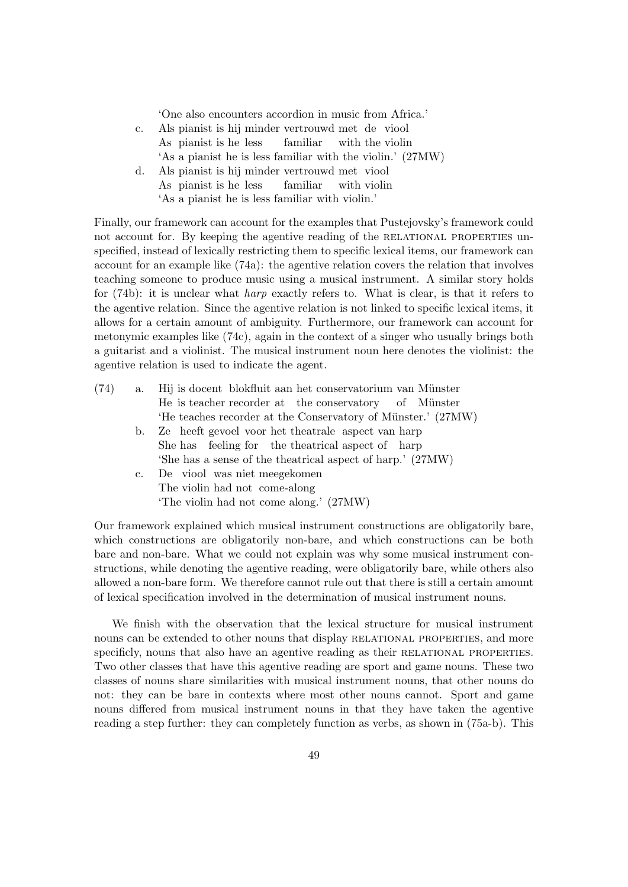'One also encounters accordion in music from Africa.'

| c. |  |  | Als pianist is hij minder vertrouwd met de viool |  |                                                            |
|----|--|--|--------------------------------------------------|--|------------------------------------------------------------|
|    |  |  | As pianist is he less familiar with the violin   |  |                                                            |
|    |  |  |                                                  |  | 'As a pianist he is less familiar with the violin.' (27MW) |

d. Als pianist is hij minder vertrouwd met viool As pianist is he less familiar with violin 'As a pianist he is less familiar with violin.'

Finally, our framework can account for the examples that Pustejovsky's framework could not account for. By keeping the agentive reading of the RELATIONAL PROPERTIES unspecified, instead of lexically restricting them to specific lexical items, our framework can account for an example like (74a): the agentive relation covers the relation that involves teaching someone to produce music using a musical instrument. A similar story holds for (74b): it is unclear what harp exactly refers to. What is clear, is that it refers to the agentive relation. Since the agentive relation is not linked to specific lexical items, it allows for a certain amount of ambiguity. Furthermore, our framework can account for metonymic examples like (74c), again in the context of a singer who usually brings both a guitarist and a violinist. The musical instrument noun here denotes the violinist: the agentive relation is used to indicate the agent.

| (74) |    | a. Hij is doeent blokfluit aan het conservatorium van Münster |
|------|----|---------------------------------------------------------------|
|      |    | He is teacher recorder at the conservatory of Münster         |
|      |    | 'He teaches recorder at the Conservatory of Münster.' (27MW)  |
|      | b. | Ze heeft gevoel voor het theatrale aspect van harp            |
|      |    | She has feeling for the theatrical aspect of harp             |
|      |    | 'She has a sense of the theatrical aspect of harp.' (27MW)    |
|      |    | c. De viool was niet meegekomen                               |
|      |    | The violin had not come-along                                 |
|      |    | 'The violin had not come along.' (27MW)                       |
|      |    |                                                               |

Our framework explained which musical instrument constructions are obligatorily bare, which constructions are obligatorily non-bare, and which constructions can be both bare and non-bare. What we could not explain was why some musical instrument constructions, while denoting the agentive reading, were obligatorily bare, while others also allowed a non-bare form. We therefore cannot rule out that there is still a certain amount of lexical specification involved in the determination of musical instrument nouns.

We finish with the observation that the lexical structure for musical instrument nouns can be extended to other nouns that display RELATIONAL PROPERTIES, and more specificly, nouns that also have an agentive reading as their RELATIONAL PROPERTIES. Two other classes that have this agentive reading are sport and game nouns. These two classes of nouns share similarities with musical instrument nouns, that other nouns do not: they can be bare in contexts where most other nouns cannot. Sport and game nouns differed from musical instrument nouns in that they have taken the agentive reading a step further: they can completely function as verbs, as shown in (75a-b). This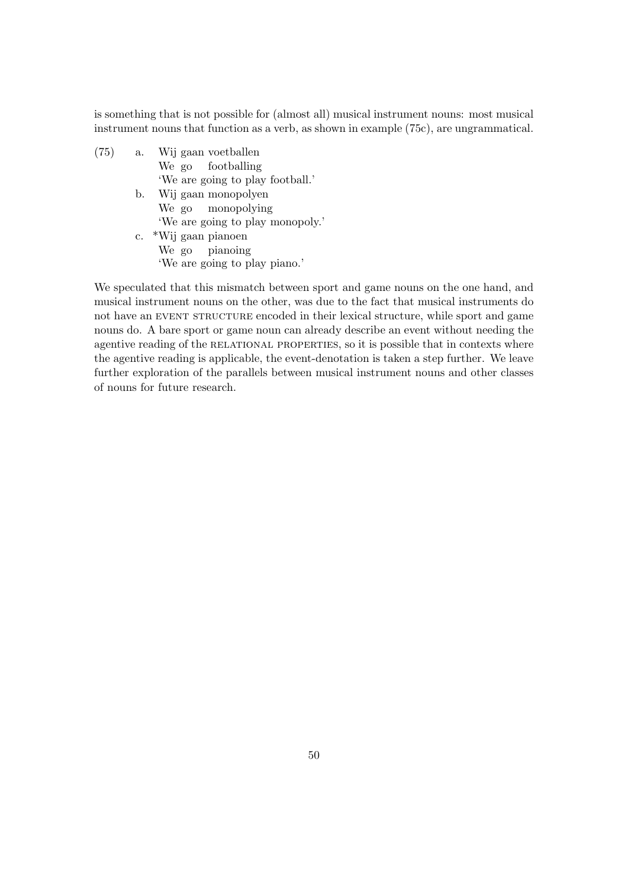is something that is not possible for (almost all) musical instrument nouns: most musical instrument nouns that function as a verb, as shown in example (75c), are ungrammatical.

- $(75)$  a. We go gaan voetballen footballing 'We are going to play football.' b. Wij gaan monopolyen
	- We go monopolying 'We are going to play monopoly.' c. \*Wij gaan pianoen
	- We go pianoing 'We are going to play piano.'

We speculated that this mismatch between sport and game nouns on the one hand, and musical instrument nouns on the other, was due to the fact that musical instruments do not have an EVENT STRUCTURE encoded in their lexical structure, while sport and game nouns do. A bare sport or game noun can already describe an event without needing the agentive reading of the RELATIONAL PROPERTIES, so it is possible that in contexts where the agentive reading is applicable, the event-denotation is taken a step further. We leave further exploration of the parallels between musical instrument nouns and other classes of nouns for future research.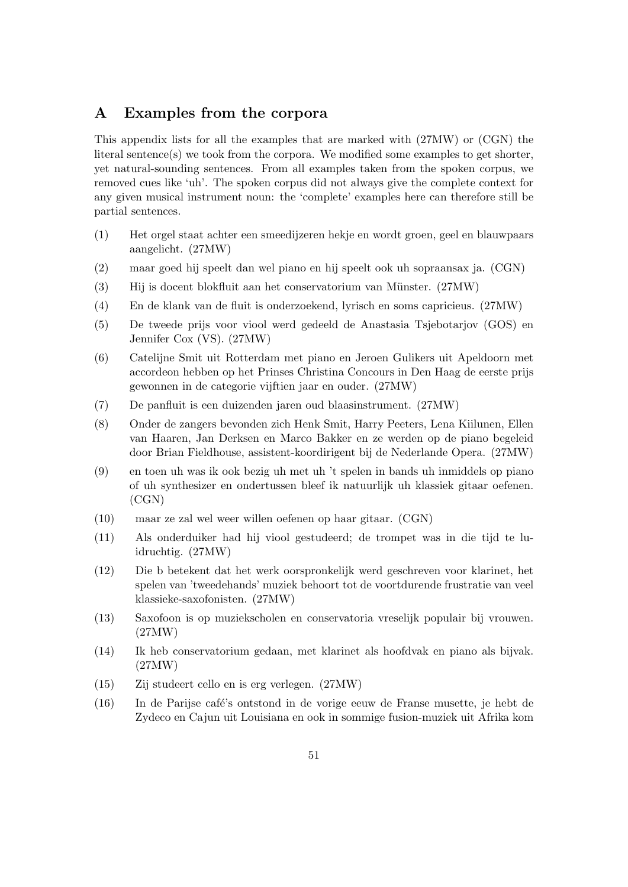# A Examples from the corpora

This appendix lists for all the examples that are marked with (27MW) or (CGN) the literal sentence(s) we took from the corpora. We modified some examples to get shorter, yet natural-sounding sentences. From all examples taken from the spoken corpus, we removed cues like 'uh'. The spoken corpus did not always give the complete context for any given musical instrument noun: the 'complete' examples here can therefore still be partial sentences.

- (1) Het orgel staat achter een smeedijzeren hekje en wordt groen, geel en blauwpaars aangelicht. (27MW)
- (2) maar goed hij speelt dan wel piano en hij speelt ook uh sopraansax ja. (CGN)
- (3) Hij is docent blokfluit aan het conservatorium van Münster. (27MW)
- (4) En de klank van de fluit is onderzoekend, lyrisch en soms capricieus. (27MW)
- (5) De tweede prijs voor viool werd gedeeld de Anastasia Tsjebotarjov (GOS) en Jennifer Cox (VS). (27MW)
- (6) Catelijne Smit uit Rotterdam met piano en Jeroen Gulikers uit Apeldoorn met accordeon hebben op het Prinses Christina Concours in Den Haag de eerste prijs gewonnen in de categorie vijftien jaar en ouder. (27MW)
- (7) De panfluit is een duizenden jaren oud blaasinstrument. (27MW)
- (8) Onder de zangers bevonden zich Henk Smit, Harry Peeters, Lena Kiilunen, Ellen van Haaren, Jan Derksen en Marco Bakker en ze werden op de piano begeleid door Brian Fieldhouse, assistent-koordirigent bij de Nederlande Opera. (27MW)
- (9) en toen uh was ik ook bezig uh met uh 't spelen in bands uh inmiddels op piano of uh synthesizer en ondertussen bleef ik natuurlijk uh klassiek gitaar oefenen. (CGN)
- (10) maar ze zal wel weer willen oefenen op haar gitaar. (CGN)
- (11) Als onderduiker had hij viool gestudeerd; de trompet was in die tijd te luidruchtig. (27MW)
- (12) Die b betekent dat het werk oorspronkelijk werd geschreven voor klarinet, het spelen van 'tweedehands' muziek behoort tot de voortdurende frustratie van veel klassieke-saxofonisten. (27MW)
- (13) Saxofoon is op muziekscholen en conservatoria vreselijk populair bij vrouwen. (27MW)
- (14) Ik heb conservatorium gedaan, met klarinet als hoofdvak en piano als bijvak. (27MW)
- (15) Zij studeert cello en is erg verlegen. (27MW)
- (16) In de Parijse caf´e's ontstond in de vorige eeuw de Franse musette, je hebt de Zydeco en Cajun uit Louisiana en ook in sommige fusion-muziek uit Afrika kom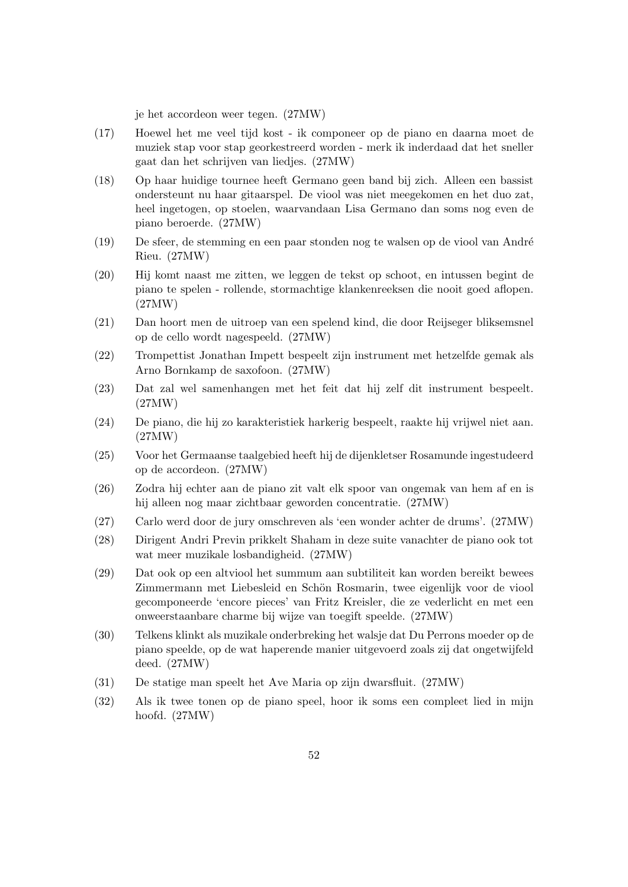je het accordeon weer tegen. (27MW)

- (17) Hoewel het me veel tijd kost ik componeer op de piano en daarna moet de muziek stap voor stap georkestreerd worden - merk ik inderdaad dat het sneller gaat dan het schrijven van liedjes. (27MW)
- (18) Op haar huidige tournee heeft Germano geen band bij zich. Alleen een bassist ondersteunt nu haar gitaarspel. De viool was niet meegekomen en het duo zat, heel ingetogen, op stoelen, waarvandaan Lisa Germano dan soms nog even de piano beroerde. (27MW)
- (19) De sfeer, de stemming en een paar stonden nog te walsen op de viool van Andr´e Rieu. (27MW)
- (20) Hij komt naast me zitten, we leggen de tekst op schoot, en intussen begint de piano te spelen - rollende, stormachtige klankenreeksen die nooit goed aflopen. (27MW)
- (21) Dan hoort men de uitroep van een spelend kind, die door Reijseger bliksemsnel op de cello wordt nagespeeld. (27MW)
- (22) Trompettist Jonathan Impett bespeelt zijn instrument met hetzelfde gemak als Arno Bornkamp de saxofoon. (27MW)
- (23) Dat zal wel samenhangen met het feit dat hij zelf dit instrument bespeelt. (27MW)
- (24) De piano, die hij zo karakteristiek harkerig bespeelt, raakte hij vrijwel niet aan. (27MW)
- (25) Voor het Germaanse taalgebied heeft hij de dijenkletser Rosamunde ingestudeerd op de accordeon. (27MW)
- (26) Zodra hij echter aan de piano zit valt elk spoor van ongemak van hem af en is hij alleen nog maar zichtbaar geworden concentratie. (27MW)
- (27) Carlo werd door de jury omschreven als 'een wonder achter de drums'. (27MW)
- (28) Dirigent Andri Previn prikkelt Shaham in deze suite vanachter de piano ook tot wat meer muzikale losbandigheid. (27MW)
- (29) Dat ook op een altviool het summum aan subtiliteit kan worden bereikt bewees Zimmermann met Liebesleid en Schön Rosmarin, twee eigenlijk voor de viool gecomponeerde 'encore pieces' van Fritz Kreisler, die ze vederlicht en met een onweerstaanbare charme bij wijze van toegift speelde. (27MW)
- (30) Telkens klinkt als muzikale onderbreking het walsje dat Du Perrons moeder op de piano speelde, op de wat haperende manier uitgevoerd zoals zij dat ongetwijfeld deed. (27MW)
- (31) De statige man speelt het Ave Maria op zijn dwarsfluit. (27MW)
- (32) Als ik twee tonen op de piano speel, hoor ik soms een compleet lied in mijn hoofd. (27MW)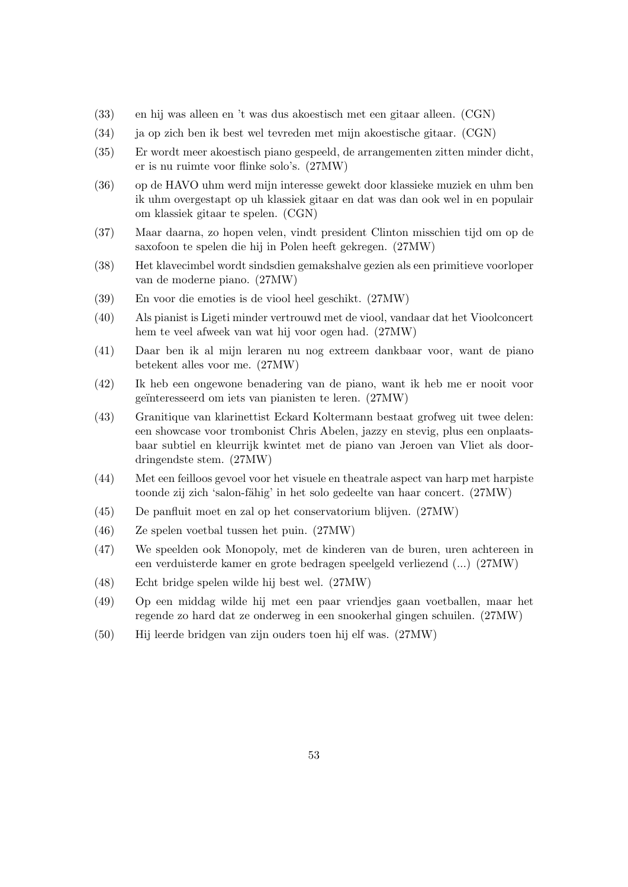- (33) en hij was alleen en 't was dus akoestisch met een gitaar alleen. (CGN)
- (34) ja op zich ben ik best wel tevreden met mijn akoestische gitaar. (CGN)
- (35) Er wordt meer akoestisch piano gespeeld, de arrangementen zitten minder dicht, er is nu ruimte voor flinke solo's. (27MW)
- (36) op de HAVO uhm werd mijn interesse gewekt door klassieke muziek en uhm ben ik uhm overgestapt op uh klassiek gitaar en dat was dan ook wel in en populair om klassiek gitaar te spelen. (CGN)
- (37) Maar daarna, zo hopen velen, vindt president Clinton misschien tijd om op de saxofoon te spelen die hij in Polen heeft gekregen. (27MW)
- (38) Het klavecimbel wordt sindsdien gemakshalve gezien als een primitieve voorloper van de moderne piano. (27MW)
- (39) En voor die emoties is de viool heel geschikt. (27MW)
- (40) Als pianist is Ligeti minder vertrouwd met de viool, vandaar dat het Vioolconcert hem te veel afweek van wat hij voor ogen had. (27MW)
- (41) Daar ben ik al mijn leraren nu nog extreem dankbaar voor, want de piano betekent alles voor me. (27MW)
- (42) Ik heb een ongewone benadering van de piano, want ik heb me er nooit voor geïnteresseerd om iets van pianisten te leren. (27MW)
- (43) Granitique van klarinettist Eckard Koltermann bestaat grofweg uit twee delen: een showcase voor trombonist Chris Abelen, jazzy en stevig, plus een onplaatsbaar subtiel en kleurrijk kwintet met de piano van Jeroen van Vliet als doordringendste stem. (27MW)
- (44) Met een feilloos gevoel voor het visuele en theatrale aspect van harp met harpiste toonde zij zich 'salon-fähig' in het solo gedeelte van haar concert. (27MW)
- (45) De panfluit moet en zal op het conservatorium blijven. (27MW)
- (46) Ze spelen voetbal tussen het puin. (27MW)
- (47) We speelden ook Monopoly, met de kinderen van de buren, uren achtereen in een verduisterde kamer en grote bedragen speelgeld verliezend (...) (27MW)
- (48) Echt bridge spelen wilde hij best wel. (27MW)
- (49) Op een middag wilde hij met een paar vriendjes gaan voetballen, maar het regende zo hard dat ze onderweg in een snookerhal gingen schuilen. (27MW)
- (50) Hij leerde bridgen van zijn ouders toen hij elf was. (27MW)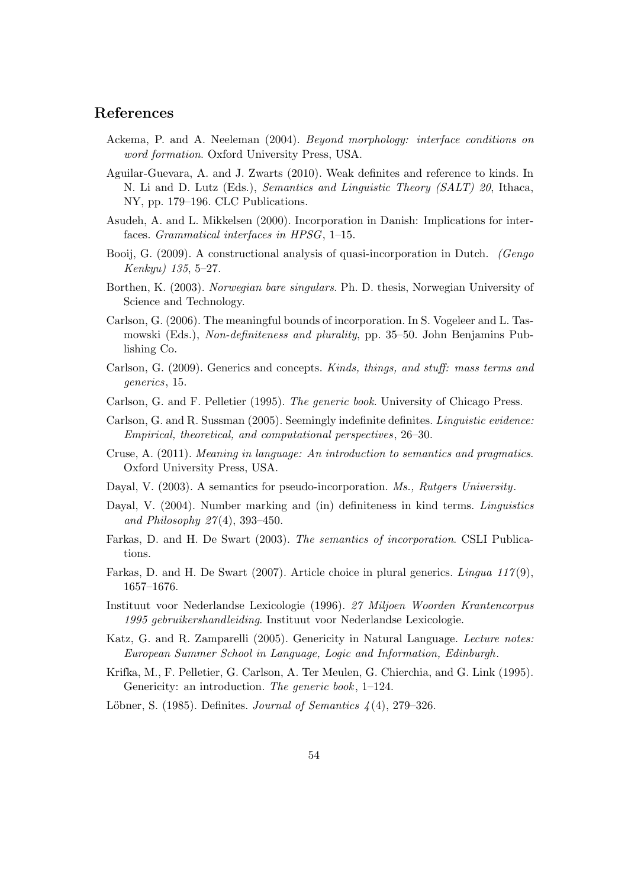# References

- Ackema, P. and A. Neeleman (2004). Beyond morphology: interface conditions on word formation. Oxford University Press, USA.
- Aguilar-Guevara, A. and J. Zwarts (2010). Weak definites and reference to kinds. In N. Li and D. Lutz (Eds.), Semantics and Linguistic Theory (SALT) 20, Ithaca, NY, pp. 179–196. CLC Publications.
- Asudeh, A. and L. Mikkelsen (2000). Incorporation in Danish: Implications for interfaces. Grammatical interfaces in HPSG, 1–15.
- Booij, G. (2009). A constructional analysis of quasi-incorporation in Dutch. *(Gengo*) Kenkyu) 135, 5–27.
- Borthen, K. (2003). Norwegian bare singulars. Ph. D. thesis, Norwegian University of Science and Technology.
- Carlson, G. (2006). The meaningful bounds of incorporation. In S. Vogeleer and L. Tasmowski (Eds.), Non-definiteness and plurality, pp. 35–50. John Benjamins Publishing Co.
- Carlson, G. (2009). Generics and concepts. Kinds, things, and stuff: mass terms and generics, 15.
- Carlson, G. and F. Pelletier (1995). The generic book. University of Chicago Press.
- Carlson, G. and R. Sussman (2005). Seemingly indefinite definites. Linguistic evidence: Empirical, theoretical, and computational perspectives, 26–30.
- Cruse, A. (2011). Meaning in language: An introduction to semantics and pragmatics. Oxford University Press, USA.
- Dayal, V. (2003). A semantics for pseudo-incorporation. *Ms.*, *Rutgers University*.
- Dayal, V. (2004). Number marking and (in) definiteness in kind terms. Linguistics and Philosophy  $27(4)$ , 393-450.
- Farkas, D. and H. De Swart (2003). The semantics of incorporation. CSLI Publications.
- Farkas, D. and H. De Swart (2007). Article choice in plural generics. Lingua 117(9), 1657–1676.
- Instituut voor Nederlandse Lexicologie (1996). 27 Miljoen Woorden Krantencorpus 1995 gebruikershandleiding. Instituut voor Nederlandse Lexicologie.
- Katz, G. and R. Zamparelli (2005). Genericity in Natural Language. Lecture notes: European Summer School in Language, Logic and Information, Edinburgh.
- Krifka, M., F. Pelletier, G. Carlson, A. Ter Meulen, G. Chierchia, and G. Link (1995). Genericity: an introduction. The generic book, 1–124.
- Löbner, S. (1985). Definites. Journal of Semantics  $\lambda(4)$ , 279–326.